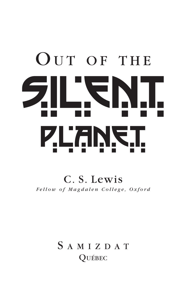# OUT OF THE silenti da **P.L'ANS:**

#### C. S. Lewis

*Fellow of Magdalen College, Oxford*

#### SAMIZDAT **QUÉBEC**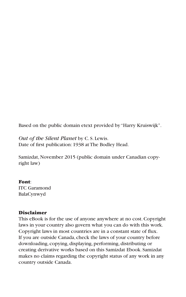Based on the public domain etext provided by "Harry Kruiswijk".

*Out of the Silent Planet* by C. S. Lewis. Date of first publication: 1938 at The Bodley Head.

Samizdat, November 2015 (public domain under [Canadian copy](http://laws-lois.justice.gc.ca/eng/acts/C-42/page-6.html#h-6)[right law\)](http://laws-lois.justice.gc.ca/eng/acts/C-42/page-6.html#h-6)

#### Font:

ITC Garamond BalaCynwyd

#### Disclaimer

This eBook is for the use of anyone anywhere at no cost. Copyright laws in your country also govern what you can do with this work. Copyright laws in most countries are in a constant state of flux. If you are outside Canada, check the laws of your country before downloading, copying, displaying, performing, distributing or creating derivative works based on this Samizdat Ebook. Samizdat makes no claims regarding the copyright status of any work in any country outside Canada.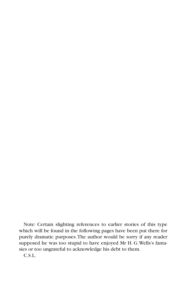Note: Certain slighting references to earlier stories of this type which will be found in the following pages have been put there for purely dramatic purposes. The author would be sorry if any reader supposed he was too stupid to have enjoyed Mr H. G. Wells's fantasies or too ungrateful to acknowledge his debt to them.

C.S.L.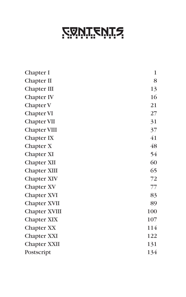#### *<u>Cintents</u>*

| Chapter I            | 1   |
|----------------------|-----|
| Chapter II           | 8   |
| Chapter III          | 13  |
| Chapter IV           | 16  |
| Chapter V            | 21  |
| <b>Chapter VI</b>    | 27  |
| Chapter VII          | 31  |
| <b>Chapter VIII</b>  | 37  |
| Chapter IX           | 41  |
| Chapter X            | 48  |
| <b>Chapter XI</b>    | 54  |
| <b>Chapter XII</b>   | 60  |
| <b>Chapter XIII</b>  | 65  |
| <b>Chapter XIV</b>   | 72  |
| <b>Chapter XV</b>    | 77  |
| <b>Chapter XVI</b>   | 83  |
| <b>Chapter XVII</b>  | 89  |
| <b>Chapter XVIII</b> | 100 |
| <b>Chapter XIX</b>   | 107 |
| <b>Chapter XX</b>    | 114 |
| <b>Chapter XXI</b>   | 122 |
| <b>Chapter XXII</b>  | 131 |
| Postscript           | 134 |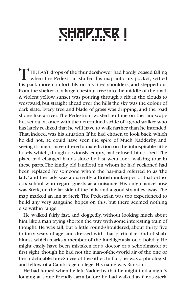## <span id="page-4-0"></span>I X7.T.SR

THE LAST drops of the thundershower had hardly ceased falling when the Pedestrian stuffed his map into his pocket, settled his pack more comfortably on his tired shoulders, and stepped out from the shelter of a large chestnut tree into the middle of the road. A violent yellow sunset was pouring through a rift in the clouds to westward, but straight ahead over the hills the sky was the colour of dark slate. Every tree and blade of grass was dripping, and the road shone like a river. The Pedestrian wasted no time on the landscape but set out at once with the determined stride of a good walker who has lately realized that he will have to walk farther than he intended. That, indeed, was his situation. If he had chosen to look back, which he did not, he could have seen the spire of Much Nadderby, and, seeing it, might have uttered a malediction on the inhospitable little hotels which, though obviously empty, had refused him a bed. The place had changed hands since he last went for a walking tour in these parts. The kindly old landlord on whom he had reckoned had been replaced by someone whom the bar-maid referred to as 'the lady,' and the lady was apparently a British innkeeper of that orthodox school who regard guests as a nuisance. His only chance now was Sterk, on the far side of the hills, and a good six miles away. The map marked an inn at Sterk. The Pedestrian was too experienced to build any very sanguine hopes on this, but there seemed nothing else within range.

He walked fairly fast, and doggedly, without looking much about him, like a man trying shorten the way with some interesting train of thought. He was tall, but a little round-shouldered, about thirty five to forty years of age, and dressed with that particular kind of shabbiness which marks a member of the intelligentsia on a holiday. He might easily have been mistaken for a doctor or a schoolmaster at first sight, though he had not the man-of-the-world air of the one or the indefinable breeziness of the other. In fact, he was a philologist, and fellow of a Cambridge college. His name was Ransom.

He had hoped when he left Nadderby that he might find a night's lodging at some friendly farm before he had walked as far as Sterk.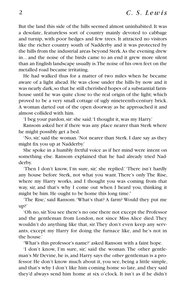But the land this side of the hills seemed almost uninhabited. It was a desolate, featureless sort of country mainly devoted to cabbage and turnip, with poor hedges and few trees. It attracted no visitors like the richer country south of Nadderby and it was protected by the hills from the industrial areas beyond Sterk. As the evening drew in... and the noise of the birds came to an end it grew more silent than an English landscape usually is. The noise of his own feet on the metalled road became irritating.

He had walked thus for a matter of two miles when he became aware of a light ahead. He was close under the hills by now and it was nearly dark, so that he still cherished hopes of a substantial farmhouse until he was quite close to the real origin of the light; which proved to be a very small cottage of ugly nineteenth-century brick. A woman darted out of the open doorway as he approached it and almost collided with him.

'I beg your pardon, sir: she said. 'I thought it, was my Harry.'

Ransom asked her if there was any place nearer than Sterk where he might possibly get a bed.

'No, sir,' said the woman. 'Not nearer than Sterk. I dare say as they might fix you up at Nadderby.'

She spoke in a humbly fretful voice as if her mind were intent on something else. Ransom explained that he had already tried Nadderby.

'Then I don't know, I'm sure, sir,' she replied.' 'There isn't hardly any house before Sterk, not what you want. There's only The Rise, where my Harry works, and I thought you was coming from that way, sir, and that's why I come out when I heard you, thinking it might be him. He ought to be home this long time."

'The Rise,' said Ransom. 'What's that? A farm? Would they put me up?'

'Oh no, sir. You see there's no one there not except the Professor and the gentleman from London, not since Miss Alice died. They wouldn't do anything like that, sir. They don't even keep any servants, except my Harry for doing the furnace like, and he's not in the house.'

'What's this professor's name?' asked Ransom with a faint hope.

'I don't know, I'm sure, sir,' said the woman. The other gentleman's Mr Devine, he is, and Harry says the *other* gentleman is a professor. He don't know much about it, you see, being a little simple, and that's why I don't like him coming home so late, and they said they'd always send him home at six o'clock. It isn't as if he didn't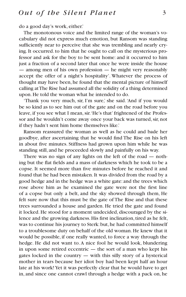do a good day's work, either.'

The monotonous voice and the limited range of the woman's vocabulary did not express much emotion, but Ransom was standing sufficiently near to perceive that she was trembling and nearly crying. It occurred. to him that he ought to call on the mysterious professor and ask for the boy to be sent home: and it occurred to him just a fraction of a second later that once he were inside the house — among men of his own profession — he might very reasonably accept the offer of a night's hospitality'. Whatever the process of thought may have been, he found that the mental picture of himself calling at The Rise had assumed all the solidity of a thing determined upon. He told the woman what he intended to do.

'Thank you very much, sir, I'm sure,' she said. 'And if you would be so kind as to see him out of the gate and on the road before you leave, if you see what I mean, sir. 'He's that' frightened of the Professor and he wouldn't come away once your back was turned, sir, not if they hadn't sent him home themselves like.'

Ransom reassured the woman as well as he could and bade her goodbye, after ascertaining that he would find The Rise on his left in about five minutes. Stiffness had grown upon him while he was standing still, and he proceeded slowly and painfully on his way.

There was no sign of any lights on the left of the road — nothing but the flat fields and a mass of darkness which he took to be a copse. It seemed more than five minutes before he reached it and found that he had been mistaken. It was divided from the road by a good hedge and in the hedge was a white gate: and the trees which rose above him as he examined the gate were not the first line of a copse but only a belt, and the sky showed through them, He felt sure now that this must be the gate of The Rise and that these trees surrounded a house and garden. He tried the gate and found it locked. He stood for a moment undecided, discouraged by the silence and the growing darkness. His first inclination, tired as he felt, was to continue his journey to Sterk: but, he had committed himself to a troublesome duty on behalf of the old woman. He knew that it would be possible, if one really wanted, to force a way through the hedge. He did not want to. A nice fool he would look, blundering in upon some retired eccentric — the sort of a man who kept his gates locked in the country — with this silly story of a hysterical mother in tears because her idiot boy had been kept half an hour late at his work! Yet it was perfectly clear that he would have to get in, and since one cannot crawl through a hedge with a pack on, he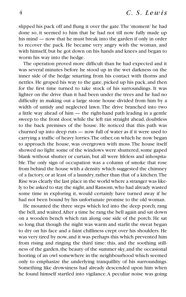slipped his pack off and flung it over the gate. The 'moment' he had done so, it seemed to him that he had not till now fully made up his mind — now that he must break into the garden if only in order to recover the pack. He became very angry with the woman, and with himself, but he got down on his hands and knees and began to worm his way into the hedge.

The operation proved more difficult than he had expected and it was several minutes before he stood up in the wet darkness on the inner side of the hedge smarting from his contact with thorns and nettles. He groped his way to the gate, picked up his pack, and then for the first time turned to take stock of his surroundings. It was lighter on the drive than it had been under the trees and he had no difficulty in making out a large stone house divided from him by a width of untidy and neglected lawn. The drive branched into two a little way ahead of him — the right-hand path leading in a gentle sweep to the front door, while the left ran straight ahead, doubtless to the back premises of the house. He noticed that this path was churned up into deep ruts — now full of water as if it were used to carrying a traffic of heavy lorries. The other, on which he now began to approach the house, was overgrown with moss. The house itself showed no light: some of the windows were shuttered, some gaped blank without shutter or curtain, but all were lifeless and inhospitable. The only sign of occupation was a column of smoke that rose from behind the house with a density which suggested the chimney of a factory, or at least of a laundry, rather than that of a kitchen. The Rise was clearly the last place in the world where a stranger was likely to be asked to stay the night, and Ransom, who had already wasted some time in exploring it, would certainly have turned away if he had not been bound by his unfortunate promise to the old woman.

He mounted the three steps which led into the deep porch, rang the bell, and waited. After a time he rang the bell again and sat down on a wooden bench which ran along one side of the porch. He sat so long that though the night was warm and starlit the sweat began to dry on his face and a faint chilliness crept over his shoulders. He was very tired by now, and it was perhaps this which prevented him from rising and ringing the third time: this, and the soothing stillness of the garden, the beauty of the summer sky, and the occasional hooting of an owl somewhere in the neighbourhood which seemed only to emphasize the underlying tranquillity of his surroundings. Something like drowsiness had already descended upon him when he found himself startled into vigilance. A peculiar noise was going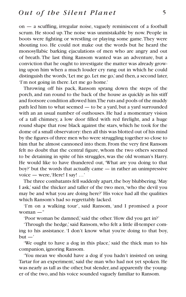on — a scuffling, irregular noise, vaguely reminiscent of a football scrum. He stood up. The noise was unmistakable by now. People in boots were fighting or wrestling or playing some game. They were shouting too. He could not make out the words but he heard the monosyllabic barking ejaculations of men who are angry and out of breath. The last thing Ransom wanted was an adventure, but a conviction that he ought to investigate the matter was already growing upon him when a much louder cry rang out in which he could distinguish the words, 'Let me go. Let me go,' and then, a second later, 'I'm not going in there. Let me go home.'

Throwing off his pack, Ransom sprang down the steps of the porch, and ran round to the back of the house as quickly as his stiff and footsore condition allowed him. The ruts and pools of the muddy path led him to what seemed — to be a yard, but a yard surrounded with an an usual number of outhouses. He had a momentary vision of a tall chimney, a low door filled with red firelight, and a huge round shape that rose black against the stars, which he took for the dome of a small observatory: then all this was blotted out of his mind by the figures of three men who were struggling together so close to him that he almost cannoned into them. From the very first Ransom felt no doubt that the central figure, whom the two others seemed to be detaining in spite of his struggles, was the old woman's Harry. He would like to have thundered out, 'What are you doing to that boy?' but the words that actually came — in rather an unimpressive voice — were, 'Here! I say! ...'

The three combatants fell suddenly apart, the boy blubbering. 'May I ask,' said the thicker and taller of the two men, 'who the devil you may be and what you are doing here?' His voice had all the qualities which Ransom's had so regrettably lacked.

'I'm on a walking tour', said Ransom, 'and I promised a poor woman  $-\n$ "

'Poor woman be damned,' said the other. 'How did you get in?'

'Through the hedge,' said Ransom, who felt a little ill-temper coming to his assistance. 'I don't know what you're doing to that boy,  $but -'$ 

'We ought to have a dog in this place,' said the thick man to his companion, ignoring Ransom.

'You mean we should have a dog if you hadn't insisted on using Tartar for an experiment,' said the man who had not yet spoken. He was nearly as tall as the other, but slender, and apparently the younger of the two, and his voice sounded vaguely familiar to Ransom.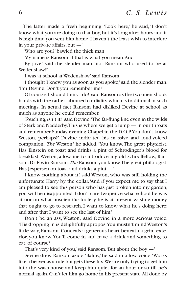The latter made a fresh beginning. 'Look here,' he said, 'I don't know what you are doing to that boy, but it's long after hours and it is high time you sent him home. I haven't the least wish to interfere in your private affairs, but —'

'Who are you?' bawled the thick man.

'My name is Ransom, if that is what you mean. And —'

'By jove,' said the slender man, 'not Ransom who used to be at Wedenshaw?'

'I was at school at Wedenshaw,' said Ransom.

'I thought I knew you as soon as you spoke,' said the slender man. 'I'm Devine. Don't you remember me?'

'Of course. I should think I do!' said Ransom as the two men shook hands with the rather laboured cordiality which is traditional in such meetings. In actual fact Ransom had disliked Devine at school as much as anyone he could remember.

'Touching, isn't it?' said Devine. 'The far-flung line even in the wilds of Sterk and Nadderby. This is where we get a lump — in our throats and remember Sunday evening Chapel in the D.O.P. You don't know Weston, perhaps?' Devine indicated his massive and loud-voiced companion. '*The* Weston,' he added. 'You know. The great physicist. Has Einstein on toast and drinks a pint of Schrodinger's blood for breakfast. Weston, allow me to introduce my old schoolfellow, Ransom. Dr Elwin Ransom. *The* Ransom, you know. The great philologist. Has Jespersen on toast and drinks a pint —'

'I know nothing about it,' said Weston, who was still holding the unfortunate Harry by the collar. 'And if you expect me to say that I am pleased to see this person who has just broken into my garden, you will be disappointed. I don't care twopence what school he was at nor on what unscientific foolery he is at present wasting money that ought to go to research. I want to know what he's doing here: and after that I want to see the last of him.'

'Don't be an ass, Weston,' said Devine in a more serious voice. 'His dropping in is delightfully apropos. You mustn't mind Weston's little way, Ransom. Conceals a generous heart beneath a grim exterior, you know. You'll come in and have a drink and something to eat, of course?'

'That's very kind of you,' said Ransom. 'But about the boy —'

Devine drew Ransom aside. 'Balmy,' he said in a low voice. 'Works like a beaver as a rule but gets these fits. We are only trying to get him into the wash-house and keep him quiet for an hour or so till he's normal again. Can't let him go home in his present state. All done by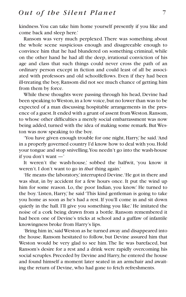kindness. You can take him home yourself presently if you like and come back and sleep here.'

Ransom was very much perplexed. There was something about the whole scene suspicious enough and disagreeable enough to convince him that he had blundered on something criminal, while on the other hand he had all the deep, irrational conviction of his age and class that such things could never cross the path of an ordinary person except in fiction and could least of all be associated with professors and old schoolfellows. Even if they had been ill-treating the boy, Ransom did not see much chance of getting him from them by force.

While these thoughts were passing through his head, Devine had been speaking to Weston, in a low voice, but no lower than was to be expected of a man discussing hospitable arrangements in the presence of a guest. It ended with a grunt of assent from Weston. Ransom, to whose other difficulties a merely social embarrassment was now being added, turned with the idea of making some remark. But Weston was now speaking to the boy.

'You have given enough trouble for one night, Harry,' he said. 'And in a properly governed country I'd know how to deal with you. Hold your tongue and stop snivelling. You needn't go into the wash-house if you don't want —'

It weren't the wash-house,' sobbed the halfwit, 'you know it weren't. I don't want to go in *that* thing again.'

'He means the laboratory,' interrupted Devine. 'He got in there and was shut, in by accident for a few hours once. It put the wind up him for some reason. Lo, the poor Indian, you know.' He turned to the boy. 'Listen, Harry,' he said 'This kind gentleman is going to take you home as soon as he's had a rest. If you'll come in and sit down quietly in the hall. I'll give you something you like.' He imitated the noise of a cork being drawn from a bottle. Ransom remembered it had been one of Devine's tricks at school and a guffaw of infantile knowingness broke from Harry's lips.

'Bring him in,' said Weston as he turned away and disappeared into the house. Ransom hesitated to follow, but Devine assured him that Weston would be very glad to see him. The lie was barefaced, but Ransom's desire for a rest and a drink were rapidly overcoming his social scruples. Preceded by Devine and Harry, he entered the house and found himself a moment later seated in an armchair and awaiting the return of Devine, who had gone to fetch refreshments.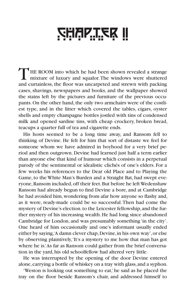## <span id="page-11-0"></span>JHAP.T.SK II

THE ROOM into which he had been shown revealed a strange mixture of luxury and squalor. The windows were shuttered and curtainless, the floor was uncarpeted and strewn with packing cases, shavings, newspapers and books, and the wallpaper showed the stains left by the pictures and furniture of the previous occupants. On the other hand, the only two armchairs were of the costliest type, and in the litter which covered the tables, cigars, oyster shells and empty champagne bottles jostled with tins of condensed milk and opened sardine tins, with cheap crockery, broken bread, teacups a quarter full of tea and cigarette ends.

His hosts seemed to be a long time away, and Ransom fell to thinking of Devine. He felt for him that sort of distaste we feel for someone whom we have admired in boyhood for a very brief period and then outgrown. Devine had learned just half a term earlier than anyone else that kind of humour which consists in a perpetual parody of the sentimental or idealistic clichés of one's elders. For a few weeks his references to the Dear old Place and to Playing the Game, to the White Man's Burden and a Straight Bat, had swept everyone, Ransom included, off their feet. But before he left Wedenshaw Ransom had already begun to find Devine a bore, and at Cambridge he had avoided him, wondering from afar how anyone so flashy and, as it were, ready-made could be so successful. Then had come the mystery of Devine's election. to the Leicester fellowship, and the further mystery of his increasing wealth. He had long since abandoned Cambridge for London, and was presumably something 'in the city'. One heard of him occasionally and one's informant usually ended either by saying, 'A damn clever chap, Devine, in his own way', or else by observing plaintively, 'It's a mystery to me how that man has got where he is.' As far as Ransom could gather from the brief conversation in the yard, his old schoolfellow had altered very little.

He was interrupted by the opening of the door Devine entered alone, carrying a bottle of whiskey on a tray with glass, and a syphon.

'Weston is looking out something to eat,' he said as he placed the tray on the floor beside Ransom's chair, and addressed himself to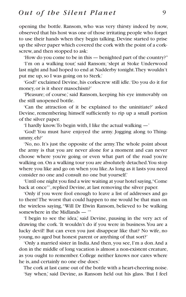opening the bottle. Ransom, who was very thirsty indeed by now, observed that his host was one of those irritating people who forget to use their hands when they begin talking. Devine started to prise up the silver paper which covered the cork with the point of a corkscrew, and then stopped to ask:

'How do you come to be in this — benighted part of the country?"

'I'm on a walking tour,' said Ransom; 'slept at Stoke Underwood last night and had hoped to end at Nadderby tonight. They wouldn't put me up, so I was going on to Sterk.'

'God!' exclaimed Devine, his corkscrew still idle. 'Do you do it for money, or is it sheer masochism?'

'Pleasure; of course,' said Ransom, keeping his eye immovably on the still unopened bottle.

'Can the attraction of it be explained to the uninitiate?' asked Devine, remembering himself sufficiently to rip up a small portion of the silver paper.

'I hardly know. To begin with, I like the actual walking —'

'God! You must have enjoyed the army. Jogging along to Thingummy, eh?'

'No, no. It's just the opposite of the army. The whole point about the army is that you are never alone for a moment and can never choose where you're going or even what part of the road you're walking on. On a walking tour you are absolutely detached. You stop where you like and go on when you like. As long as it lasts you need consider no one and consult no one but yourself.'

'Until one night you find a wire waiting at your hotel saying, "Come back at once"', replied Devine, at last removing the silver paper.

'Only if you were fool enough to leave a list of addresses and go to them! The worst that could happen to me would be that man on the wireless saying, "Will Dr Elwin Ransom, believed to be walking somewhere in the Midlands — '"

'I begin to see the idea,' said Devine, pausing in the very act of drawing the cork. 'It wouldn't do if you were in business. You are a lucky devil! But can even you just disappear like that? No wife, no young, no aged but honest parent or anything of that sort?'

'Only a married sister in India. And then, you see, I'm a don. And a don in the middle of long vacation is almost a non-existent creature, as you ought to remember. College neither knows nor cares where he is, and certainly no one else does.'

The cork at last came out of the bottle with a heart-cheering noise. 'Say when,' said Devine, as Ransom held out his glass. 'But I feel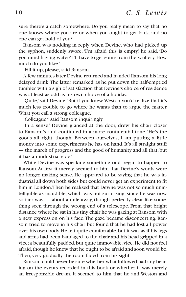sure there's a catch somewhere. Do you really mean to say that no one knows where you are or when you ought to get back, and no one can get hold of you?'

Ransom was nodding in reply when Devine, who had picked up the syphon, suddenly swore. 'I'm afraid this is empty,' he said. 'Do you mind having water? I'll have to get some from the scullery. How much do you like?'

'Fill it up, please,' said Ransom.

A few minutes later Devine returned and handed Ransom his long delayed drink. The latter remarked, as he put down the half-emptied tumbler with a sigh of satisfaction that Devine's choice of residence was at least as odd as his own choice of a holiday.

'Quite,' said Devine. 'But if you knew Weston you'd realize that it's much less trouble to go where he wants than to argue the matter. What you call a strong colleague.'

'Colleague?' said Ransom inquiringly.

'In a sense.' Devine glanced at the door, drew his chair closer to Ransom's, and continued in a more confidential tone. 'He's the goods all right, though. Between ourselves, I am putting a little money into some experiments he has on hand. It's all straight stuff — the march of progress and the good of humanity and all that, but it has an industrial side.'

While Devine was speaking something odd began to happen to Ransom. At first it merely seemed to him that Devine's words were no longer making sense. He appeared to be saying that he was industrial all down both sides but could never get an experiment to fit him in London. Then he realized that Devine was not so much unintelligible as inaudible, which was not surprising, since he was now so far away — about a mile away, though perfectly clear like something seen through the wrong end of a telescope. From that bright distance where he sat in his tiny chair he was gazing at Ransom with a new expression on his face. The gaze became disconcerting. Ransom tried to move in his chair but found that he had lost all power over his own body. He felt quite comfortable, but it was as if his legs and arms had been bandaged to the chair and his head gripped in a vice; a beautifully padded, but quite immovable, vice. He did not feel afraid, though he knew that he ought to be afraid and soon would be. Then, very gradually, the room faded from his sight.

Ransom could never be sure whether what followed had any bearing on the events recorded in this book or whether it was merely an irresponsible dream. It seemed to him that he and Weston and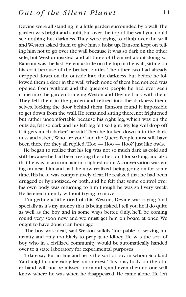Devine were all standing in a little garden surrounded by a wall. The garden was bright and sunlit, but over the top of the wall you could see nothing but darkness. They were trying to climb over the wall and Weston asked them to give him a hoist up. Ransom kept on telling him not to go over the wall because it was so dark on the other side, but Weston insisted, and all three of them set about doing so. Ransom was the last. He got astride on the top of the wall, sitting on his coat because of the broken bottles. The other two had already dropped down on the outside into the darkness, but before he followed them a door in the wall which none of them had noticed was opened from without and the queerest people he had ever seen came into the garden bringing Weston and Devine back with them. They left them in the garden and retired into the darkness themselves, locking the door behind them. Ransom found it impossible to get down from the wall. He remained sitting there, not frightened but rather uncomfortable because his right leg, which was on the outside, felt so dark and his left leg felt so light. 'My leg will drop off if it gets much darker,' he said. Then he looked down into the darkness and asked, 'Who are you?' and the Queer People must still have been there for they all replied,  $Hoo - Hoo - Hoo$ ?' just like owls.

He began to realize that his leg was not so much dark as cold and stiff; because he had been resting the other on it for so long: and also that he was in an armchair in a lighted room. A conversation was going on near him and had, he now realized, being going on for some time. His head was comparatively clear. He realized that he had been drugged or hypnotized, or both, and he felt that some control over his own body was returning to him though he was still very weak. He listened intently without trying to move.

'I'm getting a little tired of this, Weston,' Devine was saying, 'and specially as it's my money that is being risked. I tell you he'll do quite as well as the boy, and in some ways better. Only, he'll be coming round very soon now and we must get him on board at once. We ought to have done it an hour ago.

'The boy was ideal,' said Weston sulkily. 'Incapable of serving humanity and only too likely to propagate idiocy. He was the sort of boy who in a civilized community would be automatically handed over to a state laboratory for experimental purposes.

'I dare say. But in England he is the sort of boy in whom Scotland Yard might conceivably feel an interest. This busy-body, on the other hand, will not be missed for months, and even then no one will know where he was when he disappeared. He came alone. He left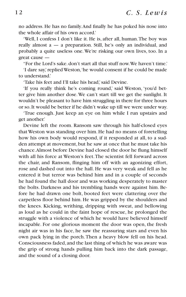no address. He has no family. And finally he has poked his nose into the whole affair of his own accord.'

'Well, I confess I don't like it. He is, after all, human. The boy was really almost a — a preparation. Still, he's only an individual, and probably a quite useless one. We're risking our own lives, too. In a great cause —

"For the Lord's sake. don't start all that stuff now. We haven't time.'

'I dare say,' replied Weston, 'he would consent if he could be made to understand.'

'Take his feet and I'll take his head,' said Devine.

'If you really think he's coming round,' said Weston, 'you'd better give him another dose. We can't start till we get the sunlight. It wouldn't be pleasant to have him struggling in there for three hours or so. It would be better if he didn't wake up till we were under way.

'True enough. Just keep an eye on him while I run upstairs and get another.'

Devine left the room. Ransom saw through his half-closed eyes that Weston was standing over him. He had no means of foretelling how his own body would respond, if it responded at all, to a sudden attempt at movement, but he saw at once that he must take his chance. Almost before Devine had closed the door he flung himself with all his force at Weston's feet. The scientist fell forward across the chair, and Ransom, flinging him off with an agonizing effort, rose and dashed out into the hall. He was very weak and fell as he entered it but terror was behind him and in a couple of seconds he had found the hall door and was working desperately to master the bolts. Darkness and his trembling hands were against him. Before he had drawn one bolt, booted feet were clattering over the carpetless floor behind him. He was gripped by the shoulders and the knees. Kicking, writhing, dripping with sweat, and bellowing as loud as he could in the faint hope of rescue, he prolonged the struggle with a violence of which he would have believed himself incapable. For one glorious moment the door was open, the fresh night air was in his face, he saw the reassuring stars and even his own pack lying in the porch. Then a heavy blow fell on his head. Consciousness faded, and the last thing of which he was aware was the grip of strong hands pulling him back into the dark passage, and the sound of a closing door.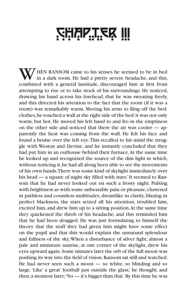## <span id="page-16-0"></span>JHAP.T.SK III

W HEN RANSOM came to his senses he seemed to be in bed in a dark room. He had a pretty severe headache, and this, combined with a general lassitude, discouraged him at first from attempting to rise or to take stock of his surroundings. He noticed, drawing his hand across his forehead, that he was sweating freely, and this directed his attention to the fact that the room (if it was a room) was remarkably warm. Moving his arms to fling off the bedclothes, he touched a wall at the right side of the bed: it was not only warm, but hot. He moved his left hand to and fro in the emptiness on the other side and noticed that there the air was cooler — apparently the heat was coming from the wall. He felt his face and found a bruise over the left eye. This recalled to his mind the struggle with Weston and Devine, and he instantly concluded that they had put him in an outhouse behind their furnace. At the same time he looked up and recognized the source of the dim light in which, without noticing it, he had all along been able to see the movements of his own hands. There was some kind of skylight immediately over his head — a square of night sky filled with stars.' It seemed to Ransom that he had never looked out on such a frosty night. Pulsing with brightness as with some unbearable pain or pleasure, clustered in pathless and countless multitudes, dreamlike in clarity, blazing in perfect blackness, the stars seized all his attention, troubled him, excited him, and drew him up to a sitting position. At the same time they quickened the throb of his headache, and this reminded him that he had been drugged. He was just formulating to himself the theory that the stuff they had given him might have some effect on the pupil and that this would explain the unnatural splendour and fullness of the sky, When a disturbance of silver light, almost a pale and miniature sunrise, at one corner of the skylight, drew his eyes upward again. Some minutes later the orb of the full moon was pushing its way into the field of vision. Ransom sat still and watched. He had never seen such a moon — so white, so blinding and so large. 'Like' a great' football just outside the glass,' he thought, and then, a moment later; 'No  $-$  it's bigger than that.' By this time he was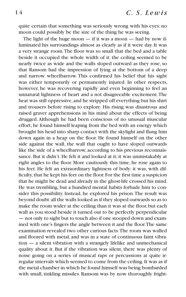quite certain that something was seriously wrong with his eyes: no moon could possibly be the size of the thing he was seeing.

The light of the huge moon  $-$  if it was a moon  $-$  had by now illuminated his surroundings almost as clearly as if it were day. It was a very strange room. The floor was so small that the bed and a table beside it occupied the whole width of it: the ceiling seemed to be nearly twice as wide and the walls sloped outward as they rose, so that Ransom had the impression of lying at the bottom of a deep and narrow wheelbarrow. This confirmed his belief that his sight was either temporarily or permanently injured. In other respects, however, he was recovering rapidly and even beginning to feel an unnatural lightness of heart and a not disagreeable excitement. The heat was still oppressive, and he stripped off everything but his shirt and trousers before rising to explore. His rising was disastrous and raised graver apprehensions in his mind about the effects of being drugged. Although he had been conscious of no unusual muscular effort, he found himself leaping from the bed with an energy which brought his head into sharp contact with the skylight and flung him down again in a heap on the floor. He found himself on the other side against the wall, the wall that ought to have sloped outwards like the side of a wheelbarrow, according to his previous reconnaissance. But it didn't. He felt it and looked at it; it was unmistakably at right angles to the floor. More cautiously this time, he rose again to his feet. He felt an extraordinary lightness of body: it was, with difficulty, that he kept his feet on the floor. For the first time a suspicion that he might be dead and already in the ghost-life crossed his mind. He was trembling, but a hundred mental habits forbade him to consider this possibility. Instead, he explored his prison. The result was beyond doubt: all the walls looked as if they sloped outwards so as to make the room wider at the ceiling than it was at the floor, but each wall as you stood beside it turned out to be perfectly perpendicular — not only to sight but to touch also if one stooped down and examined with one's fingers the angle between it and the floor. The same examination revealed two other curious facts. The room was walled and floored with metal, and was in a state of continuous faint vibration — a silent vibration with a strangely lifelike and unmechanical quality about it. But if the vibration was silent, there was plenty of noise going on a series of musical raps or percussions at quite irregular intervals which seemed to come from the ceiling. It was as if the metal chamber in which he found himself was being bombarded with small, tinkling missiles. Ransom was by now thoroughly fright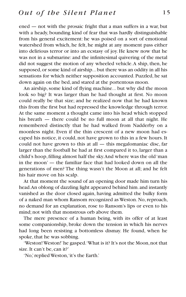ened — not with the prosaic fright that a man suffers in a war, but with a heady, bounding kind of fear that was hardly distinguishable from his general excitement: he was poised on a sort of emotional watershed from which, he felt, he might at any moment pass either into delirious terror or into an ecstasy of joy. He knew now that he was not in a submarine: and the infinitesimal quivering of the metal did not suggest the motion of any wheeled vehicle. A ship, then, he supposed, or some kind of airship... but there was an oddity in all his sensations for which neither supposition accounted. Puzzled, he sat down again on the bed, and stared at the portentous moon.

An airship, some kind of flying machine... but why did the moon look so big? It was larger than he had thought at first. No moon could really be that size; and he realized now that he had known this from the first but had repressed the knowledge through terror. At the same moment a thought came into his head which stopped his breath — there could be no full moon at all that night. He remembered distinctly that he had walked from Nadderby on a moonless night. Even if the thin crescent of a new moon had escaped his notice, it could, not have grown to this in a few hours. It could not have grown to this at all — this megalomaniac disc, far larger than the football he had at first compared it to, larger than a child's hoop, filling almost half the sky. And where was the old 'man in the moon' — the familiar face that had looked down on all the generations of men? The thing wasn't the Moon at all; and he felt his hair move on his scalp.

At that moment the sound of an opening door made him turn his head. An oblong of dazzling light appeared behind him. and instantly vanished as the door closed again, having admitted the bulky form of a naked man whom Ransom recognized as Weston. No, reproach, no demand for an explanation, rose to Ransom's lips or even to his mind; not with that monstrous orb above them.

The mere presence of a human being, with its offer of at least some companionship, broke down the tension in which his nerves had long been resisting a bottomless dismay. He found, when he spoke, that he was sobbing.

'Weston! Weston!' he gasped. 'What is it? It's not the Moon, not that size. It can't be, can it?'

'No,' replied Weston, 'it's the Earth.'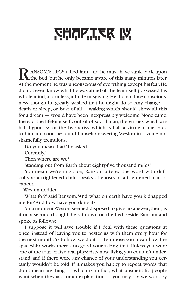## <span id="page-19-0"></span><u>Shapter IV</u>

R ANSOM'S LEGS failed him, and he must have sunk back upon<br>the bed, but he only became aware of this many minutes later. At the moment he was unconscious of everything except his fear. He did not even know what he was afraid of, the fear itself possessed his whole mind, a formless, infinite misgiving. He did not lose consciousness, though he greatly wished that he might do so. Any change death or sleep, or, best of all, a waking which should show all this for a dream — would have been inexpressibly welcome. None came. Instead, the lifelong self-control of social man, the virtues which are half hypocrisy or the hypocrisy which is half a virtue, came back to him and soon he found himself answering Weston in a voice not shamefully tremulous.

'Do you mean that?' he asked.

'Certainly.'

'Then where are we?'

'Standing out from Earth about eighty-five thousand miles.'

'You mean we're in space,' Ransom uttered the word with difficulty as a frightened child speaks of ghosts or a frightened man of cancer.

Weston nodded.

'What for?' said Ransom. 'And what on earth have you kidnapped me for? And how have you done it?'

For a moment Weston seemed disposed to give no answer; then, as if on a second thought, he sat down on the bed beside Ransom and spoke as follows:

'I suppose it will save trouble if I deal with these questions at once, instead of leaving you to pester us with them every hour for the next month. As to how we do it  $-1$  suppose you mean how the spaceship works there's no good your asking that. Unless you were one of the four or five real physicists now living you couldn't understand: and if there were any chance of your understanding you certainly wouldn't be told. If it makes you happy to repeat words that don't mean anything — which is, in fact, what unscientific people want when they ask for an explanation — you may say we work by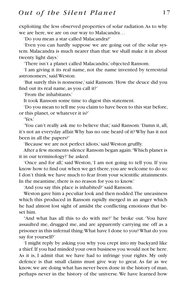exploiting the less observed properties of solar radiation. As to why we are here, we are on our way to Malacandra…

'Do you mean a star called Malacandra?'

'Even you can hardly suppose we are going out of the solar system. Malacandra is much nearer than that: we shall make it in about twenty light days.'

'There isn't a planet called Malacandra,' objected Ransom.

'I am giving it its real name, not the name invented by terrestrial astronomers,' said Weston.

'But surely this is nonsense,' said Ransom. 'How the deuce did you find out its real name, as you call it?'

'From the inhabitants.'

It took Ransom some time to digest this statement.

'Do you mean to tell me you claim to have been to this star before, or this planet, or whatever it is?'

'Yes.'

'You can't really ask me to believe that,' said Ransom. 'Damn it, all, it's not an everyday affair. Why has no one heard of it? Why has it not been in all the papers?'

'Because we are not perfect idiots,' said Weston gruffly.

After a few moments silence Ransom began again. 'Which planet is it in our terminology?' he asked.

'Once and for all,' said Weston, 'I am not going to tell you. If you know how to find out when we get there, you are welcome to do so: I don't think we have much to fear from your scientific attainments. In the meantime, there is no reason for you to know.'

'And you say this place is inhabited?' said Ransom.

Weston gave him a peculiar look and then nodded. The uneasiness which this produced in Ransom rapidly merged in an anger which he had almost lost sight of amidst the conflicting emotions that beset him.

"And what has all this to do with me?' he broke out. 'You have assaulted me, drugged me, and are apparently carrying me off as a prisoner in this infernal thing. What have I done to you? What do you say for yourself?'

'I might reply by asking you why you crept into my backyard like a thief. If you had minded your own business you would not be here. As it is, I admit that we have had to infringe your rights. My only defence is that small claims must give way to great. As far as we know, we are doing what has never been done in the history of man, perhaps never in the history of the universe. We have learned how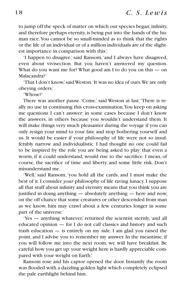to jump off the speck of matter on which our species began; infinity, and therefore perhaps eternity, is being put into the hands of the human race. You cannot be so small-minded as to think that the rights or the life of an individual or of a million individuals are of the slightest importance in comparison with this.'

'I happen to disagree,' said Ransom, 'and I always have disagreed, even about vivisection. But you haven't answered my question. What do you want me for? What good am I to do you on this — on Malacandra?'

'That I don't know,' said Weston. 'It was no idea of ours. We are only obeying orders.'

'Whose?'

There was another pause. 'Come,' said Weston at last. 'There is really no use in continuing this cross-examination. You keep on asking me questions I can't answer: in some cases because I don't know the answers, in others because you wouldn't understand them. It will make things very much pleasanter during the voyage if you can only resign your mind to your fate and stop bothering yourself and us. It would be easier if your philosophy of life were not so insufferably narrow and individualistic. I had thought no one could fail to be inspired by the role you are being asked to play: that even a worm, if it could understand, would rise to the sacrifice. I mean, of course, the sacrifice of time and liberty, and some little risk. Don't misunderstand me.

'Well,' said Ransom, 'you hold all the cards, and I must make the best of it. I consider *your* philosophy of life raving lunacy. I suppose all that stuff about infinity and eternity means that you think you are justified in doing anything — absolutely anything — here and now, on the off chance that some creatures or other descended from man as we know, him may crawl about a few centuries longer in some part of the universe.'

'Yes — anything whatever,' returned the scientist sternly, 'and all educated opinion — for I do not call classics and history and such trash education — is entirely on my side. I am glad you raised the point, and I advise you to remember my answer. In the meantime, if you will follow me into the next room, we will have breakfast. Be careful how you get up: your weight here is hardly appreciable compared with your weight on Earth.'

Ransom rose and his captor opened the door. Instantly the room was flooded with a dazzling golden light which completely eclipsed the pale earthlight behind him.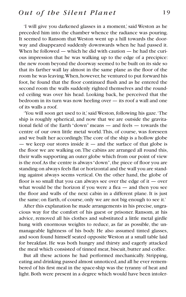'I will give you darkened glasses in a moment,' said Weston as he preceded him into the chamber whence the radiance was pouring. It seemed to Ransom that Weston went up a hill towards the doorway and disappeared suddenly downwards when he had passed it. When he followed — which he did with caution — he had the curious impression that he was walking up to the edge of a precipice: the new room beyond the doorway seemed to be built on its side so that its farther wall lay almost in the same plane as the floor of the room he was leaving. When, however, he ventured to put forward his foot, he found that the floor continued flush and as he entered the second room the walls suddenly righted themselves and the rounded ceiling was over his head. Looking back, he perceived that the bedroom in its turn was now heeling over — its roof a wall and one of its walls a roof.

'You will soon get used to it,' said Weston, following his gaze. 'The ship is roughly spherical, and now that we are outside the gravitational field of the Earth "down" means — and feels — towards the centre of our own little metal world. This, of course, was foreseen and we built her accordingly. The core of the ship is a hollow globe — we keep our stores inside it — and the surface of that globe is the floor we are walking on. The cabins are arranged all round this, their walls supporting an outer globe which from our point of view is the roof. As the centre is always "down", the piece of floor you are standing on always feels flat or horizontal and the wall you are standing against always seems vertical. On the other hand, the globe of floor is so small that you can always see over the edge of it — over what would be the horizon if you were a flea — and then you see the floor and walls of the next cabin in a different plane. It is just the same; on Earth, of course, only we are not big enough to see it.'

After this explanation he made arrangements in his precise, ungracious way for the comfort of his guest or prisoner. Ransom, at his advice, removed all his clothes and substituted a little metal girdle hung with enormous weights to reduce, as far as possible, the unmanageable lightness of his body. He also assumed tinted glasses, and soon found himself seated opposite Weston at a small table laid for breakfast. He was both hungry and thirsty and eagerly attacked the meal which consisted of tinned meat, biscuit, butter and coffee.

But all these actions he had performed mechanically. Stripping, eating and drinking passed almost unnoticed, and all he ever remembered of his first meal in the space-ship was the tyranny of heat and light. Both were present in a degree which would have been intoler-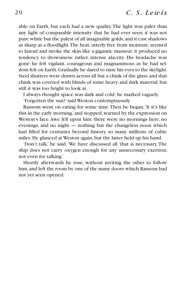able on Earth, but each had a new quality. The light was paler than any light of comparable intensity that he had ever seen; it was not pure white but the palest of all imaginable golds, and it cast shadows as sharp as a floodlight. The heat, utterly free from moisture, seemed to knead and stroke the skin like a gigantic masseur: it produced no tendency to drowsiness: rather, intense alacrity. His headache was gone: he felt vigilant, courageous and magnanimous as he had seldom felt on Earth. Gradually he dared to raise his eyes to the skylight. Steel shutters were drawn across all but a chink of the glass, and that chink was covered with blinds of some heavy and dark material; but still it was too bright to look at.

I always thought space was dark and cold,' he marked vaguely.

'Forgotten the sun?' said Weston contemptuously.

Ransom went on eating for some time. Then he began, 'It it's like this in the early morning,' and stopped, warned by the expression on Weston's face. Awe fell upon him: there were no mornings here, no evenings, and no night — nothing but the changeless noon which had filled for centuries beyond history so many millions of cubic miles. He glanced at Weston again, but the latter held up his hand.

'Don't talk,' he said. 'We have discussed all 'that is necessary. The ship does not carry oxygen enough for any unnecessary exertion; not even for talking.'

Shortly afterwards he rose, without inviting the other to follow him, and left the room by one of the many doors which Ransom had not yet seen opened.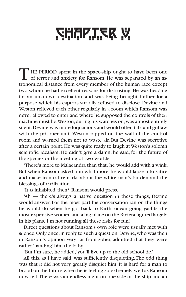#### <span id="page-24-0"></span><u>VHAPTER W</u>

THE PERIOD spent in the space-ship ought to have been one of terror and anxiety for Ransom. He was separated by an astronomical distance from every member of the human race except two whom he had excellent reasons for distrusting. He was heading for an unknown destination, and was being brought thither for a purpose which his captors steadily refused to disclose. Devine and Weston relieved each other regularly in a room which Ransom was never allowed to enter and where he supposed the controls of their machine must be. Weston, during his watches on, was almost entirely silent. Devine was more loquacious and would often talk and guffaw with the prisoner until Weston rapped on the wall of the control room and warned them not to waste air. But Devine was secretive after a certain point. He was quite ready to laugh at Weston's solemn scientific idealism. He didn't give a damn, he said, for the future of the species or the meeting of two worlds.

'There's more to Malacandra than that,' he would add with a wink. But when Ransom asked him what more, he would lapse into satire and make ironical remarks about the white man's burden and the blessings of civilization.

'It *is* inhabited, then?' Ransom would press.

'Ah — there's always a native question in these things, Devine would answer. For the most part his conversation ran on the things he would do when he got back to Earth: ocean going yachts, the most expensive women and a big place on the Riviera figured largely in his plans. 'I'm not running all these risks for fun.'

Direct questions about Ransom's own role were usually met with silence. Only once, in reply to such a question, Devine, who was then in Ransom's opinion very far from sober, admitted that they were rather 'handing' him the baby.

'But I'm sure,' he added, 'you'll live up to the old school tie.'

All this, as I have said, was sufficiently disquieting. The odd thing was that it did not very greatly disquiet him. It is hard for a man to brood on the future when he is feeling so extremely well as Ransom now felt. There was an endless night on one side of the ship and an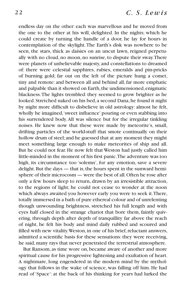endless day on the other: each was marvellous and he moved from the one to the other at his will, delighted. In the nights; which he could create by turning the handle of a door, he lay for hours in contemplation of the skylight. The Earth's disk was nowhere to be seen, the stars, thick as daisies on an uncut lawn, reigned perpetually with no cloud, no moon, no sunrise, to dispute their sway. There were planets of unbelievable majesty, and constellations to dreamed of: there were celestial sapphires, rubies, emeralds and pin-pricks of burning gold; far out on the left of the picture hung a comet, tiny and remote: and between all and behind all, far more emphatic and palpable than it showed on Earth, the undimensioned, enigmatic blackness. The lights trembled: they seemed to grow brighter as he looked. Stretched naked on his bed, a second Dana, he found it night by night more difficult to disbelieve in old astrology: almost he felt, wholly he imagined, 'sweet influence' pouring or even stabbing into his surrendered body. All was silence but for the irregular tinkling noises. He knew now that these were made by meteorite's, small, drifting particles of the world-stuff that smote continually on their hollow drum of steel; and he guessed that at any moment they might meet something large enough to make meteorites of ship and all. But he could not fear. He now felt that Weston had justly called him little-minded in the moment of his first panic. The adventure was too high, its circumstance too 'solemn', for any emotion, save a severe delight. But the days — that is, the hours spent in the sunward hemisphere of their microcosm — were the best of all. Often he rose after only a few hours sleep to return, drawn by an irresistible attraction, to the regions of light; he could not cease to wonder at the noon which always awaited you however early you were to seek it. There, totally immersed in a bath of pure ethereal colour and of unrelenting though unwounding brightness, stretched his full length and with eyes half closed in the strange chariot that bore them, faintly quivering, through depth after depth of tranquillity far above the reach of night, he felt his body and mind daily rubbed and scoured and filled with new vitality. Weston, in one of his brief, reluctant answers, admitted a scientific basis for these sensations: they were receiving, he said, many rays that never penetrated the terrestrial atmosphere.

But Ransom, as time wore on, became aware of another and more spiritual cause for his progressive lightening and exultation of heart. A nightmare, long engendered in the modern mind by the mythology that follows in the wake of science, was falling off him. He had read of 'Space': at the back of his thinking for years had lurked the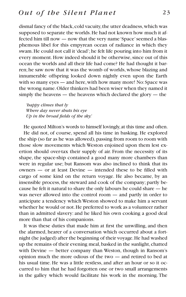dismal fancy of the black, cold vacuity, the utter deadness, which was supposed to separate the worlds. He had not known how much it affected him till now — now that the very name 'Space' seemed a blasphemous libel for this empyrean ocean of radiance in which they swam. He could not call it 'dead'; he felt life pouring into him from it every moment. How indeed should it be otherwise, since out of this ocean the worlds and all their life had come? He had thought it barren; he saw now that it was the womb of worlds, whose blazing and innumerable offspring looked down nightly even upon the Earth with so many eyes — and here, with how many more! No: Space was the wrong name. Older thinkers had been wiser when they named it simply the heavens — the heavens which declared the glory — the

*'happy climes that ly Where day never shuts his eye Up in the broad fields of the sky.'* 

He quoted Milton's words to himself lovingly, at this time and often. He did not, of course, spend all his time in basking. He explored the ship (so far as he was allowed), passing from room to room with those slow movements which Weston enjoined upon them lest exertion should over-tax their supply of air. From the necessity of its shape, the space-ship contained a good many more chambers than were in regular use; but Ransom was also inclined to think that its owners — or at least Devine — intended these to be filled with cargo of some kind on the return voyage. He also became, by an insensible process, the steward and cook of the company; partly because he felt it natural to share the only labours he could share — he was never allowed into the control room — and partly in order to anticipate a tendency which Weston showed to make him a servant whether he would or not. He preferred to work as a volunteer rather than in admitted slavery: and he liked his own cooking a good deal more than that of his companions.

It was these duties that made him at first the unwilling, and then the alarmed, hearer of a conversation which occurred about a fortnight (he judged) after the beginning of their voyage. He had washed up the remains of their evening meal, basked in the sunlight, chatted with Devine — better company than Weston, though in Ransom's opinion much the more odious of the two — and retired to bed at his usual time. He was a little restless, and after an hour or so it occurred to him that he had forgotten one or two small arrangements in the galley which would facilitate his work in the morning. The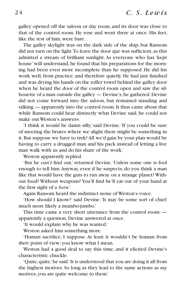galley opened off the saloon or day room, and its door was close to that of the control room. He rose and went there at once. His feet, like the rest of him, were bare.

The galley skylight was on the dark side of the ship, but Ransom did not turn on the light. To leave the door ajar was sufficient, as this admitted a stream of brilliant sunlight. As everyone who has 'kept house' will understand, he found that his preparations for the morning had been even more incomplete than he supposed. He did his work well, from practice, and therefore quietly. He had just finished and was drying his hands on the roller towel behind the galley door when he heard the door of the control room open and saw the silhouette of a man outside the galley — Devine's, he gathered. Devine did not come forward into the saloon, but remained standing and talking — apparently into the control room. It thus came about that while Ransom could hear distinctly what Devine said, he could not make out Weston's answers.

'I think it would be damn silly,' said Devine. 'If you could be sure of meeting the brutes where we alight there might be something in it. But suppose we have to trek? All we'd gain by your plan would be having to carry a drugged man and his pack instead of letting a live man walk with us and do his share of the work.'

Weston apparently replied.

'But he *can't* find out,' returned Devine. 'Unless some one is fool enough to tell him. Anyway, even if he suspects, do you think a man like that would have the guts to run away on a strange planet? Without food? Without weapons? You'll find he'll eat out of your hand at the first sight of a *Sorn*.'

Again Ransom heard the indistinct noise of Weston's voice.

'How should I know?' said Devine. 'It may be some sort of chief: much more likely a mumbo-jumbo.'

This time came a very short utterance from the control room: apparently a question. Devine answered at once.

'It would explain why he was wanted.'

Weston asked him something more.

'Human sacrifice, I suppose. At least it wouldn't be human from *their* point of view; you know what I mean.

Weston had a good deal to say this time, and it elicited Devine's characteristic chuckle.

'Quite, quite,' he said. 'It is understood that you are doing it all from the highest motives. So long as they lead to the same actions as *my* motives, you are quite welcome to them.'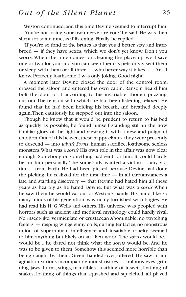Weston continued; and this time Devine seemed to interrupt him. 'You're not losing your own nerve, are you?' he said. He was then silent for some time, as if listening. Finally, he replied:

'If you're so fond of the brutes as that you'd better stay and interbreed — if they have sexes, which we don't yet know. Don't you worry. When the time comes for cleaning the place up we'll save one or two for you, and you can keep them as pets or vivisect them or sleep with them or all three — whichever way it takes ....... Yes, I know. Perfectly loathsome. I was only joking. Good night.'

A moment later Devine closed the door of the control room, crossed the saloon and entered his own cabin. Ransom heard him bolt the door of it according to his invariable, though puzzling, custom. The tension with which he had been listening relaxed. He found that he had been holding his breath, and breathed deeply again. Then cautiously he stepped out into the saloon.

Though he knew that it would be prudent to return to his bed as quickly as possible, he found himself standing still in the now familiar glory of the light and viewing it with a new and poignant emotion. Out of this heaven, these happy climes, they were presently to descend — into *what*? *Sorns*, human sacrifice, loathsome sexless monsters. What was a *sorn*? His own role in the affair was now clear enough. Somebody or something had sent for him. It could hardly be for him personally. The somebody wanted a victim — any victim — from Earth. He had been picked because Devine had done the picking; he realized for the first time — in all circumstances a late and startling discovery — that Devine had hated him all these years as heartily as he hated Devine. But what was a *sorn*? When he saw them he would eat out of Weston's hands. His mind, like so many minds of his generation, was richly furnished with bogies. He had read his H. G. Wells and others. His universe was peopled with horrors such as ancient and medieval mythology could hardly rival. No insect-like, vermiculate or crustacean Abominable, no twitching feelers, — rasping wings, slimy coils, curling tentacles, no monstrous union of superhuman intelligence and insatiable cruelty seemed to him anything but likely on an alien world. The *sorns* would be... would be... he dared not think what the *sorns* would be. And he was to be given to them. Somehow this seemed more horrible than being caught by them. Given, handed over, offered. He saw in imagination various incompatible monstrosities — bulbous eyes, grinning jaws, horns, stings, mandibles. Loathing of insects, loathing of snakes, loathing of things that squashed and squelched, all played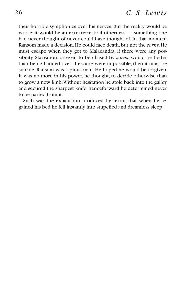their horrible symphonies over his nerves. But the reality would be worse: it would be an extra-terrestrial otherness — something one had never thought of never could have thought of. In that moment Ransom made a decision. He could face death, but not the *sorns*. He must escape when they got to Malacandra, if there were any possibility. Starvation, or even to be chased by *sorns*, would be better than being handed over. If escape were impossible, then it must be suicide. Ransom was a pious man. He hoped he would be forgiven. It was no more in his power, he thought, to decide otherwise than to grow a new limb. Without hesitation he stole back into the galley and secured the sharpest knife: henceforward he determined never to be parted from it.

Such was the exhaustion produced by terror that when he regained his bed he fell instantly into stupefied and dreamless sleep.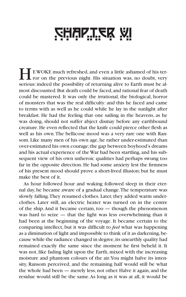## <span id="page-30-0"></span><u>Shapter Vi</u>

**HE WOKE** much refreshed, and even a little ashamed of his ter-<br>ror on the previous night. His situation was, no doubt, very serious: indeed the possibility of returning alive to Earth must be almost discounted. But death could be faced, and rational fear of death could be mastered. It was only the irrational, the biological, horror of monsters that was the real difficulty: and this he faced and came to terms with as well as he could while he lay in the sunlight after breakfast. He had the feeling that one sailing in the heavens, as he was doing, should not suffer abject dismay before any earthbound creature. He even reflected that the knife could pierce other flesh as well as his own. The bellicose mood was a very rare one with Ransom. Like many men of his own age, he rather under-estimated than over-estimated his own courage; the gap between boyhood's dreams and his actual experience of the War had been startling, and his subsequent view of his own unheroic qualities had perhaps swung too far in the opposite direction. He had some anxiety lest the firmness of his present mood should prove a short-lived illusion; but he must make the best of it.

As hour followed hour and waking followed sleep in their eternal day, he became aware of a gradual change. The temperature was slowly falling. They resumed clothes. Later, they added warm underclothes. Later still, an electric heater was turned on in the centre of the ship. And it became certain, too — though the phenomenon was hard to seize — that the light was less overwhelming than it had been at the beginning of the voyage. It became certain to the comparing intellect, but it was difficult to *feel* what was happening as a diminution of light and impossible to think of it as darkening, because while the radiance changed in degree, its unearthly quality had remained exactly the same since the moment he first beheld it. It was not, like fading light upon the Earth, mixed with the increasing moisture and phantom colours of the air. You might halve its intensity, Ransom perceived, and the remaining half would still be what the whole had been — merely less, not other. Halve it again, and the residue would still be the same. As long as it was at all, it would be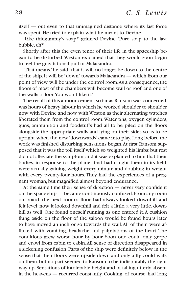itself — out even to that unimagined distance where its last force was spent. He tried to explain what he meant to Devine.

'Like thingummy's soap!' grinned Devine. 'Pure soap to the last bubble, eh?'

Shortly after this the even tenor of their life in the spaceship began to be disturbed. Weston explained that they would soon begin to feel the gravitational pull of Malacandra.

'That means,' he said, 'that it will no longer be down to the centre of the ship. It will be "down" towards Malacandra — which from our point of view will be under the control room. As a consequence, the floors of most of the chambers will become wall or roof, and one of the walls a floor. You won't like it.'

The result of this announcement, so far as Ransom was concerned, was hours of heavy labour in which he worked shoulder to shoulder now with Devine and now with Weston as their alternating watches liberated them from the control room. Water tins, oxygen cylinders, guns, ammunition and foodstuffs had all to be piled on the floors alongside the appropriate walls and lying on their sides so as to be upright when the new 'downwards' came into play. Long before the work was finished disturbing sensations began. At first Ransom supposed that it was the toil itself which so weighted his limbs: but rest did not alleviate the symptom, and it was explained to him that their bodies, in response to the planet that had caught them in its field, were actually gaining weight every minute and doubling in weight with every twenty-four hours. They had the experiences of a pregnant woman, but magnified almost beyond endurance.

At the same time their sense of direction — never very confident on the space-ship — became continuously confused. From any room on board, the next room's floor had always looked downhill and felt level: now it looked downhill and felt a little, a very little, downhill as well. One found oneself running as one entered it. A cushion flung aside on the floor of the saloon would be found hours later to have moved an inch or so towards the wall. All of them were afflicted with vomiting, headache and palpitations of the heart. The conditions grew worse hour by hour. Soon one could only grope and crawl from cabin to cabin. All sense of direction disappeared in a sickening confusion. Parts of the ship were definitely below in the sense that their floors were upside down and only a fly could walk on them: but no part seemed to Ransom to be indisputably the right way up. Sensations of intolerable height and of falling utterly absent in the heavens — recurred constantly. Cooking, of course, had long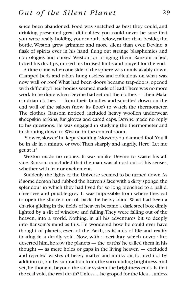since been abandoned. Food was snatched as best they could, and drinking presented great difficulties: you could never be sure that you were really holding your mouth below, rather than beside, the bottle. Weston grew grimmer and more silent than ever. Devine, a flask of spirits ever in his hand, flung out strange blasphemies and coprologies and cursed Weston for bringing them. Ransom ached, licked his dry lips, nursed his bruised limbs and prayed for the end.

A time came when one side of the sphere was unmistakably down. Clamped beds and tables hung useless and ridiculous on what was now wall or roof. What had been doors became trap-doors, opened with difficulty. Their bodies seemed made of lead. There was no more work to be done when Devine had set out the clothes — their Malacandrian clothes — from their bundles and squatted down on the end wall of the saloon (now its floor) to watch the thermometer. The clothes, Ransom noticed, included heavy woollen underwear, sheepskin jerkins, fur gloves and eared caps. Devine made no reply to his questions. He was engaged in studying the thermometer and in shouting down to Weston in the control room.

'Slower, slower,' he kept shouting. 'Slower, you damned fool. You'll be in air in a minute or two.' Then sharply and angrily. 'Here! Let me get at it.'

Weston made no replies. It was unlike Devine to waste his advice: Ransom concluded that the man was almost out of his senses, whether with fear or excitement.

Suddenly the lights of the Universe seemed to be turned down. As if some demon had rubbed the heaven's face with a dirty sponge, the splendour in which they had lived for so long blenched to a pallid, cheerless and pitiable grey. It was impossible from where they sat to open the shutters or roll back the heavy blind. What had been a chariot gliding in the fields of heaven became a dark steel box dimly lighted by a slit of window, and falling. They were falling out of the heaven, into a world. Nothing. in all his adventures bit so deeply into Ransom's mind as this. He wondered how he could ever have thought of planets, even of the Earth, as islands of life and reality floating in a deadly void. Now, with a certainty which never after deserted him, he saw the planets — the 'earths' he called them in his thought  $-$  as mere holes or gaps in the living heaven  $-$  excluded and rejected wastes of heavy matter and murky air, formed not by addition to, but by subtraction from, the surrounding brightness; And yet, he thought, beyond the solar system the brightness ends. Is that the real void, the real death? Unless ... he groped for the idea ... unless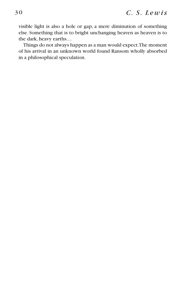visible light is also a hole or gap, a mere diminution of something else. Something that is to bright unchanging heaven as heaven is to the dark, heavy earths....

Things do not always happen as a man would expect. The moment of his arrival in an unknown world found Ransom wholly absorbed in a philosophical speculation.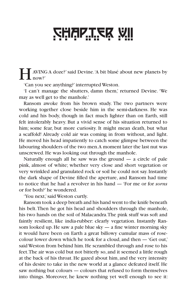#### <span id="page-34-0"></span><u>Shapter VII</u>

H AVING A doze?' said Devine. 'A bit blasé about new planets by now?'

'Can you see anything?' interrupted Weston.

'I can't manage the shutters, damn them,' returned Devine. 'We may as well get to the manhole.'

Ransom awoke from his brown study. The two partners were working together close beside him in the semi-darkness. He was cold and his body, though in fact much lighter than on Earth, still felt intolerably heavy. But a vivid sense of his situation returned to him; some fear, but more curiosity. It might mean death, but what a scaffold! Already cold air was coming in from without, and light. He moved his head impatiently to catch some glimpse between the labouring shoulders of the two men. A moment later the last nut was unscrewed. He was looking out through the manhole.

Naturally enough all he saw was the ground  $-$  a circle of pale pink, almost of white; whether very close and short vegetation or very wrinkled and granulated rock or soil he could not say. Instantly the dark shape of Devine filled the aperture, and Ransom had time to notice that he had a revolver in his hand — 'For me or for *sorns* or for both?' he wondered.

'You next,' said Weston curtly.

Ransom took a deep breath and his hand went to the knife beneath his belt. Then he got his head and shoulders through the manhole, his two hands on the soil of Malacandra. The pink stuff was soft and faintly resilient, like india-rubber: clearly vegetation. Instantly Ransom looked up. He saw a pale blue sky  $-$  a fine winter morning sky it would have been on Earth a great billowy cumular mass of rosecolour lower down which he took for a cloud, and then — 'Get out,' said Weston from behind him. He scrambled through and rose to his feet. The air was cold but not bitterly so, and it seemed a little rough at the back of his throat. He gazed about him, and the very intensity of his desire to take in the new world at a glance defeated itself. He saw nothing but colours — colours that refused to form themselves into things. Moreover, he knew nothing yet well enough to see it: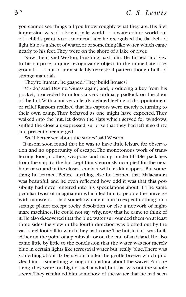you cannot see things till you know roughly what they are. His first impression was of a bright, pale world — a watercolour world out of a child's paint-box; a moment later he recognized the flat belt of light blue as a sheet of water, or of something like water, which came nearly to his feet. They were on the shore of a lake or river.

'Now then,' said Weston, brushing past him. He turned and saw to his surprise, a quite recognizable object in the immediate foreground' — a hut of unmistakably terrestrial pattern though built of strange materials.

'They're human,' he gasped. 'They build houses?'

'*We* do,' said Devine. 'Guess again,' and, producing a key from his pocket, proceeded to unlock a very ordinary padlock on the door of the hut. With a not very clearly defined feeling of disappointment or relief Ransom realized that his captors were merely returning to their own camp. They behaved as one might have expected. They walked into the hut, let down the slats which served for windows, sniffed the close air, expressed' surprise that they had left it so dirty, and presently reemerged.

'We'd better see about the stores,' said Weston.

Ransom soon found that he was to have little leisure for observation and no opportunity of escape. The monotonous work of transferring food, clothes, weapons and many unidentifiable packages from the ship to the hut kept him vigorously occupied for the next hour or so, and in the closest contact with his kidnappers. But something he learned. Before anything else he learned that Malacandra was beautiful; and he even reflected how odd it was that this possibility had never entered into his speculations about it. The same peculiar twist of imagination which led him to people the universe with monsters — had somehow taught him to expect nothing on a strange planet except rocky desolation or else a network of nightmare machines. He could not say why, now that he came to think of it. He also discovered that the blue water surrounded them on at least three sides: his view in the fourth direction was blotted out by the vast steel football in which they had come. The hut, in fact, was built either on the point of a peninsula or on the end of an island. He also came little by little to the conclusion that the water was not merely blue in certain lights like terrestrial water but 'really' blue. There was something about its behaviour under the gentle breeze which puzzled him — something wrong or unnatural about the waves. For one thing, they were too big for such a wind, but that was not the whole secret. They reminded him somehow of the water that he had seen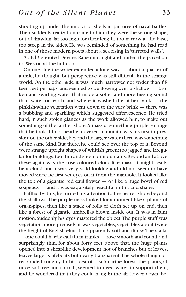shooting up under the impact of shells in pictures of naval battles. Then suddenly realization came to him: they were the wrong shape, out of drawing, far too high for their length, 'too narrow at the base, too steep in the sides. He was reminded of something he had read in one of those modern poets about a sea rising in 'turreted walls'.

'Catch!' shouted Devine. Ransom caught and hurled the parcel on to 'Weston at the hut door.

On one side the water extended a long way — about a quarter of a mile, he thought, but perspective was still difficult in the strange world. On the other side it was much narrower, not wider than fifteen feet perhaps, and seemed to be flowing over a shallow — broken and swirling water that made a softer and more hissing sound than water on earth; and where it washed the hither bank — the pinkish-white vegetation went down to the very brink — there was a bubbling and sparkling which suggested effervescence. He tried hard, in such stolen glances as the work allowed him, to make out something of the farther shore. A mass of something purple, so huge that he took it for a heather-covered mountain, was his first impression: on the other side, beyond the larger water, there was something of the same kind. But there, he could see over the top of it. Beyond were strange upright shapes of whitish green; too jagged and irregular for buildings, too thin and steep for mountains. Beyond and above these again was the rose-coloured cloud-like mass. It might really be a cloud but it was very solid looking and did not seem to have moved since he first set eyes on it from the manhole. It looked like the top of a gigantic red cauliflower — or like a huge bowl of red soapsuds — and it was exquisitely beautiful in tint and shape.

Baffled by this, he turned his attention to the nearer shore beyond the shallows. The purple mass looked for a moment like a plump of organ-pipes, then like a stack of rolls of cloth set up on end, then like a forest of gigantic umbrellas blown inside out. It was in faint motion. Suddenly his eyes mastered the object. The purple stuff was vegetation: more precisely it was vegetables, vegetables about twice the height of English elms, but apparently soft and flimsy. The stalks — one could hardly call them trunks — rose smooth and round, and surprisingly thin, for about forty feet: above that, the huge plants opened into a sheaf-like development, not of branches but of leaves, leaves large as lifeboats but nearly transparent. The whole thing corresponded roughly to his idea of a submarine forest: the plants, at once so large and so frail, seemed to need water to support them, and he wondered that they could hang in the air. Lower down, be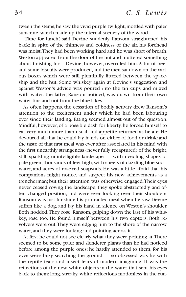tween the stems, he saw the vivid purple twilight, mottled with paler sunshine, which made up the internal scenery of the wood.

'Time for lunch,' said Devine suddenly. Ransom straightened his back; in spite of the thinness and coldness of the air, his forehead was moist. They had been working hard and he was short of breath. Weston appeared from the door of the hut and muttered something about finishing first'. Devine, however, overruled him. A tin of beef and some biscuits were produced, and the men sat down on the various boxes which were still plentifully littered between the spaceship and the hut. Some whiskey again at Devine's suggestion and against Weston's advice was poured into the tin cups and mixed with water: the latter, Ransom noticed, was drawn from their own water tins and not from the blue lakes.

As often happens, the cessation of bodily activity drew Ransom's attention to the excitement under which he had been labouring ever since their landing. Eating seemed almost out of the question. Mindful, however, of a possible dash for liberty, he forced himself to eat very much more than usual, and appetite returned as he ate. He devoured all that he could lay hands on either of food or drink: and the taste of that first meal was ever after associated in his mind with the first unearthly strangeness (never fully recaptured) of the bright, still; sparkling unintelligible landscape — with needling shapes of pale green, thousands of feet high, with sheets of dazzling blue sodawater, and acres of rose-red soapsuds. He was a little afraid that his companions might notice, and suspect his new achievements as a trencherman; but their attention was otherwise engaged. Their eyes never ceased roving the landscape; they spoke abstractedly and often changed position, and were ever looking over their shoulders. Ransom was just finishing his protracted meal when he saw Devine stiffen like a dog, and lay his hand in silence on Weston's shoulder. Both nodded. They rose. Ransom, gulping down the last of his whiskey, rose too. He found himself between his two captors. Both revolvers were out. They were edging him to the shore of the narrow water, and they were looking and pointing across it.

At first he could not see clearly what they were pointing at. There seemed to be some paler and slenderer plants than he had noticed before among the purple ones; he hardly attended to them, for his eyes were busy searching the ground — so obsessed was he with the reptile fears and insect fears of modern imagining. It was the reflections of the new white objects in the water that sent his eyes back to them: long, streaky, white reflections motionless in the run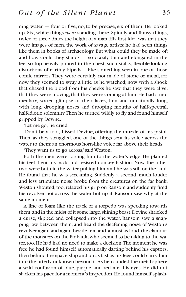ning water — four or five, no, to be precise, six of them. He looked up. Six, white things *were* standing there. Spindly and flimsy things, twice or three times the height of a man. His first idea was that they were images of men, the work of savage artists; he had seen things like them in books of archaeology. But what could they be made of; and how could they stand? — so crazily thin and elongated in the leg, so top-heavily pouted in the chest, such stalky, flexible-looking distortions of earthly bipeds ... like something seen in one of those comic mirrors. They were certainly not made of stone or metal, for now they seemed to sway a little as he watched; now with a shock that chased the blood from his cheeks he saw that they were alive, that they were moving, that they were coming at him. He had a momentary, scared glimpse of their faces, thin and unnaturally long, with long, drooping noses and drooping mouths of half-spectral, half-idiotic solemnity. Then he turned wildly to fly and found himself gripped by Devine.

'Let me go,' he cried.

'Don't be a fool,' hissed Devine, offering the muzzle of his pistol. Then, as they struggled, one of the things sent its voice across the water to them: an enormous horn-like voice far above their heads.

'They want us to go across,' said Weston.

Both the men were forcing him to the water's edge. He planted his feet, bent his back and resisted donkey fashion. Now the other two were both in the water pulling him, and he was still on the land. He found that he was screaming. Suddenly a second, much louder and less articulate noise broke from the creatures on the far bank. Weston shouted, too, relaxed his grip on Ransom and suddenly fired his revolver not across the water but up it. Ransom saw why at the same moment.

A line of foam like the track of a torpedo was speeding towards them, and in the midst of it some large, shining beast. Devine shrieked a curse, slipped and collapsed into the water. Ransom saw a snapping jaw between them, and heard the deafening noise of Weston's revolver again and again beside him and, almost as loud, the clamour of the monsters on the far bank, who seemed to be taking to the water, too. He had had no need to make a decision. The moment he was free he had found himself automatically darting behind his captors, then behind the space-ship and on as fast as his legs could carry him into the utterly unknown beyond it. As he rounded the metal sphere a wild confusion of blue, purple, and red met his eyes. He did not slacken his pace for a moment's inspection. He found himself splash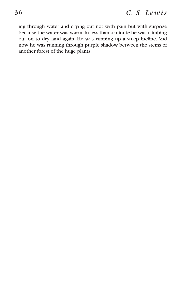ing through water and crying out not with pain but with surprise because the water was warm. In less than a minute he was climbing out on to dry land again. He was running up a steep incline. And now he was running through purple shadow between the stems of another forest of the huge plants.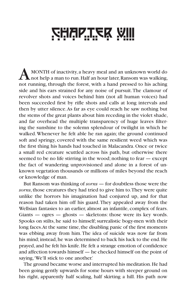# SHAPTEK A

A MONTH of inactivity, a heavy meal and an unknown world do not help a man to run. Half an hour later, Ransom was walking, not running, through the forest, with a hand pressed to his aching side and his ears strained for any noise of pursuit. The clamour of revolver shots and voices behind him (not all human voices) had been succeeded first by rifle shots and calls at long intervals and then by utter silence. As far as eye could reach he saw nothing but the stems of the great plants about him receding in the violet shade, and far overhead the multiple transparency of huge leaves filtering the sunshine to the solemn splendour of twilight in which he walked. Whenever he felt able he ran again; the ground continued soft and springy, covered with the same resilient weed which was the first thing his hands had touched in Malacandra. Once or twice a small red creature scuttled across his path, but otherwise there seemed to be no life stirring in the wood; nothing to fear — except the fact of wandering unprovisioned and alone in a forest of unknown vegetation thousands or millions of miles beyond the reach or knowledge of man.

But Ransom was thinking of *sorns* — for doubtless those were the *sorns*, those creatures they had tried to give him to. They were quite unlike the horrors his imagination had conjured up, and for that reason had taken him off his guard. They appealed away from the Wellsian fantasies to an earlier, almost an infantile, complex of fears. Giants — ogres — ghosts — skeletons: those were its key words. Spooks on stilts, he said to himself; surrealistic bogy-men with their long faces. At the same time, the disabling panic of the first moments was ebbing away from him. The idea of suicide was now far from his mind; instead, he was determined to back his luck to the end. He prayed, and he felt his knife. He felt a strange emotion of confidence and affection towards himself — he checked himself on the point of saying, 'We'll stick to one another.'

The ground became worse and interrupted his meditation. He had been going gently upwards for some hours with steeper ground on his right, apparently half scaling, half skirting a hill. His path now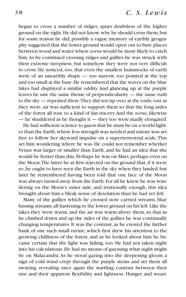began to cross a number of ridges, spurs doubtless of the higher ground on the right. He did not know why he should cross them, but for some reason he did; possibly a vague memory of earthly geography suggested that the lower ground would open out to bare places between wood and water where *sorns* would be more likely to catch him. As he continued crossing ridges and gullies he was struck with their extreme steepness; but somehow they were not very difficult to cross. He noticed, too, that even the smallest hummocks of earth were of an unearthly shape — too narrow, too pointed at the top and too small at the base: He remembered that the waves on the blue lakes had displayed a similar oddity. And glancing up at the purple leaves he saw the same theme of perpendicularity — the same rush to the sky — repeated there. They did not tip over at the ends; vast as they were, air was sufficient to support them so that the long aisles of the forest all rose to a kind of fan tracery. And the *sorns*, likewise — he shuddered as he thought it — they too were madly elongated.

He had sufficient science to guess that he must be on a world lighter than the Earth, where less strength was needed and nature was set free to follow her skyward impulse on a superterrestrial scale. This set him wondering where he was. He could not remember whether Venus was larger or smaller than Earth, and he had an idea that she would be hotter than this. Perhaps he was on Mars; perhaps even on the Moon. The latter he at first rejected on the ground that, if it were so, he ought to have seen the Earth in the sky when they landed; but later he remembered having been told that one face of the Moon was always turned away from the Earth. For all he knew he was wandering on the Moon's outer side; and irrationally enough, this idea brought about him a bleak sense of desolation than he had yet felt.

Many of the gullies which he crossed now carried streams, blue hissing streams, all hastening to the lower ground on his left. Like the lakes they were warm, and the air was warm above them, so that as he climbed down and up the sides of the gullies he was continually changing temperatures. It was the contrast, as he crested the farther bank of one such small ravine, which first drew his attention to the growing chilliness of the forest; and as he looked about him he became certain that the light was failing, too. He had not taken night into his calculations. He had no means of guessing what night might be on Malacandra. As he stood gazing into the deepening gloom a sign of cold wind crept through the purple stems and set them all swaying, revealing once again the startling contrast between their size and their apparent flexibility and lightness. Hunger and weari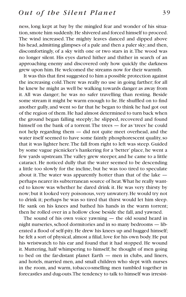ness, long kept at bay by the mingled fear and wonder of his situation, smote him suddenly. He shivered and forced himself to proceed. The wind increased. The mighty leaves danced and dipped above his head, admitting glimpses of a pale and then a paler sky; and then, discomfortingly, of a sky with one or two stars in it. The wood was no longer silent. His eyes darted hither and thither in search of an approaching enemy and discovered only how quickly the darkness grew upon him. He welcomed the streams now for their warmth.

It was this that first suggested to him a possible protection against the increasing cold. There was really no use in going farther; for all he knew he might as well be walking towards danger as away from it. All was danger; he was no safer travelling than resting. Beside some stream it might be warm enough to lie. He shuffled on to find another gully, and went so far that he began to think he had got out of the region of them. He had almost determined to turn back when the ground began falling steeply;.he slipped, recovered and found himself on the bank of a torrent. The trees — for as 'trees' he could not help regarding them — did not quite meet overhead, and the water itself seemed to have some faintly phosphorescent quality, so that it was lighter here. The fall from right to left was steep. Guided by some vague picnicker's hankering for a 'better' place, he went a few yards upstream. The valley grew steeper, and he came to a little cataract. He noticed dully that the water seemed to be descending a little too slowly for the incline, but he was too tired to speculate about it. The water was apparently hotter than that of the lake perhaps nearer its subterranean source of heat. What he really wanted to know was whether he dared drink it. He was very thirsty by now; but it looked very poisonous, very unwatery. He would try not to drink it; perhaps he was so tired that thirst would let him sleep. He sank on his knees and bathed his hands in the warm torrent; then he rolled over in a hollow close beside the fall, and yawned.

The sound of his own voice yawning — the old sound heard in night nurseries, school dormitories and in so many bedrooms — liberated a flood of self-pity. He drew his knees up and hugged himself; he felt a sort of physical, almost a filial, love for his own body. He put his wristwatch to his ear and found that it had stopped. He wound it. Muttering, half whimpering to himself; he thought of men going to bed on the far-distant planet Earth — men in clubs, and liners, and hotels, married men, and small children who slept with nurses in the room, and warm, tobacco-smelling men tumbled together in forecastles and dug-outs. The tendency to talk to himself was irresist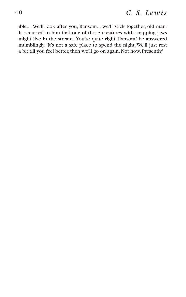ible... 'We'll look after you, Ransom... we'll stick together, old man.' It occurred to him that one of those creatures with snapping jaws might live in the stream. 'You're quite right, Ransom,' he answered mumblingly. 'It's not a safe place to spend the night. We'll just rest a bit till you feel better, then we'll go on again. Not now. Presently.'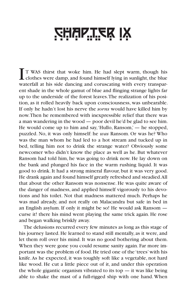### Ghap.t.RK IX

I T WAS thirst that woke him. He had slept warm, though his clothes were damp, and found himself lying in sunlight, the blue waterfall at his side dancing and coruscating with every transparent shade in the whole gamut of blue and flinging strange lights far up to the underside of the forest leaves. The realization of his position, as it rolled heavily back upon consciousness, was unbearable. If only he hadn't lost his nerve the *sorns* would have killed him by now. Then he remembered with inexpressible relief that there was a man wandering in the wood — poor devil he'd be glad to see him. He would come up to him and say, 'Hullo, Ransom,' — he stopped, puzzled. No, it was only himself: he *was* Ransom. Or was he? Who was the man whom he had led to a hot stream and tucked up in bed, telling him not to drink the strange water? Obviously some newcomer who didn't know the place as well as he. But whatever Ransom had told him, he was going to drink now. He lay down on the bank and plunged his face in the warm rushing liquid. It was good to drink. It had a strong mineral flavour, but it was very good. He drank again and found himself greatly refreshed and steadied. All that about the other Ransom was nonsense. He was quite aware of the danger of madness, and applied himself vigorously to his devotions and his toilet. Not that madness mattered much. Perhaps he was mad already, and not really on Malacandra but safe in bed in an English asylum. If only it might be so! He would ask Ransom curse it! there his mind went playing the same trick again. He rose and began walking briskly away.

The delusions recurred every few minutes as long as this stage of his journey lasted. He learned to stand still mentally, as it were, and let them roll over his mind. It was no good bothering about them. When they were gone you could resume sanity again. Far more important was the problem of food. He tried one of the 'trees' with his knife. As he expected, it was toughly soft like a vegetable, not hard like wood. He cut a little piece out of it, and under this operation the whole gigantic organism vibrated to its top — it was like being able to shake the mast of a full-rigged ship with one hand. When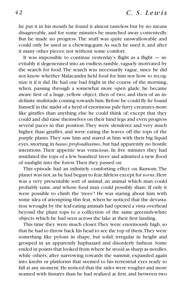he put it in his mouth he found it almost tasteless but by no means disagreeable, and for some minutes he munched away contentedly. But he made no progress. The stuff was quite unswallowable and could only be used as a chewing-gum. As such he used it, and after it many other pieces; not without some comfort.

It was impossible to continue yesterday's flight as a flight — inevitably it degenerated into an endless ramble, vaguely motivated by the search for food. The search was necessarily vague, since he did not know whether Malacandra held food for him nor how to recognize it if it did. He had one bad fright in the course of the morning, when, passing through a somewhat more open glade, he became aware first of a huge, yellow object, then of two, and then of an indefinite multitude coming towards him. Before he could fly he found himself in the midst of a herd of enormous pale furry creatures more like giraffes than anything else he could think of; except that they could and did raise themselves on their hind legs and even progress several paces in that position. They were slenderer, and very much higher, than giraffes, and were eating the leaves off the tops of the purple plants. They saw him and stared at him with their big liquid eyes, snorting in *basso profondissimo*, but had apparently no hostile intentions. Their appetite was voracious. In five minutes they had mutilated the tops of a few hundred 'trees' and admitted a new flood of sunlight into the forest. Then they passed on.

This episode had an infinitely comforting effect on Ransom. The planet was not, as he had begun to fear, lifeless except for *sorns*. Here was a very presentable sort of animal, an animal which man could probably tame, and whose food man could possibly share. If only it were possible to climb the 'trees'! He was staring about him with some idea of attempting this feat, when he noticed that the devastation wrought by the leaf-eating animals had opened a vista overhead beyond the plant tops to a collection of the same greenish-white objects which he had seen across the lake at their first landing.

This time they were much closer. They were enormously high, so that he had to throw back his head to see the top of them. They were something like pylons in shape, but solid; irregular in height and grouped in an apparently haphazard and disorderly fashion. Some ended in points that looked from where he stood as sharp as needles, while others, after narrowing towards the summit, expanded again into knobs or platforms that seemed to his terrestrial eyes ready to fall at any moment. He noticed that the sides were rougher and more seamed with fissures than he had realized at first, and between two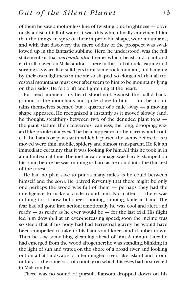of them he saw a motionless line of twisting blue brightness — obviously a distant fall of water. It was this which finally convinced him that the things, in spite of their improbable shape, were mountains; and with that discovery the mere oddity of the prospect was swallowed up in the fantastic sublime. Here, he understood, was the full statement of that *perpendicular* theme which beast and plant and earth all played on Malacandra — here in this riot of rock, leaping and surging skyward like solid jets from some rock fountain, and hanging by their own lightness in the air, so shaped, so elongated, that all terrestrial mountains must ever after seem to him to be mountains lying on their sides. He felt a lift and lightening at the heart.

But next moment his heart stood still. Against the pallid background of the mountains and quite close to him — for the mountains themselves seemed but a quarter of a mile away — a moving shape appeared. He recognized it instantly as it moved slowly (and, he thought, stealthily) between two of the denuded plant tops the giant stature, the cadaverous leanness, the long, drooping, wizard-like profile of a *sorn*. The head appeared to be narrow and conical; the hands or paws with which it parted the stems before it as it moved were thin, mobile, spidery and almost transparent. He felt an immediate certainty that it was looking for him. All this he took in in an infinitesimal time. The ineffaceable image was hardly stamped on his brain before he was running as hard as he could into the thickest of the forest.

He had no plan save to put as many miles as he could between himself and the *sorn*. He prayed fervently that there might be only one perhaps the wood was full of them — perhaps they had the intelligence to make a circle round him. No matter — there was nothing for it now but sheer running, running, knife in hand. The fear had all gone into action; emotionally he was cool and alert, and ready — as ready as he ever would be — for the last trial. His flight led him downhill at an ever-increasing speed; soon the incline was so steep that if his body had had terrestrial gravity he would have been compelled to take to his hands and knees and clamber down. Then he saw something gleaming ahead of him. A minute later he had emerged from the wood altogether; he was standing, blinking in the light of sun and water, on the shore of a broad river, and looking out on a flat landscape of inter-mingled river, lake, island and promontory — the same sort of country on which his eyes had first rested in Malacandra.

There was no sound of pursuit. Ransom dropped down on his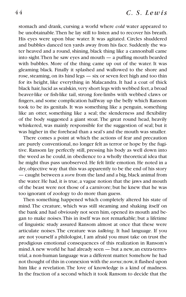stomach and drank, cursing a world where *cold* water appeared to be unobtainable. Then he lay still to listen and to recover his breath. His eyes were upon blue water. It was agitated. Circles shuddered and bubbles danced ten yards away from his face. Suddenly the water heaved and a round, shining, black thing like a cannonball came into sight. Then he saw eyes and mouth — a puffing mouth bearded with bubbles. More of the thing came up out of the water. It was gleaming black. Finally it splashed and wallowed to the shore and rose, steaming, on its hind legs — six or seven feet high and too thin for its height, like everything in Malacandra. It had a coat of thick black hair, lucid as sealskin, very short legs with webbed feet, a broad beaver-like or fish-like tail, strong fore-limbs with webbed claws or fingers, and some complication halfway up the belly which Ransom took to be its genitals. It was something like a penguin, something like an otter, something like a seal; the slenderness and flexibility of the body suggested a giant stoat. The great round head, heavily whiskered, was mainly responsible for the suggestion of seal; but it was higher in the forehead than a seal's and the mouth was smaller.

There comes a point at which the actions of fear and precaution are purely conventional, no longer felt as terror or hope by the fugitive. Ransom lay perfectly still, pressing his body as well down into the weed as he could, in obedience to a wholly theoretical idea that he might thus pass unobserved. He felt little emotion. He noted in a dry, objective way that this was apparently to be the end of his story — caught between a *sorn* from the land and a big, black animal from the water. He had, it is true, a vague notion that the jaws and mouth of the beast were not those of a carnivore; but he knew that he was too ignorant of zoology to do more than guess.

Then something happened which completely altered his state of mind. The creature, which was still steaming and shaking itself on the bank and had obviously not seen him, opened its mouth and began to make noises. This in itself was not remarkable; but a lifetime of linguistic study assured Ransom almost at once that these were articulate noises. The creature was *talking*. It had language. If you are not yourself a philologist, I am afraid you must take on trust the prodigious emotional consequences of this realization in Ransom's mind. A new world he had already seen — but a new, an extra-terrestrial, a non-human language was a different matter. Somehow he had not thought of this in connexion with the *sorns*; now, it flashed upon him like a revelation. The love of knowledge is a kind of madness. In the fraction of a second which it took Ransom to decide that the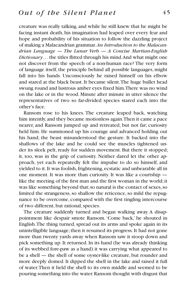creature was really talking, and while he still knew that he might be facing instant death, his imagination had leaped over every fear and hope and probability of his situation to follow the dazzling project of making a Malacandrian grammar. *An Introduction to the Malacandrian Language — The Lunar Verb — A Concise Martian-English Dictionary*… the titles flitted through his mind. And what might one not discover from the speech of a non-human race? The very form of language itself, the principle behind all possible languages, might fall into his hands. Unconsciously he raised himself on his elbow and stared at the black beast. It became silent. The huge bullet head swung round and lustrous amber eyes fixed him. There was no wind on the lake or in the wood. Minute after minute in utter silence the representatives of two so far-divided species stared each into the other's face.

Ransom rose to his knees. The creature leaped back, watching him intently, and they became motionless again. Then it came a pace nearer, and Ransom jumped up and retreated, but not far; curiosity held him. He summoned up his courage and advanced holding out his hand; the beast misunderstood the gesture. It backed into the shallows of the lake and he could see the muscles tightened under its sleek pelt, ready for sudden movement. But there it stopped; it, too, was in the grip of curiosity. Neither dared let the other approach, yet each repeatedly felt the impulse to do so himself, and yielded to it. It was foolish, frightening, ecstatic and unbearable all in one moment. It was more than curiosity. It was like a courtship like the meeting of the first man and the first woman in the world; it was like something beyond that; so natural is the contact of sexes, so limited the strangeness, so shallow the reticence, so mild the repugnance to be overcome, compared with the first tingling intercourse of two different, but rational, species.

The creature suddenly turned and began walking away. A disappointment like despair smote Ransom. 'Come back,' he shouted in English. The thing turned, spread out its arms and spoke again in its unintelligible language; then it resumed its progress. It had not gone more than twenty yards away when Ransom saw it stoop down and pick something up. It returned. In its hand (he was already thinking of its webbed fore-paw as a hand) it was carrying what appeared to be a shell — the shell of some oyster-like creature, but rounder and more deeply domed. It dipped the shell in the lake and raised it full of water. Then it held the shell to its own middle and seemed to be pouring something into the water. Ransom thought with disgust that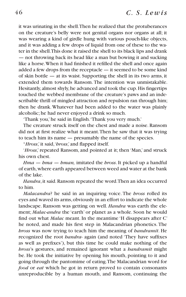it was urinating in the shell. Then he realized that the protuberances on the creature's belly were not genital organs nor organs at all; it was wearing a kind of girdle hung with various pouch-like objects, and it was adding a few drops of liquid from one of these to the water in the shell. This done it raised the shell to its black lips and drank — not throwing back its head like a man but bowing it and sucking like a horse. When it had finished it refilled the shell and once again added a few drops from the receptacle — it seemed to be some kind of skin bottle — at its waist. Supporting the shell in its two arms, it extended them towards Ransom. The intention was unmistakable. Hesitantly, almost shyly, he advanced and took the cup. His fingertips touched the webbed membrane of the creature's paws and an indescribable thrill of mingled attraction and repulsion ran through him; then he drank. Whatever had been added to the water was plainly alcoholic; he had never enjoyed a drink so much.

'Thank you,' he said in English. 'Thank you very much.'

The creature struck itself on the chest and made a noise. Ransom did not at first realize what it meant. Then he saw that it was trying to teach him its name — presumably the name of the species.

"*Hross*,' it said, '*hross*,' and flapped itself.

'*Hross*,' repeated Ransom, and pointed at it; then 'Man,' and struck his own chest.

*Hma — hma — hman,* imitated the *hross*. It picked up a handful of earth, where earth appeared between weed and water at the bank of the lake.

*Handra*, it said. Ransom repeated the word. Then an idea occurred to him.

*Malacandra*? he said in an inquiring voice. The *hross* rolled its eyes and waved its arms, obviously in an effort to indicate the whole landscape. Ransom was getting on well. *Handra* was earth the element; *Malac-andra* the 'earth' or planet as a whole. Soon he would find out what *Malac* meant. In the meantime 'H disappears after C' he noted, and made his first step in Malacandrian phonetics. The *hross* was now trying to teach him the meaning of *handramit*. He recognized the root *handra*- again (and noted 'They have suffixes as well as prefixes'), but this time he could make nothing of the *hross*'s gestures, and remained ignorant what a *handramit* might be. He took the initiative by opening his mouth, pointing to it and going through the pantomime of eating. The Malacandrian word for *food* or *eat* which he got in return proved to contain consonants unreproducible by a human mouth, and Ransom, continuing the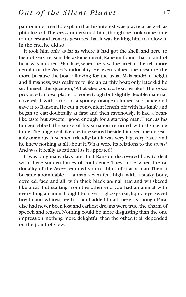pantomime, tried to explain that his interest was practical as well as philological. The *hross* understood him, though he took some time to understand from its gestures that it was inviting him to follow it. In the end, he did so.

It took him only as far as where it had got the shell, and here, to his not very reasonable astonishment, Ransom found that a kind of boat was moored. Man-like, when he saw the artefact he felt more certain of the *hross*'s rationality. He even valued the creature the more because the boat, allowing for the usual Malacandrian height and flimsiness, was really very like an earthly boat; only later did he set himself the question, 'What else could a boat be like?' The *hross* produced an oval platter of some tough but slightly flexible material, covered it with strips of a spongy, orange-coloured substance and gave it to Ransom. He cut a convenient length off with his knife and began to eat; doubtfully at first and then ravenously. It had a beanlike taste but sweeter; good enough for a starving man. Then, as his hunger ebbed, the sense of his situation returned with dismaying force. The huge, seal-like creature seated beside him became unbearably ominous. It seemed friendly; but it was very big, very black, and he knew nothing at all about it. What were its relations to the *sorn*s? And was it really as rational as it appeared?

It was only many days later that Ransom discovered how to deal with these sudden losses of confidence. They arose when the rationality of the *hross* tempted you to think of it as a man. Then it became abominable  $-$  a man seven feet high, with a snaky body, covered, face and all, with thick black animal hair, and whiskered like a cat. But starting from the other end you had an animal with everything an animal ought to have — glossy coat, liquid eye, sweet breath and whitest teeth — and added to all these, as though Paradise had never been lost and earliest dreams were true, the charm of speech and reason. Nothing could be more disgusting than the one impression; nothing more delightful than the other. It all depended on the point of view.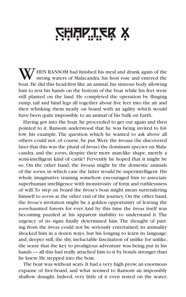### X A7.T.SR X

W HEN RANSOM had finished his meal and drunk again of the strong waters of Malacandra, his host rose and entered the boat. He did this head-first like an animal, his sinuous body allowing him to rest his hands on the bottom of the boat while his feet were still planted on the land. He completed the operation by flinging rump, tail and hind legs all together about five feet into the air and then whisking them neatly on board with an agility which would have been quite impossible to an animal of his bulk on Earth.

Having got into the boat, he proceeded to get out again and then pointed to it. Ransom understood that he was being invited to follow his example. The question which he wanted to ask above all others could not, of course, be put. Were the *hrossa* (he discovered later that this was the plural of *hross*) the dominant species on Malacandra, and the *sorn*s, despite their more man-like shape, merely a semi-intelligent kind of cattle? Fervently he hoped that it might be so. On the other hand, the *hrossa* might be the domestic animals of the *sorn*s, in which case the latter would be superintelligent. His whole imaginative training somehow encouraged him to associate superhuman intelligence with monstrosity of form and ruthlessness of will. To step on board the *hross*'s boat might mean surrendering himself to *sorn*s at the other end of the journey. On the other hand, the *hross*'s invitation might be a golden opportunity of leaving the *sorn*-haunted forests for ever. And by this time the *hross* itself was becoming puzzled at his apparent inability to understand it. The urgency of its signs finally determined him. The thought of parting from the *hross* could not be seriously entertained; its animality shocked him in a dozen ways, but his longing to learn its language, and, deeper still, the shy, ineluctable fascination of unlike for unlike, the sense that the key to prodigious adventure was being put in his hands — all this had really attached him to it by bonds stronger than he knew. He stepped into the boat.

The boat was without seats. It had a very high prow, an enormous expanse of free-board, and what seemed to Ransom an impossibly shallow draught. Indeed, very little of it even rested on the water;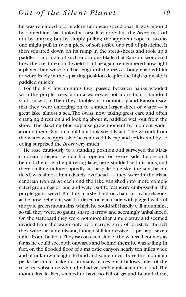he was reminded of a modern European speed-boat. It was moored by something that looked at first like rope; but the *hross* cast off not by untying but by simply pulling the apparent rope in two as one might pull in two a piece of soft toffee or a roll of plasticine. It then squatted down on its rump in the stern-sheets and took up a paddle — a paddle of such enormous blade that Ransom wondered how the creature could wield it, till he again remembered how light a planet they were on. The length of the *hross*'s body enabled him to work freely in the squatting position despite the high gunwale. It paddled quickly.

For the first few minutes they passed between banks wooded with the purple trees, upon a waterway not more than a hundred yards in width. Then they doubled a promontory, and Ransom saw that they were emerging on to a much larger sheet of water  $- a$ great lake, almost a sea. The *hross*, now taking great care and often changing direction and looking about it, paddled well out from the shore. The dazzling blue expanse grew moment by moment wider around them; Ransom could not look steadily at it. The warmth from the water was oppressive; he removed his cap and jerkin, and by so doing surprised the *hross* very much.

He rose cautiously to a standing position and surveyed the Malacandrian prospect which had opened on every side. Before and behind them lay the glittering lake, here studded with islands, and there smiling uninterruptedly at the pale blue sky; the sun, he noticed, was almost immediately overhead — they were in the Malacandrian tropics. At each end the lake vanished into more complicated groupings of land and water, softly, featherily embossed in the purple giant weed. But this marshy land or chain of archipelagoes, as he now beheld it, was bordered on each side with jagged walls of the pale green mountains, which he could still hardly call mountains, so tall they were, so gaunt, sharp, narrow and seemingly unbalanced. On the starboard they were not more than a mile away and seemed divided from the water only by a narrow strip of forest; to the left they were far more distant, though still impressive — perhaps seven miles from the boat. They ran on each side of the watered country as far as he could see, both onwards and behind them; he was sailing, in fact, on the flooded floor of a majestic canyon nearly ten miles wide and of unknown length. Behind and sometimes above the mountain peaks he could make out in many places great billowy piles of the rose-red substance which he had yesterday mistaken for cloud. The mountains, in fact, seemed to have no fall of ground behind them;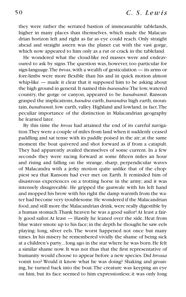they were rather the serrated bastion of immeasurable tablelands, higher in many places than themselves, which made the Malacandrian horizon left and right as far as eye could reach. Only straight ahead and straight astern was the planet cut with the vast gorge, which now appeared to him only as a rut or crack in the tableland.

He wondered what the cloud-like red masses were and endeavoured to ask by signs. The question was, however, too particular for sign-language. The *hross*, with a wealth of gesticulation — its arms or fore-limbs were more flexible than his and in quick motion almost whip-like — made it clear that it supposed him to be asking about the high ground in general. It named this *harandra*. The low, watered country, the gorge or canyon, appeared to be *handramit*. Ransom grasped the implications, *handra* earth, *harandra* high earth, mountain, *handramit*, low earth, valley. Highland and lowland, in fact. The peculiar importance of the distinction in Malacandrian geography he learned later.

By this time the *hross* had attained the end of its careful navigation. They were a couple of miles from land when it suddenly ceased paddling and sat tense with its paddle poised in the air; at the same moment the boat quivered and shot forward as if from a catapult. They had apparently availed themselves of some current. In a few seconds they were racing forward at some fifteen miles an hour and rising and falling on the strange, sharp, perpendicular waves of Malacandra with a jerky motion quite unlike that of the choppiest sea that Ransom had ever met on Earth. It reminded him of disastrous experiences on a trotting horse in the army; and it was intensely disagreeable. He gripped the gunwale with his left hand and mopped his brow with his right the damp warmth from the water had become very troublesome. He wondered if the Malacandrian food, and still more the Malacandrian drink, were really digestible by a human stomach. Thank heaven he was a good sailor! At least a fairly good sailor. At least — Hastily he leaned over the side. Heat from blue water smote up to his face; in the depth he thought he saw eels playing: long, silver eels. The worst happened not once but many times. In his misery he remembered vividly the shame of being sick at a children's party... long ago in the star where he was born. He felt a similar shame now. It was not thus that the first representative of humanity would choose to appear before a new species. Did *hrossa* vomit too? Would it know what he was doing? Shaking and groaning, he turned back into the boat. The creature was keeping an eye on him, but its face seemed to him expressionless; it was only long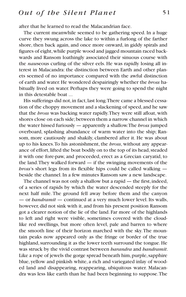after that he learned to read the Malacandrian face.

The current meanwhile seemed to be gathering speed. In a huge curve they swung across the lake to within a furlong of the farther shore, then back again, and once more onward, in giddy spirals and figures of eight, while purple wood and jagged mountain raced backwards and Ransom loathingly associated their sinuous course with the *nau*seous curling of the silver eels. He was rapidly losing all interest in Malacandra: the distinction between Earth and other planets seemed of no importance compared with the awful distinction of earth and water. He wondered despairingly whether the *hross* habitually lived on water. Perhaps they were going to spend the night in this detestable boat ...

His sufferings did not, in fact, last long. There came a blessed cessation of the choppy movement and a slackening of speed, and he saw that the *hross* was backing water rapidly. They were still afloat, with shores close on each side; between them a narrow channel in which the water hissed furiously — apparently a shallow. The *hross* jumped overboard, splashing abundance of warm water into the ship; Ransom, more cautiously and shakily, clambered after it. He was about up to his knees. To his astonishment, the *hross*, without any appearance of effort, lifted the boat bodily on to the top of its head, steaded it with one fore-paw, and proceeded, erect as a Grecian caryatid, to the land. They walked forward — if the swinging movements of the *hross*'s short legs from its flexible hips could be called walking beside the channel. In a few minutes Ransom saw a new landscape.

The channel was not only a shallow but a rapid — the first, indeed, of a series of rapids by which the water descended steeply for the next half mile. The ground fell away before them and the canyon — or *handramit* — continued at a very much lower level. Its walls, however, did not sink with it, and from his present position Ransom got a clearer notion of the lie of the land. Far more of the highlands to left and right were visible, sometimes covered with the cloudlike red swellings, but more often level, pale and barren to where the smooth line of their horizon marched with the sky. The mountain peaks now appeared only as the fringe or border of the true highland, surrounding it as the lower teeth surround the tongue. He was struck by the vivid contrast between *harandra* and *handramit*. Like a rope of jewels the gorge spread beneath him, purple, sapphire blue, yellow and pinkish white, a rich and variegated inlay of wooded land and disappearing, reappearing, ubiquitous water. Malacandra was less like earth than he had been beginning to suppose. The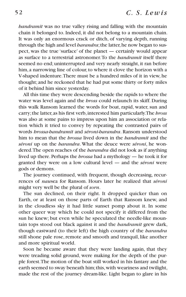*handramit* was no true valley rising and falling with the mountain chain it belonged to. Indeed, it did not belong to a mountain chain. It was only an enormous crack or ditch, of varying depth, running through the high and level *harandra*; the latter, he now began to suspect, was the true 'surface' of the planet — certainly would appear as surface to a terrestrial astronomer. To the *handramit* itself there seemed no end; uninterrupted and very nearly straight, it ran before him, a narrowing line of colour, to where it clove the horizon with a V-shaped indenture. There must be a hundred miles of it in view, he thought; and he reckoned that he had put some thirty or forty miles of it behind him since yesterday.

All this time they were descending beside the rapids to where the water was level again and the *hross* could relaunch its skiff. During this walk Ransom learned the words for boat, rapid, water, sun and carry; the latter, as his first verb, interested him particularly. The *hross* was also at some pains to impress upon him an association or relation which it tried to convey by repeating the contrasted pairs of words *hrossa*-*handramit* and *séroni-harandra*. Ransom understood him to mean that the *hrossa* lived down in the *handramit* and the *séroni* up on the *harandra*. What the deuce were *séroni*, he wondered. The open reaches of the *harandra* did not look as if anything lived up there. Perhaps the *hrossa* had a mythology — he took it for granted they were on a low cultural level — and the *séroni* were gods or demons.

The journey continued, with frequent, though decreasing, recurrences of *nau*sea for Ransom. Hours later he realized that *séroni* might very well be the plural of *sorn*.

The sun declined, on their right. It dropped quicker than on Earth, or at least on those parts of Earth that Ransom knew, and in the cloudless sky it had little sunset pomp about it. In some other queer way which he could not specify it differed from the sun he knew; but even while he speculated the needle-like mountain tops stood out black against it and the *handramit* grew dark, though eastward (to their left) the high country of the *harandra* still shone pale rose, remote and smooth and tranquil, like another and more spiritual world.

Soon he became aware that they were landing again, that they were treading solid ground, were making for the depth of the purple forest. The motion of the boat still worked in his fantasy and the earth seemed to sway beneath him; this, with weariness and twilight, made the rest of the journey dream-like. Light began to glare in his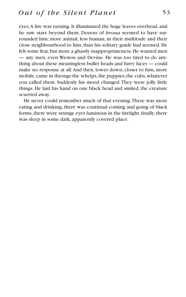eyes. A fire was turning. It illuminated the huge leaves overhead, and he saw stars beyond them. Dozens of *hrossa* seemed to have surrounded him; more animal, less human, in their multitude and their close neighbourhood to him, than his solitary guide had seemed. He felt some fear, but more a ghastly inappropriateness. He wanted men — any men, even Weston and Devine. He was too tired to do anything about these meaningless bullet heads and furry faces — could make no response at all. And then, lower down, closer to him, more mobile, came in throngs the whelps, the puppies, the cubs, whatever you called them. Suddenly his mood changed. They were jolly little things. He laid his hand on one black head and smiled; the creature scurried away.

He never could remember much of that evening. There was more eating and drinking, there was continual coming and going of black forms, there were strange eyes luminous in the firelight; finally, there was sleep in some dark, apparently covered place.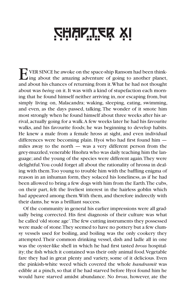## Chapter XI

E VER SINCE he awoke on the space-ship Ransom had been think-<br>ing about the amazing adventure of going to another planet, and about his chances of returning from it. What he had not thought about was *being* on it. It was with a kind of stupefaction each morning that he found himself neither arriving in, nor escaping from, but simply living on, Malacandra; waking, sleeping, eating, swimming, and even, as the days passed, talking. The wonder of it smote him most strongly when he found himself about three weeks after his arrival, actually going for a walk. A few weeks later he had his favourite walks, and his favourite foods; he was beginning to develop habits. He knew a male from a female hross at sight, and even individual differences were becoming plain. Hyoi who had first found him miles away to the north — was a very different person from the grey-muzzled, venerable Hnohra who was daily teaching him the language; and the young of the species were different again. They were delightful. You could forget all about the rationality of hrossa in dealing with them. Too young to trouble him with the baffling enigma of reason in an inhuman form, they solaced his loneliness, as if he had been allowed to bring a few dogs with him from the Earth. The cubs, on their part, felt the liveliest interest in the hairless goblin which had appeared among them. With them, and therefore indirectly with their dams, he was a brilliant success.

Of the community in general his earlier impressions were all gradually being corrected. His first diagnosis of their culture was what he called 'old stone age'. The few cutting instruments they possessed were made of stone. They seemed to have no pottery but a few clumsy vessels used for boiling, and boiling was the only cookery they attempted. Their common drinking vessel, dish and ladle all in one was the oyster-like shell in which he had first tasted *hross* hospitality; the fish which it contained was their only animal food. Vegetable fare they had in great plenty and variety, some of it delicious. Even the pinkish-white weed which covered the whole *handramit* was edible at a pinch, so that if he had starved before Hyoi found him he would have starved amidst abundance. No *hross*, however, ate the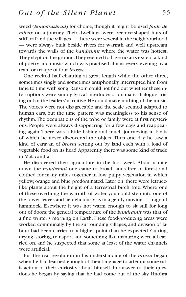weed (*honodrashrud*) for choice, though it might be used *faute de mieux* on a journey. Their dwellings were beehive-shaped huts of stiff leaf and the villages — there were several in the neighbourhood — were always built beside rivers for warmth and well upstream towards the walls of the *handramit* where the water was hottest. They slept on the ground. They seemed to have no arts except a kind of poetry and music which was practised almost every evening by a team or troupe of four *hrossa*.

One recited half chanting at great length while the other three, sometimes singly and sometimes antiphonally, interrupted him from time to time with song. Ransom could not find out whether these interruptions were simply lyrical interludes or dramatic dialogue arising out of the leaders' narrative. He could make nothing of the music. The voices were not disagreeable and the scale seemed adapted to human ears, but the time pattern was meaningless to his sense of rhythm. The occupations of the tribe or family were at first mysterious. People were always disappearing for a few days and reappearing again. There was a little fishing and much journeying in boats of which he never discovered the object. Then one day he saw a kind of caravan of *hrossa* setting out by land each with a load of vegetable food on its head. Apparently there was some kind of trade in Malacandra.

He discovered their agriculture in the first week. About a mile down the *handramit* one came to broad lands free of forest and clothed for many miles together in low pulpy vegetation in which yellow, orange and blue predominated. Later on, there were lettucelike plants about the height of a terrestrial birch tree. Where one of these overhung the warmth of water you could step into one of the lower leaves and lie deliciously as in a gently moving — fragrant hammock. Elsewhere it was not warm enough to sit still for long out of doors; the general temperature of the *handramit* was that of a fine winter's morning on Earth. These food-producing areas were worked communally by the surrounding villages, and division of labour had been carried to a higher point than he expected. Cutting, drying, storing, transport and something like manuring were all carried on, and he suspected that some at least of the water channels were artificial.

But the real revolution in his understanding of the *hrossa* began when he had learned enough of their language to attempt some satisfaction of their curiosity about himself. In answer to their questions he began by saying that he had come out of the sky. Hnohra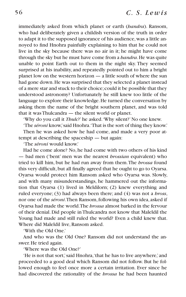immediately asked from which planet or earth (*handra*). Ransom, who had deliberately given a childish version of the truth in order to adapt it to the supposed ignorance of his audience, was a little annoyed to find Hnohra painfully explaining to him that he could not live in the sky because there was no air in it; he might have come through the sky but he must have come from a *handra*. He was quite unable to point Earth out to them in the night sky. They seemed surprised at his inability, and repeatedly pointed out to him a bright planet low on the western horizon — a little south of where the sun had gone down. He was surprised that they selected a planet instead of a mere star and stuck to their choice; could it be possible that they understood astronomy? Unfortunately he still knew too little of the language to explore their knowledge. He turned the conversation by asking them the name of the bright southern planet, and was told that it was Thulcandra — the silent world or planet.

'Why do you call it *Thulc*?' he asked. 'Why silent?' No one knew.

'The *séroni* know,' said Hnohra. 'That is the sort of thing they know.' Then he was asked how he had come, and made a very poor attempt at describing the spaceship — but again:

'The *séroni* would know.'

Had he come alone? No, he had come with two others of his kind — bad men ('bent' men was the nearest *hrossian* equivalent) who tried to kill him, but he had run away from them. The *hrossa* found this very difficult, but all finally agreed that he ought to go to Oyarsa. Oyarsa would protect him Ransom asked who Oyarsa was. Slowly, and with many misunderstandings, he hammered out the information that Oyarsa (1) lived in Meldilorn; (2) knew everything and ruled everyone; (3) had always been there; and (4) was not a *hross*, nor one of the *séroni*. Then Ransom, following his own idea, asked if Oyarsa had made the world. The *hrossa* almost barked in the fervour of their denial. Did people in Thulcandra not know that Maleldil the Young had made and still ruled the world? Even a child knew that. Where did Maleldil live, Ransom asked.

'With the Old One.'

And who was the Old One? Ransom did not understand the answer. He tried again.

'Where was the Old One?'

'He is not that sort,' said Hnohra, 'that he has to live anywhere,' and proceeded to a good deal which Ransom did not follow. But he followed enough to feel once more a certain irritation. Ever since he had discovered the rationality of the *hrossa* he had been haunted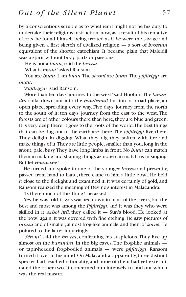by a conscientious scruple as to whether it might not be his duty to undertake their religious instruction; now, as a result of his tentative efforts, he found himself being treated as if *he* were the savage and being given a first sketch of civilized religion — a sort of *hrossian* equivalent of the shorter catechism. It became plain that Maleldil was a spirit without body, parts or passions.

'He is not a *hnau*,' said the *hrossa*.

'What is *hnau*?' asked Ransom.

'You are *hnau*. I am *hnau*. The *séroni* are *hnau*. The *pfifltriggi* are *hnau*.'

'*Pfifltriggi*?' said Ransom.

'More than ten days' journey to the west,' said Hnohra. 'The *harandra* sinks down not into the *handramit* but into a broad place, an open place, spreading every way. Five days' journey from the north to the south of it; ten days' journey from the east to the west. The forests are of other colours there than here, they are blue and green. It is very deep there, it goes to the roots of the world. The best things that can be dug out of the earth are there. The *pfifltriggi* live there. They delight in digging. What they dig they soften with fire and make things of it. They are little people, smaller than you, long in the snout, pale, busy. They have long limbs in front. No *hnau* can match them in making and shaping things as none can match us in singing. But let *Hman* see.'

He turned and spoke to one of the younger *hrossa* and presently, passed from hand to hand, there came to him a little bowl. He held it close to the firelight and examined it. It was certainly of gold, and Ransom realized the meaning of Devine's interest in Malacandra.

'Is there much of this thing?' he asked.

Yes, he was told, it was washed down in most of the rivers; but the best and most was among the *Pfifltriggi*, and it was they who were skilled in it. *Arbol* hrū, they called it — Sun's blood. He looked at the bowl again. It was covered with fine etching. He saw pictures of *hrossa* and of smaller, almost frog-like animals; and then, of *sorn*s. He pointed to the latter inquiringly.

'*Séroni*', said the *hrossa*, confirming his suspicions. They live up almost on the *harandra*. In the big caves. The frog-like animals or tapir-headed frog-bodied animals — were *pfifltriggi*. Ransom turned it over in his mind. On Malacandra, apparently, three distinct species had reached rationality, and none of them had yet exterminated the other two. It concerned him intensely to find out which was the real master.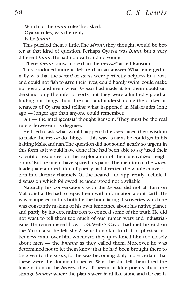'Which of the *hnau* rule?' he asked.

'Oyarsa rules,' was the reply.

'Is he *hnau*?'

This puzzled them a little. The *séroni*, they thought, would be better at that kind of question. Perhaps Oyarsa was *hnau*, but a very different *hnau*. He had no death and no young.

'These *Séroni* know more than the *hrossa*?' asked Ransom.

This produced more a debate than an answer. What emerged finally was that the *séroni* or *sorn*s were perfectly helpless in a boat, and could not fish to save their lives, could hardly swim, could make no poetry, and even when *hrossa* had made it for them could understand only the inferior sorts; but they were admittedly good at finding out things about the stars and understanding the darker utterances of Oyarsa and telling what happened in Malacandra long ago — longer ago than anyone could remember.

'Ah — the intelligentsia,' thought Ransom. 'They must be the real rulers, however it is disguised.'

He tried to ask what would happen if the *sorn*s used their wisdom to make the *hrossa* do things — this was as far as he could get in his halting Malacandrian. The question did not sound nearly so urgent in this form as it would have done if he had been able to say 'used their scientific resources for the exploitation of their uncivilized neighbours.' But he might have spared his pains. The mention of the *sorn*s' inadequate appreciation of poetry had diverted the whole conversation into literary channels. Of the heated, and apparently technical, discussion which followed he understood not a syllable.

Naturally his conversations with the *hrossa* did not all turn on Malacandra. He had to repay them with information about Earth. He was hampered in this both by the humiliating discoveries which he was constantly making of his own ignorance about his native planet, and partly by his determination to conceal some of the truth. He did not want to tell them too much of our human wars and industrialisms. He remembered how H. G. Wells's Cavor had met his end on the Moon; also he felt shy. A sensation akin to that of physical nakedness came over him whenever they questioned him too closely about men — the *hmana* as they called them. Moreover, he was determined not to let them know that he had been brought there to be given to the *sorn*s; for he was becoming daily more certain that these were the dominant species. What he did tell them fired the imagination of the *hrossa*: they all began making poems about the strange *handra* where the plants were hard like stone and the earth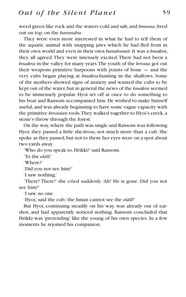weed green like rock and the waters cold and salt, and *hmana*, lived out on top, on the *harandra*.

They were even more interested in what he had to tell them of the aquatic animal with snapping jaws which he had fled from in their own world and even in their own *handramit*. It was a *hnakra*, they all agreed. They were intensely excited. There had not been a *hnakra* in the valley for many years. The youth of the *hrossa* got out their weapons primitive harpoons with points of bone — and the very cubs began playing at *hnakra*-hunting in the shallows. Some of the mothers showed signs of anxiety and wanted the cubs to be kept out of the water, but in general the news of the *hnakra* seemed to be immensely popular. Hyoi set off at once to do something to his boat and Ransom accompanied him. He wished to make himself useful, and was already beginning to have some vague capacity with the primitive *hrossian* tools. They walked together to Hyoi's creek, a stone's throw through the forest.

On the way, where the path was single and Ransom was following Hyoi, they passed a little she-*hross*, not much more than a cub. She spoke as they passed, but not to them: her eyes were on a spot about two yards away.

'Who do you speak to, Hrikki?' said Ransom.

'To the *eldil*.'

'Where?'

'Did you not see him?'

'I saw nothing.'

'There! There!' she cried suddenly. 'Ah! He is gone. Did you not see him?'

'I saw no one.

'Hyoi,' said the cub, 'the hman cannot see the *eldil*!'

But Hyoi, continuing steadily on his way, was already out of earshot, and had apparently noticed nothing. Ransom concluded that Hrikki was 'pretending' like the young of his own species. In a few moments he rejoined his companion.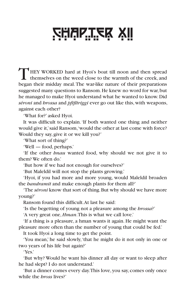# <u>Shapter XII</u>

T HEY WORKED hard at Hyoi's boat till noon and then spread themselves on the weed close to the warmth of the creek, and began their midday meal. The war-like nature of their preparations suggested many questions to Ransom. He knew no word for war, but he managed to make Hyoi understand what he wanted to know. Did *séroni* and *hrossa* and *pftfltriggi* ever go out like this, with weapons, against each other?

'What for?' asked Hyoi.

It was difficult to explain. 'If both wanted one thing and neither would give it,' said Ransom, 'would the other at last come with force? Would they say, give it or we kill you?'

'What sort of thing?'

'Well — food, perhaps.'

'If the other *hnau* wanted food, why should we not give it to them? We often do.'

'But how if we had not enough for ourselves?'

'But Maleldil will not stop the plants growing.'

'Hyoi, if you had more and more young, would Maleldil broaden the *handramit* and make enough plants for them all?'

'The *séroni* know that sort of thing. But why should we have more young?'

Ransom found this difficult. At last he said:

'Is the begetting of young not a pleasure among the *hrossa*?'

'A very great one, *Hman*. This is what we call love.'

'If a thing is a pleasure, a hman wants it again. He might want the pleasure more often than the number of young that could be fed.'

It took Hyoi a long time to get the point.

'You mean,' he said slowly, 'that he might do it not only in one or two years of his life but again?'

'Yes.'

'But why? Would he want his dinner all day or want to sleep after he had slept? I do not understand.'

'But a dinner comes every day. This love, you say, comes only once while the *hross* lives?'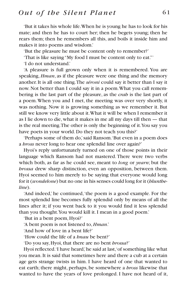'But it takes his whole life. When he is young he has to look for his mate; and then he has to court her; then he begets young; then he rears them; then he remembers all this, and boils it inside him and makes it into poems and wisdom.'

'But the pleasure he must be content only to remember?'

'That is like saying "My food I must be content only to eat."'

'I do not understand.'

'A pleasure is full grown only when it is remembered. You are speaking, *Hman*, as if the pleasure were one thing and the memory another. It is all one thing. The *séroni* could say it better than I say it now. Not better than I could say it in a poem. What you call remembering is the last part of the pleasure, as the *crah* is the last part of a poem. When you and I met, the meeting was over very shortly, it was nothing. Now it is growing something as we remember it. But still we know very little about it. What it will be when I remember it as I lie down to die, what it makes in me all my days till then — that is the real meeting. The other is only the beginning of it. You say you have poets in your world. Do they not teach you this?'

'Perhaps some of them do,' said Ransom. 'But even in a poem does a *hross* never long to hear one splendid line over again?'

Hyoi's reply unfortunately turned on one of those points in their language which Ransom had not mastered. There were two verbs which both, as far as he could see, meant to *long* or *yearn*; but the *hrossa* drew sharp distinction, even an opposition, between them. Hyoi seemed to him merely to be saying that everyone would long for it (*wondelone*) but no one in his senses could long for it (*hluntheline*).

'And indeed,' he continued, 'the poem is a good example. For the most splendid line becomes fully splendid only by means of all the lines after it; if you went back to it you would find it less splendid than you thought. You would kill it. I mean in a good poem.'

'But in a bent poem, Hyoi?'

'A bent poem is not listened to, *Hman*.'

'And how of love in a bent life?'

'How could the life of a *hnau* be bent?'

'Do you say, Hyoi, that there are no bent *hrossa*?'

Hyoi reflected. 'I have heard,' he said at last, 'of something like what you mean. It is said that sometimes here and there a cub at a certain age gets strange twists in him. I have heard of one that wanted to eat earth; there might, perhaps, be somewhere a *hross* likewise that wanted to have the years of love prolonged. I have not heard of it,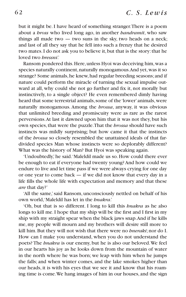but it might be. I have heard of something stranger. There is a poem about a *hross* who lived long ago, in another *handramit*, who saw things all made two  $-$  two suns in the sky, two heads on a neck; and last of all they say that he fell into such a frenzy that he desired two mates. I do not ask you to believe it, but that is the story: that he loved two *hressni*.'

Ransom pondered this. Here, unless Hyoi was deceiving him, was a species naturally continent, naturally monogamous. And yet, was it so strange? Some animals, he knew, had regular breeding seasons; and if nature could perform the miracle of turning the sexual impulse outward at all, why could she not go further and fix it, not morally but instinctively, to a single object? He even remembered dimly having heard that some terrestrial animals, some of the 'lower' animals, were naturally monogamous. Among the *hrossa*, anyway, it was obvious that unlimited breeding and promiscuity were as rare as the rarest perversions. At last it dawned upon him that it was not they, but his own species, that were the puzzle. That the *hrossa* should have such instincts was mildly surprising; but how came it that the instincts of the *hrossa* so closely resembled the unattained ideals of that fardivided species Man whose instincts were so deplorably different? What was the history of Man? But Hyoi was speaking again.

'Undoubtedly,' he said. 'Maleldil made us so. How could there ever be enough to eat if everyone had twenty young? And how could we endure to live and let time pass if we were always crying for one day or one year to come back — if we did not know that every day in a life fills the whole life with expectation and memory and that these *are* that day?'

'All the same,' said Ransom, unconsciously nettled on behalf of his own world, 'Maleldil has let in the *hnakra*.'

'Oh, but that is so different. I long to kill this *hnakra* as he also longs to kill me. I hope that my ship will be the first and I first in my ship with my straight spear when the black jaws snap. And if he kills me, my people will mourn and my brothers will desire still more to kill him. But they will not wish that there were no *hneraki*; nor do I. How can I make you understand, when you do not understand the poets? The *hnakra* is our enemy, but he is also our beloved. We feel in our hearts his joy as he looks down from the mountain of water in the north where he was born; we leap with him when he jumps the falls; and when winter comes, and the lake smokes higher than our heads, it is with his eyes that we see it and know that his roaming time is come. We hang images of him in our houses, and the sign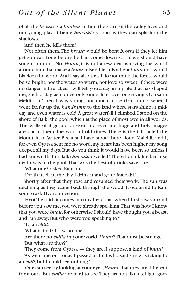of all the *hrossa* is a *hnakra*. In him the spirit of the valley lives; and our young play at being *hneraki* as soon as they can splash in the shallows.'

'And then he kills them?'

'Not often them. The *hrossa* would be bent *hrossa* if they let him get so near. Long before he had come down so far we should have sought him out. No, *Hman*, it is not a few deaths roving the world around him that make a *hnau* miserable. It is a bent *hnau* that would blacken the world. And I say also this. I do not think the forest would be so bright, nor the water so warm, nor love so sweet, if there were no danger in the lakes. I will tell you a day in my life that has shaped me; such a day as comes only once, like love, or serving Oyarsa in Meldilorn. Then I was young, not much more than a cub, when I went far, far up the *handramit* to the land where stars shine at midday and even water is cold. A great waterfall I climbed. I stood on the shore of Balki the pool, which is the place of most awe in all worlds. The walls of it go up for ever and ever and huge and holy images are cut in them, the work of old times. There is the fall called the Mountain of Water. Because I have stood there alone, Maleldil and I, for even Oyarsa sent me no word, my heart has been higher, my song deeper, all my days. But do you think it would have been so unless I had known that in Balki *hneraki* dwelled? There I drank life because death was in the pool. That was the best of drinks save one.

'What one?' asked Ransom.

'Death itself in the day I drink it and go to Maleldil.'

Shortly after that they rose and resumed their work. The sun was declining as they came back through the wood. It occurred to Ransom to ask Hyoi a question.

'Hyoi,' he said, 'it comes into my head that when I first saw you and before you saw me, you were already speaking. That was how I knew that you were *hnau*, for otherwise I should have thought you a beast, and run away. But who were you speaking to?'

'To an *eldil*.'

'What is that? I saw no one.

'Are there no *eldila* in your world, *Hman*? That must be strange.' 'But what are they?'

'They come from Oyarsa — they are, I suppose, a kind of *hnau*.'

'As we came out today I passed a child who said she was taking to an *eldil*, but I could see nothing.'

'One can see by looking at your eyes, *Hman*, that they are different from ours. But *eldila* are hard to see. They are not like us. Light goes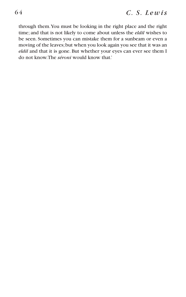through them. You must be looking in the right place and the right time; and that is not likely to come about unless the *eldil* wishes to be seen. Sometimes you can mistake them for a sunbeam or even a moving of the leaves; but when you look again you see that it was an *eldil* and that it is gone. But whether your eyes can ever see them I do not know. The *séroni* would know that.'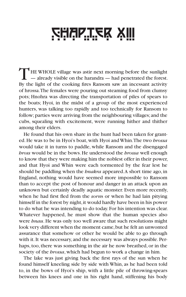## <u>Shapter XI</u>

THE WHOLE village was astir next morning before the sunlight — already visible on the harandra — had penetrated the forest. By the light of the cooking fires Ransom saw an incessant activity of hrossa. The females were pouring out steaming food from clumsy pots; Hnohra was directing the transportation of piles of spears to the boats; Hyoi, in the midst of a group of the most experienced hunters, was talking too rapidly and too technically for Ransom to follow; parties were arriving from the neighbouring villages; and the cubs, squealing with excitement, were running hither and thither among their elders.

He found that his own share in the hunt had been taken for granted. He was to be in Hyoi's boat, with Hyoi and Whin. The two *hrossa* would take it in turns to paddle, while Ransom and the disengaged *hross* would be in the bows. He understood the *hrossa* well enough to know that they were making him the noblest offer in their power, and that Hyoi and Whin were each tormented by the fear lest he should be paddling when the *hnakra* appeared. A short time ago, in England, nothing would have seemed more impossible to Ransom than to accept the post of honour and danger in an attack upon an unknown but certainly deadly aquatic monster. Even more recently, when he had first fled from the *sorn*s or when he had lain pitying himself in the forest by night, it would hardly have been in his power to do what he was intending to do today. For his intention was clear. Whatever happened, he must show that the human species also were *hnau*. He was only too well aware that such resolutions might look very different when the moment came, but he felt an unwonted assurance that somehow or other he would be able to go through with it. It was necessary, and the necessary was always possible. Perhaps, too, there was something in the air he now breathed, or in the society of the *hrossa*, which had begun to work a change in him.

The lake was just giving back the first rays of the sun when he found himself kneeling side by side with Whin, as he had been told to, in the bows of Hyoi's ship, with a little pile of throwing-spears between his knees and one in his right hand, stiffening his body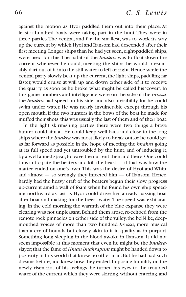against the motion as Hyoi paddled them out into their place. At least a hundred boats were taking part in the hunt. They were in three parties. The central, and far the smallest, was to work its way up the current by which Hyoi and Ransom had descended after their first meeting. Longer ships than he had yet seen, eight-paddled ships, were used for this. The habit of the *hnakra* was to float down the current whenever he could; meeting the ships, he would presumably dart out of it into the still water to left or right. Hence while the central party slowly beat up the current, the light ships, paddling far faster, would cruise at will up and down either side of it to receive the quarry as soon as he broke what might be called his 'cover'. In this game numbers and intelligence were on the side of the *hrossa*; the *hnakra* had speed on his side, and also invisibility, for he could swim under water. He was nearly invulnerable except through his open mouth. If the two hunters in the bows of the boat he made for muffed their shots, this was usually the last of them and of their boat.

In the light skirmishing parties there were two things a brave hunter could aim at. He could keep well back and close to the long ships where the *hnakra* was most likely to break out, or he could get as far forward as possible in the hope of meeting the *hnakra* going at its full speed and yet untroubled by the hunt, and of inducing it, by a well-aimed spear, to leave the current then and there. One could thus anticipate the beaters and kill the beast — if that was how the matter ended on one's own. This was the desire of Hyoi and Whin; and almost — so strongly they infected him — of Ransom. Hence, hardly had the heavy craft of the beaters begun their slow progress up-current amid a wall of foam when he found his own ship speeding northward as fast as Hyoi could drive her, already passing boat after boat and making for the freest water. The speed was exhilarating. In the cold morning the warmth of the blue expanse they were clearing was not unpleasant. Behind them arose, re-echoed from the remote rock pinnacles on either side of the valley, the bell-like, deepmouthed voices of more than two hundred *hrossa*, more musical than a cry of hounds but closely akin to it in quality as in purport. Something long sleeping in the blood awoke in Ransom. It did not seem impossible at this moment that even he might be the *hnakra*slayer; that the fame of *Hman hnakrapunt* might be handed down to posterity in this world that knew no other man. But he had had such dreams before, and knew how they ended. Imposing humility on the newly risen riot of his feelings, he turned his eyes to the troubled water of the current which they were skirting, without entering, and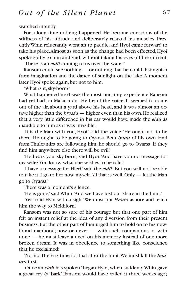watched intently.

For a long time nothing happened. He became conscious of the stiffness of his attitude and deliberately relaxed his muscles. Presently Whin reluctantly went aft to paddle, and Hyoi came forward to take his place. Almost as soon as the change had been effected, Hyoi spoke softly to him and said, without taking his eyes off the current:

'There is an *eldil* coming to us over the water.'

Ransom could see nothing — or nothing that he could distinguish from imagination and the dance of sunlight on the lake. A moment later Hyoi spoke again, but not to him.

'What is it, sky-born?'

What happened next was the most uncanny experience Ransom had yet had on Malacandra. He heard the voice. It seemed to come out of the air, about a yard above his head, and it was almost an octave higher than the *hross*'s — higher even than his own. He realized that a very little difference in his ear would have made the *eldil* as inaudible to him as it was invisible.

'It is the Man with you, Hyoi,' said the voice. 'He ought not to be there. He ought to be going to Oyarsa. Bent *hnau* of his own kind from Thulcandra are following him; he should go to Oyarsa. If they find him anywhere else there will be evil.'

'He hears you, sky-born,' said Hyoi. 'And have you no message for my wife? You know what she wishes to be told.'

'I have a message for Hleri,' said the *eldil*. 'But you will not be able to take it. I go to her now myself. All that is well. Only — let the Man go to Oyarsa.'

There was a moment's silence.

'He is gone,' said Whin. 'And we have lost our share in the hunt.'

'Yes,' said Hyoi with a sigh. 'We must put *Hman* ashore and teach him the way to Meldilorn.'

Ransom was not so sure of his courage but that one part of him felt an instant relief at the idea of any diversion from their present business. But the other part of him urged him to hold on to his newfound manhood; now or never — with such companions or with none — he must leave a deed on his memory instead of one more broken dream. It was in obedience to something like conscience that he exclaimed:

'No, no. There is time for that after the hunt. We must kill the *hnakra* first.'

'Once an *eldil* has spoken,' began Hyoi, when suddenly Whin gave a great cry (a 'bark' Ransom would have called it three weeks ago)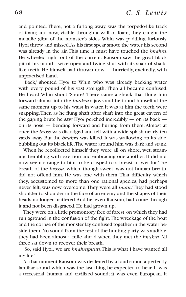and pointed. There, not a furlong away, was the torpedo-like track of foam; and now, visible through a wall of foam, they caught the metallic glint of the monster's sides. Whin was paddling furiously. Hyoi threw and missed. As his first spear smote the water his second was already in the air. This time it must have touched the *hnakra*. He wheeled right out of the current. Ransom saw the great black pit of his mouth twice open and twice shut with its snap of sharklike teeth. He himself had thrown now — hurriedly, excitedly, with unpractised hand.

'Back,' shouted Hyoi to Whin who was already backing water with every pound of his vast strength. Then all became confused. He heard Whin shout 'Shore!' There came a shock that flung him forward almost into the *hnakra*'s jaws and he found himself at the same moment up to his waist in water. It was at him the teeth were snapping. Then as he flung shaft after shaft into the great cavern of the gaping brute he saw Hyoi perched incredibly — on its back on its nose — bending forward and hurling from there. Almost at once the *hross* was dislodged and fell with a wide splash nearly ten yards away. But the *hnakra* was killed. It was wallowing on its side, bubbling out its black life. The water around him was dark and stank.

When he recollected himself they were all on shore, wet, steaming, trembling with exertion and embracing one another. It did not now seem strange to him to be clasped to a breast of wet fur. The breath of the *hrossa*, which, though sweet, was not human breath, did not offend him. He was one with them. That difficulty which they, accustomed to more than one rational species, had perhaps never felt, was now overcome. They were all *hnau*. They had stood shoulder to shoulder in the face of an enemy, and the shapes of their heads no longer mattered. And he, even Ransom, had come through it and not been disgraced. He had grown up.

They were on a little promontory free of forest, on which they had run aground in the confusion of the fight. The wreckage of the boat and the corpse of the monster lay confused together in the water beside them. No sound from the rest of the hunting party was audible; they had been almost a mile ahead when they met the *hnakra*. All three sat down to recover their breath.

'So,' said Hyoi, 'we are *hnakrapunti*. This is what I have wanted all my life.'

At that moment Ransom was deafened by a loud sound a perfectly familiar sound which was the last thing he expected to hear. It was a terrestrial, human and civilized sound; it was even European. It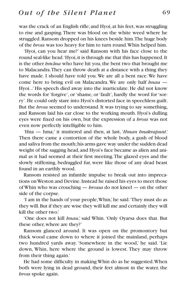was the crack of an English rifle; and Hyoi, at his feet, was struggling to rise and gasping. There was blood on the white weed where he struggled. Ransom dropped on his knees beside him. The huge body of the *hross* was too heavy for him to turn round. Whin helped him.

'Hyoi, can you hear me?' said Ransom with his face close to the round seal-like head. 'Hyoi, it is through me that this has happened. It is the other *hm*ā*na* who have hit you, the bent two that brought me to Malacandra. They can throw death at a distance with a thing they have made. I should have told you. We are all a bent race. We have come here to bring evil on Malacandra. We are only half *hnau* — Hyoi...' His speech died away into the inarticulate. He did not know the words for 'forgive', or 'shame, or 'fault', hardly the word for 'sorry'. He could only stare into Hyoi's distorted face in speechless guilt. But the *hross* seemed to understand. It was trying to say something, and Ransom laid his ear close to the working mouth. Hyoi's dulling eyes were fixed on his own, but the expression of a *hross* was not even now perfectly intelligible to him.

'Hna — hma;' it muttered and then, at last, '*Hman hnakrapunt*.' Then there came a contortion of the whole body, a gush of blood and saliva from the mouth; his arms gave way under the sudden dead weight of the sagging head, and Hyoi's face became as alien and animal as it had seemed at their first meeting. The glazed eyes and the slowly stiffening, bedraggled fur, were like those of any dead beast found in an earthly wood.

Ransom resisted an infantile impulse to break out into imprecations on Weston and Devine. Instead he raised his eyes to meet those of Whin who was crouching — *hrossa* do not kneel — on the other side of the corpse.

'I am in the hands of your people, Whin,' he said. 'They must do as they will. But if they are wise they will kill me and certainly they will kill the other two.'

'One does not kill *hnau*,' said Whin. 'Only Oyarsa does that. But these other, where are they?'

Ransom glanced around. It was open on the promontory but thick wood came down to where it joined the mainland, perhaps two hundred yards away. 'Somewhere in the wood,' he said. 'Lie down, Whin, here where the ground is lowest. They may throw from their thing again.'

He had some difficulty in making Whin do as he suggested. When both were lying in dead ground, their feet almost in the water, the *hross* spoke again.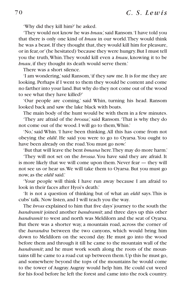'Why did they kill him?' he asked.

'They would not know he was *hnau*,' said Ransom. 'I have told you that there is only one kind of *hnau* in our world. They would think he was a beast. If they thought that, they would kill him for pleasure, or in fear, or' (he hesitated) 'because they were hungry. But I must tell you the truth, Whin. They would kill even a *hnau*, knowing it to be *hnau*, if they thought its death would serve them.'

There was a short silence.

'I am wondering,' said Ransom, 'if they saw me. It is for me they are looking. Perhaps if I went to them they would be content and come no farther into your land. But why do they not come out of the wood to see what they have killed?'

'Our people are coming,' said Whin, turning his head. Ransom looked back and saw the lake black with boats.

The main body of the hunt would be with them in a few minutes. 'They are afraid of the *hrossa*,' said Ransom. 'That is why they do not come out of the wood. I will go to them, Whin.'

'No,' said Whin. 'I have been thinking. All this has come from not obeying the *eldil*. He said you were to go to Oyarsa. You ought to have been already on the road. You must go now.'

'But that will leave the bent *hmana* here. They may do more harm.' 'They will not set on the *hrossa*. You have said they are afraid. It is more likely that we will come upon them. Never fear — they will not see us or hear us. We will take them to Oyarsa. But you must go now, as the *eldil* said.'

'Your people will think I have run away because I am afraid to look in their faces after Hyoi's death.'

'It is not a question of thinking but of what an *eldil* says. This is cubs' talk. Now listen, and I will teach you the way.

The *hross* explained to him that five days' journey to the south the *handramit* joined another *handramit*; and three days up this other *handramit* to west and north was Meldilorn and the seat of Oyarsa. But there was a shorter way, a mountain road, across the corner of the *harandra* between the two canyons, which would bring him down to Meldilorn on the second day. He must go into the wood before them and through it till he came to the mountain wall of the *handramit*; and he must work south along the roots of the mountains till he came to a road cut up between them. Up this he must go, and somewhere beyond the tops of the mountains he would come to the tower of Augray. Augray would help him. He could cut weed for his food before he left the forest and came into the rock country.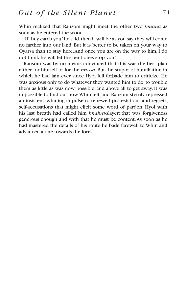Whin realized that Ransom might meet the other two *hmana* as soon as he entered the wood.

'If they catch you,' he said, then it will be as you say, they will come no farther into our land. But it is better to be taken on your way to Oyarsa than to stay here. And once you are on the way to him, I do not think he will let the bent ones stop you.'

Ransom was by no means convinced that this was the best plan either for himself or for the *hrossa*. But the stupor of humiliation in which he had lain ever since Hyoi fell forbade him to criticize. He was anxious only to do whatever they wanted him to do, to trouble them as little as was now possible, and above all to get away. It was impossible to find out how Whin felt; and Ransom sternly repressed an insistent, whining impulse to renewed protestations and regrets, self-accusations that might elicit some word of pardon. Hyoi with his last breath had called him *hnakra*-slayer; that was forgiveness generous enough and with that he must be content. As soon as he had mastered the details of his route he bade farewell to Whin and advanced alone towards the forest.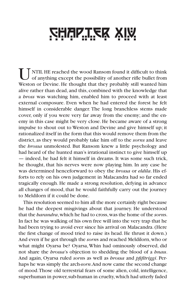### <u>Chapter XIV</u>

T NTIL HE reached the wood Ransom found it difficult to think of anything except the possibility of another rifle bullet from Weston or Devine. He thought that they probably still wanted him alive rather than dead, and this, combined with the knowledge that a *hross* was watching him, enabled him to proceed with at least external composure. Even when he had entered the forest he felt himself in considerable danger. The long branchless stems made cover, only if you were very far away from the enemy; and the enemy in this case might be very close. He became aware of a strong impulse to shout out to Weston and Devine and give himself up; it rationalized itself in the form that this would remove them from the district, as they would probably take him off to the *sorns* and leave the *hrossa* unmolested. But Ransom knew a little psychology and had heard of the hunted man's irrational instinct to give himself up — indeed, he had felt it himself in dreams. It was some such trick, he thought, that his nerves were now playing him. In any case he was determined henceforward to obey the *hrossa* or *eldila*. His efforts to rely on his own judgement in Malacandra had so far ended tragically enough. He made a strong resolution, defying in advance all changes of mood, that he would faithfully carry out the journey to Meldilorn if it could be done.

This resolution seemed to him all the more certainly right because he had the deepest misgivings about that journey. He understood that the *harandra*, which he had to cross, was the home of the *sorn*s. In fact he was walking of his own free will into the very trap that he had been trying to avoid ever since his arrival on Malacandra. (Here the first change of mood tried to raise its head. He thrust it down.) And even if he got through the *sorn*s and reached Meldilorn, who or what might Oyarsa be? Oyarsa, Whin had ominously observed, did not share the *hrossa*'s objection to shedding the blood of a *hnau*. And again, Oyarsa ruled *sorn*s as well as *hrossa* and *pfifltriggi*. Perhaps he was simply the arch-*sorn*. And now came the second change of mood. Those old terrestrial fears of some alien, cold, intelligence, superhuman in power, sub-human in cruelty, which had utterly faded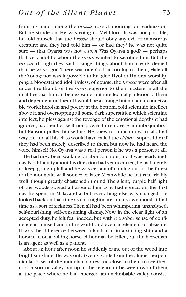from his mind among the *hrossa*, rose clamouring for readmission. But he strode on. He was going to Meldilorn. It was not possible, he told himself that the *hrossa* should obey any evil or monstrous creature; and they had told him — or had they? he was not quite sure — that Oyarsa was not a *sorn*. Was Oyarsa a god? — perhaps that very idol to whom the *sorn*s wanted to sacrifice him. But the *hrossa*, though they said strange things about him, clearly denied that he was a god. There was one God, according to them, Maleldil the Young; nor was it possible to imagine Hyoi or Hnohra worshipping a bloodstained idol. Unless, of course, the *hrossa* were after all under the thumb of the *sorn*s, superior to their masters in all the qualities that human beings value, but intellectually inferior to them and dependent on them. It would be a strange but not an inconceivable world; heroism and poetry at the bottom, cold scientific intellect above it, and overtopping all, some dark superstition which scientific intellect, helpless against the revenge of the emotional depths it had ignored, had neither will nor power to remove. A mumbo-jumbo... but Ransom pulled himself up. He knew too much now to talk that way. He and all his class would have called the *eldila* a superstition if they had been merely described to them, but now he had heard the voice himself No, Oyarsa was a real person if he was a person at all.

He had now been walking for about an hour, and it was nearly midday. No difficulty about his direction had yet occurred; he had merely to keep going uphill and he was certain of coming out of the forest to the mountain wall sooner or later. Meanwhile he felt remarkably well, though greatly chastened in mind. The silent, purple half light of the woods spread all around him as it had spread on the first day he spent in Malacandra, but everything else was changed. He looked back on that time as on a nightmare, on his own mood at that time as a sort of sickness. Then all had been whimpering, unanalysed, self-nourishing, self-consuming dismay. Now, in the clear light of an accepted duty, he felt fear indeed, but with it a sober sense of confidence in himself and in the world, and even an element of pleasure. It was the difference between a landsman in a sinking ship and a horseman on a bolting horse: either may be killed, but the horseman is an agent as well as a patient.

About an hour after noon he suddenly came out of the wood into bright sunshine. He was only twenty yards from the almost perpendicular bases of the mountain spires, too close to them to see their tops. A sort of valley ran up in the re-entrant between two of them at the place where he had emerged: an unclimbable valley consist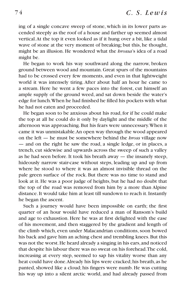ing of a single concave sweep of stone, which in its lower parts ascended steeply as the roof of a house and farther up seemed almost vertical. At the top it even looked as if it hung over a bit, like a tidal wave of stone at the very moment of breaking; but this, he thought, might be an illusion. He wondered what the *hrossa*'s idea of a road might be.

He began to work his way southward along the narrow, broken ground between wood and mountain. Great spurs of the mountains had to be crossed every few moments, and even in that lightweight world it was intensely tiring. After about half an hour he came to a stream. Here he went a few paces into the forest, cut himself an ample supply of the ground weed, and sat down beside the water's edge for lunch. When he had finished he filled his pockets with what he had not eaten and proceeded.

He began soon to be anxious about his road, for if he could make the top at all he could do it only by daylight and the middle of the afternoon was approaching. But his fears were unnecessary. When it came it was unmistakable. An open way through the wood appeared on the left — he must be somewhere behind the *hross* village now — and on the right he saw the road, a single ledge, or in places, a trench, cut sidewise and upwards across the sweep of such a valley as he had seen before. It took his breath away — the insanely steep, hideously narrow stair-case without steps, leading up and up from where he stood to where it was an almost invisible thread on the pale green surface of the rock. But there was no time to stand and look at it. He was a poor judge of heights, but he had no doubt that the top of the road was removed from him by a more than Alpine distance. It would take him at least till sundown to reach it. Instantly he began the ascent.

Such a journey would have been impossible on earth; the first quarter of an hour would have reduced a man of Ransom's build and age to exhaustion. Here he was at first delighted with the ease of his movement, and then staggered by the gradient and length of the climb which, even under Malacandrian conditions, soon bowed his back and gave him an aching chest and trembling knees. But this was not the worst. He heard already a singing in his ears, and noticed that despite his labour there was no sweat on his forehead. The cold, increasing at every step, seemed to sap his vitality worse than any heat could have done. Already his lips were cracked; his breath, as he panted, showed like a cloud; his fingers were numb. He was cutting his way up into a silent arctic world, and had already passed from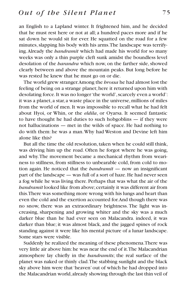an English to a Lapland winter. It frightened him, and he decided that he must rest here or not at all; a hundred paces more and if he sat down he would sit for ever. He squatted on the road for a few minutes, slapping his body with his arms. The landscape was terrifying. Already the *handramit* which had made his world for so many weeks was only a thin purple cleft sunk amidst the boundless level desolation of the *harandra* which now, on the farther side, showed clearly between and above the mountain peaks. But long before he was rested he knew that he must go on or die.

The world grew stranger. Among the *hrossa* he had almost lost the feeling of being on a strange planet; here it returned upon him with desolating force. It was no longer 'the world', scarcely even a world': it was a planet, a star, a waste place in the universe, millions of miles from the world of men. It was impossible to recall what he had felt about Hyoi, or Whin, or the *eldila*, or Oyarsa. It seemed fantastic to have thought he had duties to such hobgoblins — if they were not hallucinations — met in the wilds of space. He had nothing to do with them: he was a man. Why had Weston and Devine left him alone like this?

But all the time the old resolution, taken when he could still think, was driving him up the road. Often he forgot where he was going, and why. The movement became a mechanical rhythm from weariness to stillness, from stillness to unbearable cold, from cold to motion again. He noticed that the *handramit* — now an insignificant part of the landscape — was full of a sort of haze. He had never seen a fog while he was living there. Perhaps that was what the air of the *handramit* looked like from above; certainly it was different air from this. There was something more wrong with his lungs and heart than even the cold and the exertion accounted for. And though there was no snow, there was an extraordinary brightness. The light was increasing, sharpening and growing whiter and the sky was a much darker blue than he had ever seen on Malacandra. indeed, it was darker than blue; it was almost black, and the jagged spines of rock standing against it were like his mental picture of a lunar landscape. Some stars were visible.

Suddenly he realized the meaning of these phenomena. There was very little air above him: he was near the end of it. The Malacandrian atmosphere lay chiefly in the *handramits*; the real surface of the planet was naked or thinly clad. The stabbing sunlight and the black sky above him were that 'heaven' out of which he had dropped into the Malacandrian world, already showing through the last thin veil of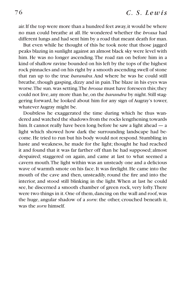air. If the top were more than a hundred feet away, it would be where no man could breathe at all. He wondered whether the *hrossa* had different lungs and had sent him by a road that meant death for man.

But even while he thought of this he took note that those jagged peaks blazing in sunlight against an almost black sky were level with him. He was no longer ascending. The road ran on before him in a kind of shallow ravine bounded on his left by the tops of the highest rock pinnacles and on his right by a smooth ascending swell of stone that ran up to the true *harandra*. And where he was he could still breathe, though gasping, dizzy and in pain. The blaze in his eyes was worse. The sun. was setting. The *hrossa* must have foreseen this; they could not live, any more than he, on the *harandra* by night. Still staggering forward, he looked about him for any sign of Augray's tower, whatever Augray might be.

Doubtless he exaggerated the time during which he thus wandered and watched the shadows from the rocks lengthening towards him. It cannot really have been long before he saw a light ahead — a light which showed how dark the surrounding landscape had become. He tried to run but his body would not respond. Stumbling in haste and weakness, he made for the light; thought he had reached it and found that it was far farther off than he had supposed; almost despaired; staggered on again, and came at last to what seemed a cavern mouth. The light within was an unsteady one and a delicious wave of warmth smote on his face. It was firelight. He came into the mouth of the cave and then, unsteadily, round the fire and into the interior, and stood still blinking in the light. When at last he could see, he discerned a smooth chamber of green rock, very lofty. There were two things in it. One of them, dancing on the wall and roof, was the huge, angular shadow of a *sorn*: the other, crouched beneath it, was the *sorn* himself.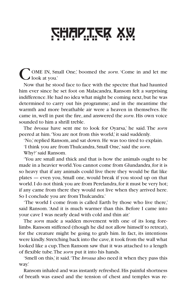### <u>Shapter XV</u>

C OME IN, Small One,' boomed the *sorn*. 'Come in and let me look at you.'

Now that he stood face to face with the spectre that had haunted him ever since he set foot on Malacandra, Ransom felt a surprising indifference. He had no idea what might be coming next, but he was determined to carry out his programme; and in the meantime the warmth and more breathable air were a heaven in themselves. He came in, well in past the fire, and answered the *sorn*. His own voice sounded to him a shrill treble.

The *hrossa* have sent me to look for Oyarsa,' he said. The *sorn* peered at him. 'You are not from this world,' it said suddenly.

'No,' replied Ransom, and sat down. He was too tired to explain.

'I think you are from Thulcandra, Small One,' said the *sorn*.

Why?' said Ransom.

'You are small and thick and that is how the animals ought to be made in a heavier world. You cannot come from Glundandra, for it is so heavy that if any animals could live there they would be flat like plates — even you, Small one, would break if you stood up on that world. I do not think you are from Perelandra, for it must be very hot; if any came from there they would not live when they arrived here. So I conclude you are from Thulcandra.'

'The world I come from is called Earth by those who live there,' said Ransom. 'And it is much warmer than this. Before I came into your cave I was nearly dead with cold and thin air.'

The *sorn* made a sudden movement with one of its long forelimbs. Ransom stiffened (though he did not allow himself to retreat), for the creature might be going to grab him. In fact, its intentions were kindly. Stretching back into the cave, it took from the wall what looked like a cup. Then Ransom saw that it was attached to a length of flexible tube. The *sorn* put it into his hands.

'Smell on this,' it said. 'The *hrossa* also need it when they pass this way.'

Ransom inhaled and was instantly refreshed. His painful shortness of breath was eased and the tension of chest and temples was re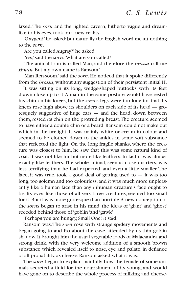laxed. The *sorn* and the lighted cavern, hitherto vague and dreamlike to his eyes, took on a new reality.

'Oxygen?' he asked; but naturally the English word meant nothing to the *sorn*.

'Are you called Augray?' he asked.

'Yes,' said the *sorn*. 'What are you called?'

'The animal I am is called Man, and therefore the *hrossa* call me *Hman*. But my own name is Ransom.'

'Man Ren-soom,' said the *sorn*. He noticed that it spoke differently from the *hrossa*, without any suggestion of their persistent initial H.

It was sitting on its long, wedge-shaped buttocks with its feet drawn close up to it. A man in the same posture would have rested his chin on his knees, but the *sorn*'s legs were too long for that. Its knees rose high above its shoulders on each side of its head — grotesquely suggestive of huge ears — and the head, down between them, rested its chin on the protruding breast. The creature seemed to have either a double chin or a beard; Ransom could not make out which in the firelight. It was mainly white or cream in colour and seemed to be clothed down to the ankles in some soft substance that reflected the light. On the long fragile shanks, where the creature was closest to him, he saw that this was some natural kind of coat. It was not like fur but more like feathers. In fact it was almost exactly like feathers. The whole animal, seen at close quarters, was less terrifying than he had expected, and even a little smaller. The face, it was true, took a good deal of getting used to  $-$  it was too long, too solemn and too colourless, and it was much more unpleasantly like a human face than any inhuman creature's face ought to be. Its eyes, like those of all very large creatures, seemed too small for it. But it was more grotesque than horrible. A new conception of the *sorn*s began to arise in his mind: the ideas of 'giant' and 'ghost' receded behind those of 'goblin 'and 'gawk'.

'Perhaps you are hungry, Small One,' it said.

Ransom was. The *sorn* rose with strange spidery movements and began going to and fro about the cave, attended by us thin goblin shadow. It brought him the usual vegetable foods of Malacandra, and strong drink, with the very welcome addition of a smooth brown substance which revealed itself to nose, eye and palate, in defiance of all probability, as cheese. Ransom asked what it was.

The *sorn* began to explain painfully how the female of some animals secreted a fluid for the nourishment of its young, and would have gone on to describe the whole process of milking and cheese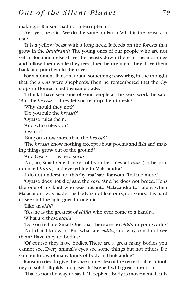making, if Ransom had not interrupted it.

'Yes, yes,' he said. 'We do the same on Earth. What is the beast you use?'

'It is a yellow beast with a long neck. It feeds on the forests that grow in the *handramit*. The young ones of our people who are not yet fit for much else drive the beasts down there in the mornings and follow them while they feed; then before night they drive them back and put them in the caves.'

For a moment Ransom found something reassuring in the thought that the *sorn*s were shepherds. Then he remembered that the Cyclops in Homer plied the same trade.

'I think I have seen one of your people at this very work,' he said. 'But the *hrossa* — they let you tear up their forests?'

'Why should they not?'

'Do you rule the *hrossa*?'

'Oyarsa rules them.'

'And who rules you?'

'Oyarsa.'

'But you know more than the *hrossa*?'

'The *hrossa* know nothing except about poems and fish and making things grow out of the ground.'

'And Oyarsa — is he a *sorn*?'

'No, no, Small One. I have told you he rules all *nau*' (so he pronounced *hnau*) 'and everything in Malacandra.'

'I do not understand this Oyarsa,' said Ransom. 'Tell me more.'

'Oyarsa does not die,' said the *sorn* 'And he does not breed. He is the one of his kind who was put into Malacandra to rule it when Malacandra was made. His body is not like ours, nor yours; it is hard to see and the light goes through it.'

'Like an *eldil*?'

'Yes, he is the greatest of *eldila* who ever come to a handra.'

'What are these *eldila*?'

'Do you tell me, Small One, that there are no *eldila* in your world?'

'Not that I know of. But what are *eldila*, and why can I not see them? Have they no bodies?'

'Of course they have bodies. There are a great many bodies you cannot see. Every animal's eyes see some things but not others. Do you not know of many kinds of body in Thulcandra?'

Ransom tried to give the *sorn* some idea of the terrestrial terminology of solids, liquids and gases. It listened with great attention.

'That is not the way to say it,' it replied. 'Body is movement. If it is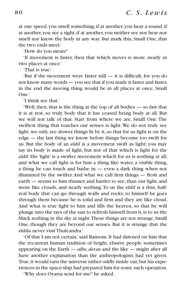at one speed, you smell something; if at another, you hear a sound; if at another, you see a sight; if at another, you neither see nor hear nor smell nor know the body in any way. But mark this, Small One, that the two ends meet.'

'How do you mean?'

'If movement is faster, then that which moves is more, nearly in two places at once.'

'That is true.'

'But if the movement were faster still — it is difficult, for you do not know many words — you see that if you made it faster and faster, in the end the moving thing would be in all places at once, Small One.'

'I think see that.'

'Well, then, that is the thing at the top of all bodies — so fast that it is at rest, so truly body that it has ceased being body at all. But we will not talk of that. Start from where we are, Small One. The swiftest thing that touches our senses is light. We do not truly see light, we only see slower things lit by it, so that for us light is on the edge — the last thing we know before things become too swift for us. But the body of an *eldil* is a movement swift as light; you may say its body is made of light, but not of that which is light for the *eldil*. His 'light' is a swifter movement which for us is nothing at all; and what we call light is for him a thing like water, a visible thing, a thing he can touch and bathe in  $-$  even a dark thing when not illumined by the swifter. And what we call firm things — flesh and earth — seems to him thinner, and harder to see, than our light, and more like clouds, and nearly nothing. To us the *eldil* is a thin, halfreal body that can go through walls and rocks; to himself he goes through them because he is solid and firm and they are like cloud. And what is true light to him and fills the heaven, so that he will plunge into the rays of the sun to refresh himself from it, is to us the black nothing in the sky at night. These things are not strange, Small One, though they are beyond our senses. But it is strange that the *eldila* never visit Thulcandra.'

'Of that I am not certain,' said Ransom. It had dawned on him that the recurrent human tradition of bright, elusive people sometimes appearing on the Earth — *albs*, *devas* and the like — might after all have another explanation than the anthropologists had yet given. True, it would turn the universe rather oddly inside out; but his experiences in the space-ship had prepared him for some such operation.

'Why does Oyarsa send for me?' he asked.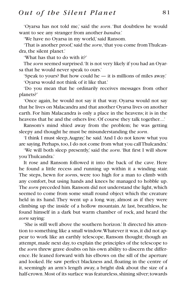'Oyarsa has not told me,' said the *sorn*. 'But doubtless he would want to see any stranger from another *handra*.'

'We have no Oyarsa in my world,' said Ransom.

'That is another proof,' said the *sorn*, 'that you come from Thulcandra, the silent planet.'

'What has that to do with it?'

The *sorn* seemed surprised. 'It is not very likely if you had an Oyarsa that he would never speak to ours.'

'Speak to yours? But how could he — it is millions of miles away.'

'Oyarsa would not think of it like that.'

'Do you mean that he ordinarily receives messages from other planets?'

'Once again, he would not say it that way. Oyarsa would not say that he lives on Malacandra and that another Oyarsa lives on another earth. For him Malacandra is only a place in the heavens; it is in the heavens that he and the others live. Of course they talk together....'

Ransom's mind shied away from the problem; he was getting sleepy and thought he must be misunderstanding the *sorn*.

'I think I must sleep, Augray,' he said. 'And I do not know what you are saying. Perhaps, too, I do not come from what you call Thulcandra.'

'We will both sleep presently,' said the *sorn*. 'But first I will show you Thulcandra.'

It rose and Ransom followed it into the back of the cave. Here he found a little recess and running up within it a winding stair. The steps, hewn for *sorn*s, were too high for a man to climb with any comfort, but using hands and knees he managed to hobble up. The *sorn* preceded him. Ransom did not understand the light, which seemed to come from some small round object which the creature held in its hand. They went up a long way, almost as if they were climbing up the inside of a hollow mountain. At last, breathless, he found himself in a dark but warm chamber of rock, and heard the *sorn* saying:

'She is still well above the southern horizon.' It directed his attention to something like a small window. Whatever it was, it did not appear to work like an earthly telescope, Ransom thought; though an attempt, made next day, to explain the principles of the telescope to the *sorn* threw grave doubts on his own ability to discern the difference. He leaned forward with his elbows on the sill of the aperture and looked. He saw perfect blackness and, floating in the centre of it, seemingly an arm's length away, a bright disk about the size of a half-crown. Most of its surface was featureless, shining silver; towards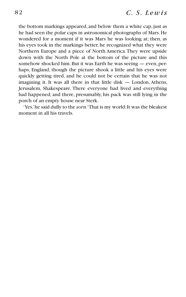the bottom markings appeared, and below them a white cap, just as he had seen the polar caps in astronomical photographs of Mars. He wondered for a moment if it was Mars he was looking at; then, as his eyes took in the markings better, he recognized what they were Northern Europe and a piece of North America. They were upside down with the North Pole at the bottom of the picture and this somehow shocked him. But it was Earth he was seeing — even, perhaps, England, though the picture shook a little and his eyes were quickly getting tired, and he could not be certain that he was not imagining it. It was all there in that little disk — London, Athens, Jerusalem, Shakespeare. There everyone had lived and everything had happened; and there, presumably, his pack was still lying in the porch of an empty house near Sterk.

'Yes,' he said dully to the *sorn*. 'That is my world: It was the bleakest moment in all his travels.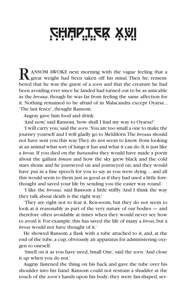# <u>Chapter XVI</u>

R ANSOM AWOKE next morning with the vague feeling that a great weight had been taken off his mind. Then he; remembered that he was the guest of a *sorn* and that the creature he had been avoiding ever since he landed had turned out to be as amicable as the *hrossa*, though he was far from feeling the same affection for it. Nothing remained to be afraid of in Malacandra except Oyarsa... 'The last fence', thought Ransom.

Augray gave him food and drink.

'And now,' said Ransom, 'how shall I find my way to Oyarsa?'

'I will carry you,' said the *sorn*. 'You are too small a one to make the journey yourself and I will gladly go to Meldilorn. The *hrossa* should not have sent you this way. They do not seem to know from looking at an animal what sort of lungs it has and what it can do. It is just like a *hross*. If you died on the *harandra* they would have made a poem about the gallant *hman* and how the sky grew black and the cold stars shone and he journeyed on and journeyed on; and they would have put in a fine speech for you to say as you were dying ... and all this would seem to them just as good as if they had used a little forethought and saved your life by sending you the easier way round.'

'I like the *hrossa*,' said Ransom a little stiffly. 'And I think the way they talk about death is the right way.'

'They are right not to fear it, Ren-soom, but they do not seem to look at it reasonably as part of the very nature of our bodies — and therefore often avoidable at times when they would never see how to avoid it. For example, this has saved the life of many a *hross*, but a *hross* would not have thought of it.'

He showed Ransom a flask with a tube attached to it, and, at the end of the tube, a cup, obviously an apparatus for administering oxygen to oneself.

'Smell on it as you have need, Small One,' said the *sorn*. 'And close it up when you do not.'

Augray fastened the thing on his back and gave the tube over his shoulder into his hand. Ransom could not restrain a shudder at the touch of the *sorn*'s hands upon his body; they were fan-shaped, sev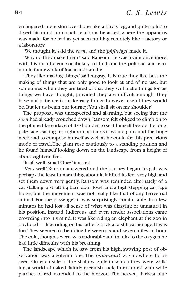en-fingered, mere skin over bone like a bird's leg, and quite cold. To divert his mind from such reactions he asked where the apparatus was made, for he had as yet seen nothing remotely like a factory or a laboratory.

'We thought it,' said the *sorn*, 'and the '*pfifltriggi*' made it.

'Why do they make them?' said Ransom. He was trying once more, with his insufficient vocabulary, to find out the political and economic framework of Malacandrian life.

'They like making things,' said Augray. 'It is true they like best the making of things that are only good to look at and of no use. But sometimes when they are tired of that they will make things for us, things we have thought, provided they are difficult enough. They have not patience to make easy things however useful they would be. But let us begin our journey. You shall sit on my shoulder.'

The proposal was unexpected and alarming, but seeing that the *sorn* had already crouched down, Ransom felt obliged to climb on to the plume-like surface of its shoulder, to seat himself beside the long, pale face, casting his right arm as far as it would go round the huge neck, and to compose himself as well as he could for this precarious mode of travel. The giant rose cautiously to a standing position and he found himself looking down on the landscape from a height of about eighteen feet.

'Is all well, Small One?' it asked.

'Very well,' Ransom answered, and the journey began. Its gait was perhaps the least human thing about it. It lifted its feet very high and set them down very gently. Ransom was reminded alternately of a cat stalking, a strutting barn-door fowl, and a high-stepping carriage horse; but the movement was not really like that of any terrestrial animal. For the passenger it was surprisingly comfortable. In a few minutes he had lost all sense of what was dizzying or unnatural in his position. Instead, ludicrous and even tender associations came crowding into his mind. It was like riding an elephant at the zoo in boyhood — like riding on his father's back at a still earlier age. It was fun. They seemed to be doing between six and seven miles an hour. The cold, though severe, was endurable; and thanks to the oxygen he had little difficulty with his breathing.

The landscape which he saw from his high, swaying post of observation was a solemn one. The *handramit* was nowhere to be seen. On each side of the shallow gully in which they were walking, a world of naked, faintly greenish rock, interrupted with wide patches of red, extended to the horizon. The heaven, darkest blue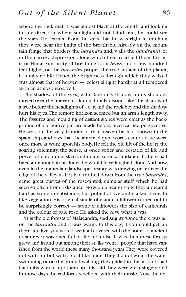where the rock met it, was almost black at the zenith, and looking in any direction where sunlight did not blind him, he could see the stars. He learned from the *sorn* that he was right in thinking they were near the limits of the breathable. Already on the mountain fringe that borders the *harandra* and, walls the *handramit*, or in the narrow depression along which their road led them, the air is of Himalayan rarity, ill breathing for a *hross*, and a few hundred feet higher, on the *harandra* proper, the true surface of the planet, it admits no life. Hence the brightness through which they walked was almost that of heaven — celestial light hardly at all tempered with an atmospheric veil.

The shadow of the *sorn*, with Ransom's shadow on its shoulder, moved over the uneven rock unnaturally distinct like 'the shadow of a tree before the headlights of a car; and the rock beyond the shadow hurt his eyes. The remote horizon seemed but an arm's length away. The fissures and moulding of distant slopes were clear as the background of a primitive picture made before men learned perspective. He was on the very frontier of that heaven he had known in the space-ship, and rays that the air-enveloped words cannot taste were once more at work upon his body. He felt the old lift of the heart, the soaring solemnity, the sense, at once sober and ecstatic, of life and power offered in unasked and unmeasured abundance. If there had been air enough in his lungs he would have laughed aloud. And now, even in the immediate landscape, beauty was drawing near. Over the edge of the valley, as if it had frothed down from the true *harandra*, came great curves of the rose-tinted, cumular stuff which he had seen so often from a distance. Now on a nearer view they appeared hard as stone in substance, but puffed above and stalked beneath like vegetation. His original simile of giant cauliflower turned out to be surprisingly correct — stone cauliflowers the size of cathedrals and the colour of pale rose. He asked the *sorn* what it was.

'It is the old forests of Malacandra,' said Augray. 'Once there was air on the *harandra* and it was warm. To this day, if you could get up there and live, you would see it all covered with the bones of ancient creatures; it was once full of life and noise. It was then these forests grew, and in and out among their stalks went a people that have vanished from the world these many thousand years. They were covered not with fur but with a coat like mine. They did not go in the water swimming or on the ground walking; they glided in the air on broad flat limbs which kept them up. It is said they were great singers, and in those days the red forests echoed with their music. Now the for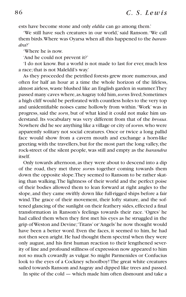ests have become stone and only *eldila* can go among them.'

'We still have such creatures in our world,' said Ransom. 'We call them birds. Where was Oyarsa when all this happened to the *harandra*?'

'Where he is now.

'And he could not prevent it?'

'I do not know. But a world is not made to last for ever, much less a race; that is not Maleldil's way.'

As they proceeded the petrified forests grew more numerous, and often for half an hour at a time the whole horizon of the lifeless, almost airless, waste blushed like an English garden in summer. They passed many caves where, as Augray told him, *sorn*s lived; Sometimes a high cliff would be perforated with countless holes to the very top and unidentifiable noises came hollowly from within. 'Work' was in progress, said the *sorn*, but of what kind it could not make him understand. Its vocabulary was very different from that of the *hrossa*. Nowhere did he see anything like a village or city of *sorn*s. who were apparently solitary not social creatures. Once or twice a long pallid face would show from a cavern mouth and exchange a horn-like greeting with the travellers, but for the most part the long valley, the rock-street of the silent people, was still and empty as the *harandra* itself.

Only towards afternoon, as they were about to descend into a dip of the road, they met three *sorn*s together coming towards them down the opposite slope. They seemed to Ransom to be rather skating than walking. The lightness of their world and the perfect poise of their bodies allowed them to lean forward at right angles to the slope, and they came swiftly down like full-rigged ships before a fair wind. The grace of their movement, their lofty stature, and the softened glancing of the sunlight on their feathery sides, effected a final transformation in Ransom's feelings towards their race. 'Ogres' he had called them when they first met his eyes as he struggled in the grip of Weston and Devine; 'Titans' or 'Angels' he now thought would have been a better word. Even the faces, it seemed to him, he had not then seen aright. He had thought them spectral when they were only august, and his first human reaction to their lengthened severity of line and profound stillness of expression now appeared to him not so much cowardly as vulgar. So might Parmenides or Confucius look to the eyes of a Cockney schoolboy! The great white creatures sailed towards Ransom and Augray and dipped like trees and passed.

In spite of the cold — which made him often dismount and take a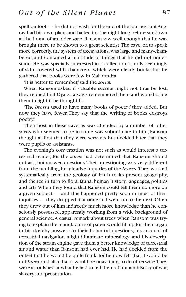spell on foot — he did not wish for the end of the journey; but Augray had his own plans and halted for the night long before sundown at the home of an older *sorn*. Ransom saw well enough that he was brought there to be shown to a great scientist. The cave, or, to speak more correctly, the system of excavations, was large and many-chambered, and contained a multitude of things that he did not understand. He was specially interested in a collection of rolls, seemingly of skin, covered with characters, which were clearly books; but he gathered that books were few in Malacandra.

'It is better to remember,' said the *sorn*s.

When Ransom asked if valuable secrets might not thus be lost, they replied that Oyarsa always remembered them and would bring them to light if he thought fit.

'The *hrossa* used to have many books of poetry,' they added. 'But now they have fewer. They say that the writing of books destroys poetry.'

Their host in these caverns was attended by a number of other *sorn*s who seemed to be in some way subordinate to him; Ransom thought at first that they were servants but decided later that they were pupils or assistants.

The evening's conversation was not such as would interest a terrestrial reader, for the *sorn*s had determined that Ransom should not ask, but answer, questions. Their questioning was very different from the rambling, imaginative inquiries of the *hrossa*. They worked systematically from the geology of Earth to its present geography, and thence in turn to flora, fauna, human history, languages, politics and arts. When they found that Ransom could tell them no more on a given subject — and this happened pretty soon in most of their inquiries — they dropped it at once and went on to the next. Often they drew out of him indirectly much more knowledge than he consciously possessed, apparently working from a wide background of general science. A casual remark about trees when Ransom was trying to explain the manufacture of paper would fill up for them a gap in his sketchy answers to their botanical questions; his account of terrestrial navigation might illuminate mineralogy; and his description of the steam engine gave them a better knowledge of terrestrial air and water than Ransom had ever had. He had decided from the outset that he would be quite frank, for he now felt that it would be not *hnau*, and also that it would be unavailing, to do otherwise. They were astonished at what he had to tell them of human history of war, slavery and prostitution.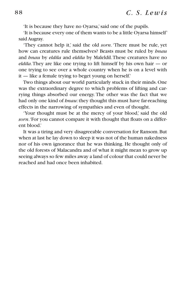'It is because they have no Oyarsa,' said one of the pupils.

'It is because every one of them wants to be a little Oyarsa himself' said Augray.

'They cannot help it,' said the old *sorn*. 'There must be rule, yet how can creatures rule themselves? Beasts must be ruled by *hnau* and *hnau* by *eldila* and *eldila* by Maleldil. These creatures have no *eldila*. They are like one trying to lift himself by his own hair — or one trying to see over a whole country when he is on a level with it — like a female trying to beget young on herself.'

Two things about our world particularly stuck in their minds. One was the extraordinary degree to which problems of lifting and carrying things absorbed our energy. The other was the fact that we had only one kind of *hnau*: they thought this must have far-reaching effects in the narrowing of sympathies and even of thought.

'Your thought must be at the mercy of your blood,' said the old *sorn*. 'For you cannot compare it with thought that floats on a different blood.'

It was a tiring and very disagreeable conversation for Ransom. But when at last he lay down to sleep it was not of the human nakedness nor of his own ignorance that he was thinking. He thought only of the old forests of Malacandra and of what it might mean to grow up seeing always so few miles away a land of colour that could never be reached and had once been inhabited.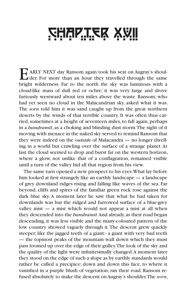# <u>VHAPTER XV</u>

E ARLY NEXT day Ransom again took his seat on Augray's shoulder. For more than an hour they travelled through the same bright wilderness. Far to the north the sky was luminous with a cloud-like mass of dull red or ochre; it was very large and drove furiously westward about ten miles above the waste. Ransom, who had yet seen no cloud in the Malacandrian sky, asked what it was. The *sorn* told him it was sand caught up from the great northern deserts by the winds of that terrible country. It was often thus carried, sometimes at a height of seventeen miles, to fall again, perhaps in a *handramit*, as a choking and blinding dust storm. The sight of it moving with menace in the naked sky served to remind Ransom that they were indeed on the *outside* of Malacandra — no longer dwelling in a world but crawling over the surface of a strange planet. At last the cloud seemed to drop and burst far on the western horizon, where a glow, not unlike that of a conflagration, remained visible until a turn of the valley hid all that region from his view.

The same turn opened a new prospect to his eyes. What lay before him looked at first strangely like an earthly landscape — a landscape of grey downland ridges rising and falling like waves of the sea. Far beyond, cliffs and spires of the familiar green rock rose against the dark blue sky. A moment later he saw that what he had taken for downlands was but the ridged and furrowed surface of a blue-grey valley mist — a mist which would not appear a mist at all when they descended into the *handramit*. And already, as their road began descending, it was less visible and the many-coloured pattern of the low country showed vaguely through it. The descent grew quickly steeper; like the jagged teeth of a giant:- a giant with very bad teeth — the topmost peaks of the mountain wall down which they must pass loomed up over the edge of their gulley. The look of the sky and the quality of the light were infinitesimally changed. A moment later they stood on the edge of such a slope as by earthly standards would rather be called a precipice; down and down this face, to where it vanished in a purple blush of vegetation, ran their road. Ransom refused absolutely to make the descent on Augray's shoulder. The *sorn*,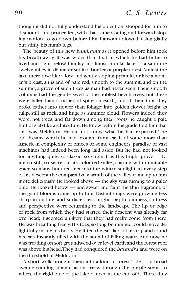though it did not fully understand his objection, stooped for him to dismount, and proceeded, with that same skating and forward sloping motion, to go down before him. Ransom followed, using gladly but stiffly his numb legs.

The beauty of this new *handramit* as it opened before him took his breath away. It was wider than that in which he had hitherto lived and right below him lay an almost circular lake — a sapphire twelve miles in diameter set in a border of purple forest. Amidst the lake there rose like a low and gently sloping pyramid, or like a woman's breast, an island of pale red, smooth to the summit, and on the summit, a grove of such trees as man had never seen. Their smooth columns had the gentle swell of the noblest beech trees: but these were taller than a cathedral spire on earth, and at their tops they broke rather into flower than foliage; into golden flower bright as tulip, still as rock, and huge as summer cloud. Flowers indeed they were, not trees, and far down among their roots he caught a pale hint of slab-like architecture. He knew before his guide told him that this was Meldilorn. He did not know what he had expected. The old dreams which he had brought from earth of some more than American complexity of offices or some engineers' paradise of vast machines had indeed been long laid aside. But he had not looked for anything quite so classic, so virginal, as this bright grove  $-1$ ying so still, so secret, in its coloured valley, soaring with inimitable grace so many hundred feet into the wintry sunlight. At every step of his descent the comparative warmth of the valley came up to him more deliciously. He looked above — the sky was turning to a paler blue. He looked below — and sweet and faint the thin fragrance of the giant blooms came up to him. Distant crags were growing less sharp in outline, and surfaces less bright. Depth, dimness, softness and perspective were returning to the landscape. The lip or edge of rock from which they had started their descent was already far overhead; it seemed unlikely that they had really come from there. He was breathing freely. His toes, so long benumbed, could move delightfully inside his boots. He lifted the ear-flaps of his cap and found his ears instantly filled with the sound of falling water. And now he was treading on soft groundweed over level earth and the forest roof was above his head. They had conquered the *harandra* and were on the threshold of Meldilorn.

A short walk brought them into a kind of forest 'ride' — a broad avenue running straight as an arrow through the purple stems to where the rigid blue of the lake danced at the end of it. There they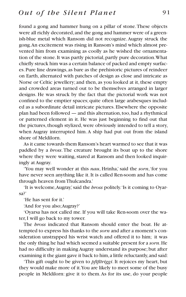found a gong and hammer hung on a pillar of stone. These objects were all richly decorated, and the gong and hammer were of a greenish-blue metal which Ransom did not recognize. Augray struck the gong. An excitement was rising in Ransom's mind which almost prevented him from examining as coolly as he wished the ornamentation of the stone. It was partly pictorial, partly pure decoration. What chiefly struck him was a certain balance of packed and empty surfaces. Pure line drawings, as bare as the prehistoric pictures of reindeer on Earth, alternated with patches of design as close and intricate as Norse or Celtic jewellery; and then, as you looked at it, these empty and crowded areas turned out to be themselves arranged in larger designs. He was struck by the fact that the pictorial work was not confined to the emptier spaces; quite often large arabesques included as a subordinate detail intricate pictures. Elsewhere the opposite plan had been followed — and this alternation, too, had a rhythmical or patterned element in it. He was just beginning to find out that the pictures, though stylized, were obviously intended to tell a story, when Augray interrupted him. A ship had put out from the island shore of Meldilorn.

As it came towards them Ransom's heart warmed to see that it was paddled by a *hross*. The creature brought its boat up to the shore where they were waiting, stared at Ransom and then looked inquiringly at Augray.

'You may well wonder at this *nau*, Hrinha,' said the *sorn*, 'for you have never seen anything like it. It is called Ren-soom and has come through heaven from Thulcandra.'

'It is welcome, Augray,' said the *hross* politely. 'Is it coming to Oyarsa?'

'He has sent for it.'

'And for you also; Augray?'

'Oyarsa has not called me. If you will take Ren-soom over the water, I will go back to my tower.

The *hross* indicated that Ransom should enter the boat. He attempted to express his thanks to the *sorn* and after a moment's consideration unstrapped his wrist watch and offered it to him; it was the only thing he had which seemed a suitable present for a *sorn*. He had no difficulty in making Augray understand its purpose; but after examining it the giant gave it back to him, a little reluctantly, and said:

'This gift ought to be given to *pftfltriggi*. It rejoices my heart, but they would make more of it. You are likely to meet some of the busy people in Meldilorn: give it to them. As for its use, do your people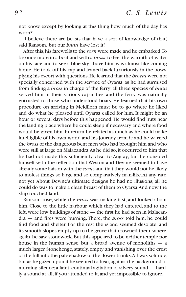not know except by looking at this thing how much of the day has worn?'

'I believe there are beasts that have a sort of knowledge of that,' said Ransom, 'but our *hnau* have lost it.'

After this, his farewells to the *sorn* were made and he embarked. To be once more in a boat and with a *hross*, to feel the warmth of water on his face and to see a blue sky above him, was almost like coming home. He took off his cap and leaned back luxuriously in the bows, plying his escort with questions. He learned that the *hrossa* were not specially concerned with the service of Oyarsa, as he had surmised from finding a *hross* in charge of the ferry: all three species of *hnau* served him in their various capacities, and the ferry was naturally entrusted to those who understood boats. He learned that his own procedure on arriving in Meldilorn must be to go where he liked and do what he pleased until Oyarsa called for him. It might be an hour or several days before this happened. He would find huts near the landing place where he could sleep if necessary and where food would be given him. In return he related as much as he could make intelligible of his own world and his journey from it; and he warned the *hross* of the dangerous bent men who had brought him and who were still at large on Malacandra. As he did so, it occurred to him that he had not made this sufficiently clear to Augray; but he consoled himself with the reflection that Weston and Devine seemed to have already some liaison with the *sorn*s and that they would not be likely to molest things so large and so comparatively man-like. At any rate, not yet. About Devine's ultimate designs he had no illusions; all he could do was to make a clean breast of them to Oyarsa. And now the ship touched land.

Ransom rose, while the *hross* was making fast, and looked about him. Close to the little harbour which they had entered, and to the left, were low buildings of stone — the first he had seen in Malacandra — and fires were burning. There, the *hross* told him, he could find food and shelter. For the rest the island seemed desolate, and its smooth slopes empty up to the grove that crowned them, where, again, he saw stonework. But this appeared to be neither temple nor house in the human sense, but a broad avenue of monoliths — a much larger Stonehenge, stately, empty and vanishing over the crest of the hill into the pale shadow of the flower-trunks. All was solitude; but as he gazed upon it he seemed to hear, against the background of morning silence; a faint, continual agitation of silvery sound — hardly a sound at all, if you attended to it, and yet impossible to ignore.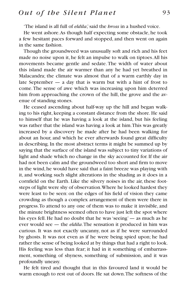'The island is all full of *eldila*,' said the *hross* in a hushed voice.

He went ashore. As though half expecting some obstacle, he took a few hesitant paces forward and stopped, and then went on again in the same fashion.

Though the groundweed was unusually soft and rich and his feet made no noise upon it, he felt an impulse to walk on tiptoes. All his movements became gentle and sedate. The width of water about this island made the air warmer than any he had yet breathed in Malacandra; the climate was almost that of a warm earthly day in late September — a day that is warm but with a hint of frost to come. The sense of awe which was increasing upon him deterred him from approaching the crown of the hill, the grove and the avenue of standing stones.

He ceased ascending about half-way up the hill and began walking to his right, keeping a constant distance from the shore. He said to himself that he was having a look at the island, but his feeling was rather that the island was having a look at him. This was greatly increased by a discovery he made after he had been walking for about an hour, and which he ever afterwards found great difficulty in describing. In the most abstract terms it might be summed up by saying that the surface of the island was subject to tiny variations of light and shade which no change in the sky accounted for. If the air had not been calm and the groundweed too short and firm to move in the wind, he would have said that a faint breeze was playing with it, and working such slight alterations in the shading as it does in a cornfield on the Earth. Like the silvery noises in the air, these footsteps of light were shy of observation. Where he looked hardest they were least to be seen: on the edges of his field of vision they came crowding as though a complex arrangement of them were there in progress. To attend to any one of them was to make it invisible, and the minute brightness seemed often to have just left the spot where his eyes fell. He had no doubt that he was 'seeing' — as much as he ever would see — the *eldila*. The sensation it produced in him was curious. It was not exactly uncanny, not as if he were surrounded by ghosts. It was not even as if he were being spied upon; he had rather the sense of being looked at by things that had a right to look. His feeling was less than fear; it had in it something of embarrassment, something of shyness, something of submission, and it was profoundly uneasy.

He felt tired and thought that in this favoured land it would be warm enough to rest out of doors. He sat down. The softness of the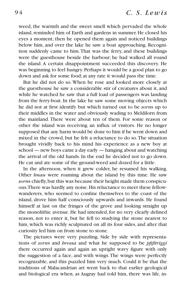weed, the warmth and the sweet smell which pervaded the whole island, reminded him of Earth and gardens in summer. He closed his eyes a moment; then he opened them again and noticed buildings below him, and over the lake he saw a boat approaching. Recognition suddenly came to him. That was the ferry, and these buildings were the guesthouse beside the harbour; he had walked all round the island. A certain disappointment succeeded this discovery. He was beginning to feel hungry. Perhaps it would be a good plan to go down and ask for some food; at any rate it would pass the time.

But he did not do so. When he rose and looked more closely at the guesthouse he saw a considerable stir of creatures about it, and while he watched he saw that a full load of passengers was landing from the ferry-boat. In the lake he saw some moving objects which he did not at first identify but which turned out to be *sorn*s up to their middles in the water and obviously wading to Meldilorn from the mainland. There were about ten of them. For some reason or other the island was receiving an influx of visitors. He no longer supposed that any harm would be done to him if he went down and mixed in the crowd, but he felt a reluctance to do so. The situation brought vividly back to his mind his experience as a new boy at school — new boys came a day early — hanging about and watching the arrival of the old hands. In the end he decided not to go down. He cut and ate some of the ground-weed and dozed for a little.

In the afternoon, when it grew colder, he resumed his walking. Other *hnau* were roaming about the island by this time. He saw *sorn*s chiefly, but this was because their height made them conspicuous. There was hardly any noise. His reluctance to meet these fellowwanderers, who seemed to confine themselves to the coast of the island, drove him half consciously upwards and inwards. He found himself at last on the fringes of the grove and looking straight up the monolithic avenue. He had intended, for no very clearly defined reason, not to enter it, but he fell to studying the stone nearest to him, which was richly sculptured on all its four sides, and after that curiosity led him on from stone to stone.

The pictures were very puzzling. Side by side with representations of *sorn*s and *hrossa* and what he supposed to be *pfifltriggi* there occurred again and again an upright wavy figure with only the suggestion of a face, and with wings. The wings were perfectly recognizable, and this puzzled him very much. Could it be that the traditions of Malacandrian art went back to that earlier geological and biological era when, as Augray had told him, there was life, in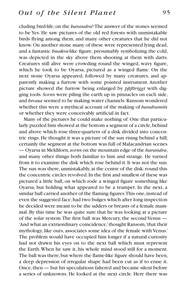cluding bird-life, on the *harandra*? The answer of the stones seemed to be Yes. He saw pictures of the old red forests with unmistakable birds flying among them, and many other creatures that he did not know. On another stone many of these were represented lying dead, and a fantastic *hnakra*-like figure, presumably symbolizing the cold, was depicted in the sky above them shooting at them with darts. Creatures still alive were crowding round the winged, wavy figure, which he took to be Oyarsa, pictured as a winged flame. On the next stone Oyarsa appeared, followed by many creatures, and apparently making a furrow with some pointed instrument. Another picture showed the furrow being enlarged by *pfifltriggi* with digging tools. *Sorn*s were piling the earth up in pinnacles on each side, and *hrossa* seemed to be making water channels. Ransom wondered whether this were a mythical account of the making of *handramits* or whether they were conceivably artificial in fact.

Many of the pictures he could make nothing of: One that particularly puzzled him showed at the bottom a segment of a circle, behind and above which rose three-quarters of a disk divided into concentric rings. He thought it was a picture of the sun rising behind a hill; certainly the segment at the bottom was full of Malacandrian scenes — Oyarsa in Meldilorn, *sorn*s on the mountain edge of the *harandra*, and many other things both familiar to him and strange. He turned from it to examine the disk which rose behind it. It was not the sun. The sun was there, unmistakably, at the centre of the disk: round this the concentric circles revolved. In the first and smallest of these was pictured a little ball, on which rode a winged figure something like Oyarsa, but holding what appeared to be a trumpet. In the next, a similar ball carried another of the flaming figures. This one, instead of even the suggested face, had two bulges which after long inspection he decided were meant to be the udders or breasts of a female mammal. By this time he was quite sure that he was looking at a picture of the solar system. The first ball was Mercury, the second Venus — 'And what an extraordinary coincidence,' thought Ransom, 'that their mythology, like ours, associates some idea of the female with Venus.' The problem would have occupied him longer if a natural curiosity had not drawn his eyes on to the next ball which must represent the Earth. When he saw it, his whole mind stood still for a moment. The ball was there, but where the flame-like figure should have been, a deep depression of irregular shape had been cut as if to erase it. Once, then — but his speculations faltered and became silent before a series of unknowns. He looked at the next circle. Here there was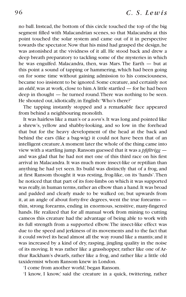no ball. Instead, the bottom of this circle touched the top of the big segment filled with Malacandrian scenes, so that Malacandra at this point touched the solar system and came out of it in perspective towards the spectator. Now that his mind had grasped the design, he was astonished at the vividness of it all. He stood back and drew a deep breath preparatory to tackling some of the mysteries in which he was engulfed. Malacandra, then, was Mars. The Earth — but at this point a sound of tapping or hammering, which had been going on for some time without gaining admission to his consciousness, became too insistent to be ignored. Some creature, and certainly not an *eldil*, was at work, close to him. A little startled — for he had been deep in thought — he turned round. There was nothing to be seen. He shouted out, idiotically, in English: 'Who's there?'

The tapping instantly stopped and a remarkable face appeared from behind a neighbouring monolith.

It was hairless like a man's or a *sorn*'s. It was long and pointed like a shrew's, yellow and shabby-looking, and so low in the forehead that but for the heavy development of the head at the back and behind the ears (like a bag-wig) it could not have been that of an intelligent creature. A moment later the whole of the thing came into view with a startling jump. Ransom guessed that it was a *pfifltrigg* and was glad that he had not met one of this third race on his first arrival in Malacandra. It was much more insect-like or reptilian than anything he had yet seen. Its build was distinctly that of a frog, and at first Ransom thought it was resting, frog-like, on its 'hands'. Then he noticed that that part of its fore-limbs on which it was supported was really, in human terms, rather an elbow than a hand. It was broad and padded and clearly made to be walked on; but upwards from it, at an angle of about forty-five degrees, went the true forearms thin, strong forearms, ending in enormous, sensitive, many-fingered hands. He realized that for all manual work from mining to cutting cameos this creature had the advantage of being able to work with its full strength from a supported elbow. The insect-like effect was due to the speed and jerkiness of its movements and to the fact that it could swivel its head almost all the way round like a mantis; and it was increased by a kind of dry, rasping, jingling quality in the noise of its moving. It was rather like a grasshopper, rather like one of Arthur Rackham's dwarfs, rather like a frog, and rather like a little old taxidermist whom Ransom knew in London.

'I come from another world,' began Ransom.

'I know, I know,' said the creature in a quick, twittering, rather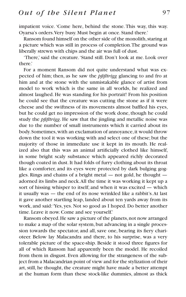impatient voice. 'Come here, behind the stone. This way, this way. Oyarsa's orders. Very busy. Must begin at once. Stand there.'

Ransom found himself on the other side of the monolith, staring at a picture which was still in process of completion. The ground was liberally strewn with chips and the air was full of dust.

'There,' said the creature. 'Stand still. Don't look at me. Look over there.'

For a moment Ransom did not quite understand what was expected of him; then, as he saw the *pfifltrigg* glancing to and fro at him and at the stone with the unmistakable glance of artist from model to work which is the same in all worlds, he realized and almost laughed. He was standing for his portrait! From his position he could see that the creature was cutting the stone as if it were cheese and the swiftness of its movements almost baffled his eyes, but he could get no impression of the work done, though he could study the *pfifltrigg*. He saw that the jingling and metallic noise was due to the number of small instruments which it carried about its body. Sometimes, with an exclamation of annoyance, it would throw down the tool it was working with and select one of these; but the majority of those in immediate use it kept in its mouth. He realized also that this was an animal artificially clothed like himself, in some bright scaly substance which appeared richly decorated though coated in dust. It had folds of furry clothing about its throat like a comforter, and its eyes were protected by dark bulging goggles. Rings and chains of a bright metal — not gold, he thought adorned its limbs and neck. All the time it was working it kept up a sort of hissing whisper to itself; and when it was excited — which it usually was — the end of its nose wrinkled like a rabbit's. At last it gave another startling leap, landed about ten yards away from its work, and said: 'Yes, yes. Not so good as I hoped. Do better another time. Leave it now. Come and see yourself.'

Ransom obeyed. He saw a picture of the planets, not now arranged to make a map of the solar system, but advancing in a single procession towards the spectator, and all, save one, bearing its fiery charioteer. Below lay Malacandra and there, to his surprise, was a very tolerable picture of the space-ship. Beside it stood three figures for all of which Ransom had apparently been the model. He recoiled from them in disgust. Even allowing for the strangeness of the subject from a Malacandrian point of view and for the stylization of their art, still, he thought, the creature might have made a better attempt at the human form than these stock-like dummies, almost as thick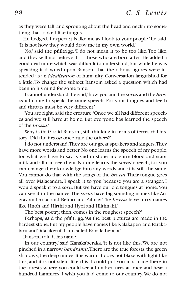as they were tall, and sprouting about the head and neck into something that looked like fungus.

He hedged. 'I expect it is like me as I look to your people,' he said. 'It is not how they would draw me in my own world.'

'No,' said the pfifltrigg. 'I do not mean it to be too like. Too like, and they will not believe it — those who are born after.' He added a good deal more which was difficult to understand; but while he was speaking it dawned upon Ransom that the odious figures were intended as an *idealization* of humanity. Conversation languished for a little. To change the subject Ransom asked a question which had been in his mind for some time.

'I cannot understand,' he said, 'how you and the *sorn*s and the *hrossa* all come to speak the same speech. For your tongues and teeth and throats must be very different.'

'You are right,' said the creature. 'Once we all had different speeches and we still have at home. But everyone has learned the speech of the *hrossa*.'

'Why is that?' said Ransom, still thinking in terms of terrestrial history. 'Did the *hrossa* once rule the others?'

'I do not understand. They are our great speakers and singers. They have more words and better. No one learns the speech of my people, for what we have to say is said in stone and sun's blood and stars' milk and all can see them. No one learns the *sorn*s' speech, for you can change their knowledge into any words and it is still the same. You cannot do that with the songs of the *hrossa*. Their tongue goes all over Malacandra. I speak it to you because you are a stranger. I would speak it to a *sorn*. But we have our old tongues at home. You can see it in the names. The *sorn*s have big-sounding names like Augray and Arkal and Belmo and Falmay. The *hrossa* have furry names like Hnoh and Hirthi and Hyoi and Hlithnahi.'

'The best poetry, then, comes in the roughest speech?'

'Perhaps,' said the pfifltrigg. 'As the best pictures are made in the hardest stone. But my people have names like Kalakaperi and Parakataru and Tafalakeruf. I am called Kanakaberaka.'

Ransom told it his name.

'In our country,' said Kanakaberaka, 'it is not like this. We are not pinched in a narrow *handramit*. There are the true forests, the green shadows, the deep mines. It is warm. It does not blaze with light like this, and it is not silent like this. I could put you in a place there in the forests where you could see a hundred fires at once and hear a hundred hammers. I wish you had come to our country. We do not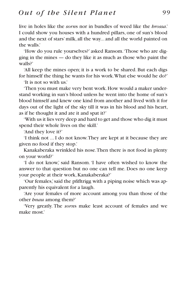live in holes like the *sorn*s nor in bundles of weed like the *hrossa*.' I could show you houses with a hundred pillars, one of sun's blood and the next of stars' milk, all the way... and all the world painted on the walls.'

'How do you rule yourselves?' asked Ransom. 'Those who are digging in the mines — do they like it as much as those who paint the walls?'

'All keep the mines open; it is a work to be shared. But each digs for himself the thing he wants for his work. What else would he do?'

'It is not so with us.'

'Then you must make very bent work. How would a maker understand working in sun's blood unless he went into the home of sun's blood himself and knew one kind from another and lived with it for days out of the light of the sky till it was in his blood and his heart, as if he thought it and ate it and spat it?'

'With us it lies very deep and hard to get and those who dig it must spend their whole lives on the skill.'

'And they love it?'

'I think not ... I do not know. They are kept at it because they are given no food if they stop.'

Kanakaberaka wrinkled his nose. Then there is not food in plenty on your world?'

'I do not know,' said Ransom. 'I have often wished to know the answer to that question but no one can tell me. Does no one keep your people at their work, Kanakaberaka?'

'Our females,' said the pfifltrigg with a piping noise which was apparently his equivalent for a laugh.

'Are your females of more account among you than those of the other *hnau* among them?'

'Very greatly. The *sorn*s make least account of females and we make most.'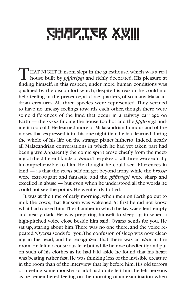## <u>SHAPTEK XV</u>

**T** HAT NIGHT Ransom slept in the guesthouse, which was a real house built by *pfifltriggi* and richly decorated. His pleasure at finding himself, in this respect, under more human conditions was qualified by the discomfort which, despite his reason, he could not help feeling in the presence, at close quarters, of so many Malacandrian creatures. All three species were represented. They seemed to have no uneasy feelings towards each other, though there were some differences of the kind that occur in a railway carriage on Earth — the *sorns* finding the house too hot and the *pfifltriggi* finding it too cold. He learned more of Malacandrian humour and of the noises that expressed it in this one night than he had learned during the whole of his life on the strange planet hitherto. Indeed, nearly all Malacandrian conversations in which he had yet taken part had been grave. Apparently the comic spirit arose chiefly from the meeting of the different kinds of *hnau*. The jokes of all three were equally incomprehensible to him. He thought he could see differences in kind — as that the *sorns* seldom got beyond irony, while the *hrossa* were extravagant and fantastic, and the *pfifltriggi* were sharp and excelled in abuse — but even when he understood all the words he could not see the points. He went early to bed.

It was at the time of early morning, when men on Earth go out to milk the cows, that Ransom was wakened. At first he did not know what had roused him. The chamber in which he lay was silent, empty and nearly dark. He was preparing himself to sleep again when a high-pitched voice close beside him said, 'Oyarsa sends for you.' He sat up, staring about him. There was no one there, and the voice repeated, 'Oyarsa sends for you. The confusion of sleep was now clearing in his head, and he recognized that there was an *eldil* in the room. He felt no conscious fear, but while he rose obediently and put on such of his clothes as he had laid aside he found that his heart was beating rather fast. He was thinking less of the invisible creature in the room than of the interview that lay before him. His old terrors of meeting some monster or idol had quite left him: he felt nervous as he remembered feeling on the morning of an examination when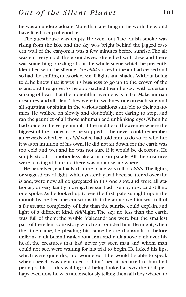he was an undergraduate. More than anything in the world he would have liked a cup of good tea.

The guesthouse was empty. He went out. The bluish smoke was rising from the lake and the sky was bright behind the jagged eastern wall of the canyon; it was a few minutes before sunrise. The air was still very cold, the groundweed drenched with dew, and there was something puzzling about the whole scene which he presently identified with the silence. The *eldil* voices in the air had ceased and so had the shifting network of small lights and shades. Without being told, he knew that it was his business to go up to the crown of the island and the grove. As he approached them he saw with a certain sinking of heart that the monolithic avenue was full of Malacandrian creatures, and all silent. They were in two lines, one on each side; and all squatting or sitting in the various fashions suitable to their anatomies. He walked on slowly and doubtfully, not daring to stop, and ran the gauntlet of all those inhuman and unblinking eyes. When he had come to the very summit, at the middle of the avenue where the biggest of the stones rose, he stopped — he never could remember afterwards whether an *eldil* voice had told him to do so or whether it was an intuition of his own. He did not sit down, for the earth was too cold and wet and he was not sure if it would be decorous. He simply stood — motionless like a man on parade. All the creatures were looking at him and there was no noise anywhere.

He perceived, gradually, that the place was full of *eldila*. The lights, or suggestions of light, which yesterday had been scattered over the island, were now all congregated in this one spot, and were all stationary or very faintly moving. The sun had risen by now, and still no one spoke. As he looked up to see the first, pale sunlight upon the monoliths, he became conscious that the air above him was full of a far greater complexity of light than the sunrise could explain, and light of a different kind, *eldil*-light. The sky, no less than the earth, was full of them; the visible Malacandrians were but the smallest part of the silent consistory which surrounded him. He might, when the time came, be pleading his cause before thousands or before millions: rank behind rank about him, and rank above rank over his head, the creatures that had never yet seen man and whom man could not see, were waiting for his trial to begin. He licked his lips, which were quite dry, and wondered if he would be able to speak when speech was demanded of him. Then it occurred to him that perhaps this — this waiting and being looked at *was* the trial; perhaps even now he was unconsciously telling them all they wished to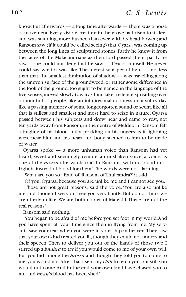know. But afterwards — a long time afterwards — there was a noise of movement. Every visible creature in the grove had risen to its feet and was standing, more hushed than ever, with its head bowed; and Ransom saw (if it could be called seeing) that Oyarsa was coming up between the long lines of sculptured stones. Partly he knew it from the faces of the Malacandrians as their lord passed them; partly he saw — he could not deny that he saw — Oyarsa himself. He never could say what it was like. The merest whisper of light — no, less than that, the smallest diminution of shadow — was travelling along the uneven surface of the groundweed; or rather some difference in the look of the ground, too slight to be named in the language of the five senses, moved slowly towards him. Like a silence spreading over a room full of people, like an infinitesimal coolness on a sultry day, like a passing memory of some long-forgotten sound or scent, like all that is stillest and smallest and most hard to seize in nature, Oyarsa passed between his subjects and drew near and came to rest, not ten yards away from Ransom, in the centre of Meldilorn. Ransom felt a tingling of his blood and a prickling on his fingers as if lightning were near him; and his heart and body seemed to him to be made of water.

Oyarsa spoke — a more unhuman voice than Ransom had yet heard, sweet and seemingly remote; an unshaken voice; a voice, as one of the *hrassa* afterwards said to Ransom, 'with no blood in it. Light is instead of blood for them.' The words were not alarming.

'What are you so afraid of, Ransom of Thulcandra?' it said.

'Of you, Oyarsa, because you are unlike me and I cannot see you.'

'Those are not great reasons,' said the voice. 'You are also unlike me, and, though I see you, I see you very faintly. But do not think we are utterly unlike. We are both copies of Maleldil. These are not the real reasons.'

Ransom said nothing.

'You began to be afraid of me before you set foot in my world. And you have spent all your time since then in flying from me. My servants saw your fear when you were in your ship in heaven. They saw that your own kind treated you ill, though they could not understand their speech. Then to deliver you out of the hands of those two I stirred up a *hnakra* to try if you would come to me of your own will. But you hid among the *hrossa* and though they told you to come to me, you would not. After that I sent my *eldil* to fetch you, but still you would not come. And in the end your own kind have chased you to me, and *hnau*'s blood has been shed.'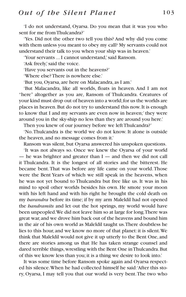'I do not understand, Oyarsa. Do you mean that it was you who sent for me from Thulcandra?'

'Yes. Did not the other two tell you this? And why did you come with them unless you meant to obey my call? My servants could not understand their talk to you when your ship was in heaven.'

'Your servants ... I cannot understand,' said Ransom.

'Ask freely,' said the voice.

'Have you servants out in the heavens?'

'Where else? There is nowhere else.'

'But you, Oyarsa, are here on Malacandra, as I am.'

'But Malacandra, like all worlds, floats in heaven. And I am not "here" altogether as you are, Ransom of Thulcandra. Creatures of your kind must drop out of heaven into a world; for us the worlds are places in heaven. But do not try to understand this now. It is enough to know that I and my servants are even now in heaven;' they were around you in the sky-ship no less than they are around you here.'

Then you knew of our journey before we left Thulcandra?'

'No. Thulcandra is the world we do not know. It alone is outside the heaven, and no message comes from it.'

Ransom was silent, but Oyarsa answered his unspoken questions.

'It was not always so. Once we knew the Oyarsa of your world — he was brighter and greater than I — and then we did not call it Thulcandra. It is the longest of all stories and the bitterest. He became bent. That was before any life came on your world. Those were the Bent Years of which we still speak in the heavens, when he was not yet bound to Thulcandra but free like us. It was in his mind to spoil other worlds besides his own. He smote your moon with his left hand and with his right he brought the cold death on my *harandra* before its time; if by my arm Maleldil had not opened the *handramits* and let out the hot springs, my world would have been unpeopled. We did not leave him so at large for long. There was great war, and we drove him back out of the heavens and bound him in the air of his own world as Maleldil taught us. There doubtless he lies to this hour, and we know no more of that planet: it is silent. We think that Maleldil would not give it up utterly to the Bent One, and there are stories among us that He has taken strange counsel and dared terrible things, wrestling with the Bent One in Thulcandra. But of this we know less than you; it is a thing we desire to look into.'

It was some time before Ransom spoke again and Oyarsa respected his silence. When he had collected himself he said: 'After this story, Oyarsa, I may tell you that our world is very bent. The two who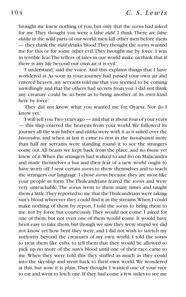brought me knew nothing of you, but only that the *sorn*s had asked for me. They thought you were a false *eldil*, I think. There are false *eldila* in the wild parts of our world; men kill other men before them — they think the *eldil* drinks blood. They thought the *sorn*s wanted me for this or for some other evil. They brought me by force. I was in terrible fear. The tellers of tales in our world make us think that if there is any life beyond our own air, it is evil.'

'I understand,' said the voice. 'And this explains things that I have wondered at. As soon as your journey had passed your own air and entered heaven, my servants told me that you seemed to be coming unwillingly and that the others had secrets from you. I did not think any creature could be so bent as to bring another of its own kind here by force.'

'They did not know what you wanted me for, Oyarsa. Nor do I know yet.'

'I will tell you. Two years ago — and that is about four of your years — this ship entered the heavens from your world. We followed its journey all the way hither and *eldila* were with it as it sailed over the *harandra*, and when at last it came to rest in the *handramit* more than half my servants were standing round it to see the strangers come out. All beasts we kept back from the place, and no *hnau* yet knew of it. When the strangers had walked to and fro on Malacandra and made themselves a hut and their fear of a new world ought to have worn off; I sent certain *sorn*s to show themselves and to teach the strangers our language. I chose *sorn*s because they are most like your people in form. The Thulcandrians feared the *sorn*s and were very unteachable. The *sorn*s went to them many times and taught them a little. They reported to me that the Thulcandrians were taking sun's blood wherever they could find it in the streams. When I could make nothing of them by report, I told the *sorn*s to bring them to me, not by force but courteously. They would not come. I asked for one of them, but not even one of them would come. It would have been easy to take them; but though we saw they were stupid we did not know yet how bent they were, and I did not wish to stretch my authority beyond the creatures of my own world. I told the *sorn*s to treat them like cubs, to tell them that they would be allowed to pick up no more of the sun's blood until one of their race came to me. When they were told this they stuffed as much as they could into the sky-ship and went back to their own world. We wondered at this, but now it is plain. They thought I wanted one of your race to eat and went to fetch one. If they had come a few miles to see me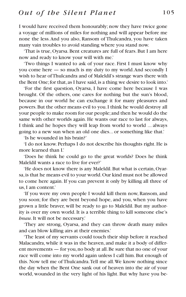I would have received them honourably; now they have twice gone a voyage of millions of miles for nothing and will appear before me none the less. And you also, Ransom of Thulcandra, you have taken many vain troubles to avoid standing where you stand now.

'That is true, Oyarsa. Bent creatures are full of fears. But I am here now and ready to know your will with me.'

'Two things I wanted to ask of your race. First I must know why you come here — so much is my duty to my world. And secondly I wish to hear of Thulcandra and of Maleldil's strange wars there with the Bent One; for that, as I have said, is a thing we desire to look into.'

'For the first question, Oyarsa, I have come here because I was brought. Of the others, one cares for nothing but the sun's blood, because in our world he can exchange it for many pleasures and powers. But the other means evil to you. I think he would destroy all your people to make room for our people; and then he would do the same with other worlds again. He wants our race to last for always, I think and he hopes they will leap from world to world ... always going to a new sun when an old one dies... or something like that.'

'Is he wounded in his brain?'

'I do not know. Perhaps I do not describe his thoughts right. He is more learned than I.'

'Does he think he could go to the great worlds? Does he think Maleldil wants a race to live for ever?'

'He does not know there is any Maleldil. But what is certain, Oyarsa, is that he means evil to your world. Our kind must not be allowed to come here again. If you can prevent it only by killing all three of us, I am content.'

'If you were my own people I would kill them now, Ransom, and you soon; for they are bent beyond hope, and you, when you have grown a little braver, will be ready to go to Maleldil. But my authority is over my own world. It is a terrible thing to kill someone else's *hnau*. It will not be necessary.'

'They are strong, Oyarsa, and they can throw death many miles and can blow killing airs at their enemies.'

'The least of my servants could touch their ship before it reached Malacandra, while it was in the heaven, and make it a body of different movements — for you, no body at all. Be sure that no one of your race will come into my world again unless I call him. But enough of this. Now tell me of Thulcandra. Tell me all. We know nothing since the day when the Bent One sank out of heaven into the air of your world, wounded in the very light of his light. But why have you be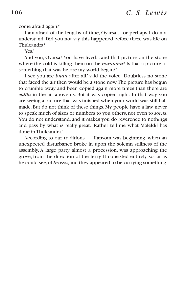come afraid again?'

'I am afraid of the lengths of time, Oyarsa ... or perhaps I do not understand. Did you not say this happened before there was life on Thulcandra?'

'Yes.'

'And you, Oyarsa? You have lived... and that picture on the stone where the cold is killing them on the *harandra*? Is that a picture of something that was before my world began?'

'I see you are *hnau* after all,' said the voice. 'Doubtless no stone that faced the air then would be a stone now. The picture has begun to crumble away and been copied again more times than there are *eldila* in the air above us. But it was copied right. In that way you are seeing a picture that was finished when your world was still half made. But do not think of these things. My people have a law never to speak much of sizes or numbers to you others, not even to *sorn*s. You do not understand, and it makes you do reverence to nothings and pass by what is really great.. Rather tell me what Maleldil has done in Thulcandra.'

'According to our traditions —' Ransom was beginning, when an unexpected disturbance broke in upon the solemn stillness of the assembly. A large party almost a procession, was approaching the grove, from the direction of the ferry. It consisted entirely, so far as he could see, of *hrossa*, and they appeared to be carrying something.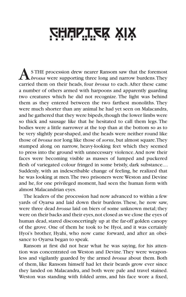# XIX XI<u>X</u>ER

AS THE procession drew nearer Ransom saw that the foremost *hrossa* were supporting three long and narrow burdens. They carried them on their heads, four *hrossa* to each. After these came a number of others armed with harpoons and apparently guarding two creatures which he did not recognize. The light was behind them as they entered between the two farthest monoliths. They were much shorter than any animal he had yet seen on Malacandra, and he gathered that they were bipeds, though the lower limbs were so thick and sausage like that he hesitated to call them legs. The bodies were a little narrower at the top than at the bottom so as to be very slightly pear-shaped, and the heads were neither round like those of *hrossa* nor long like those of *sorns*, but almost square. They stumped along on narrow, heavy-looking feet which they seemed to press into the ground with unnecessary violence. And now their faces were becoming visible as masses of lumped and puckered flesh of variegated colour fringed in some bristly, dark substance.... Suddenly, with an indescribable change of feeling, he realized that he was looking at men. The two prisoners were Weston and Devine and he, for one privileged moment, had seen the human form with almost Malacandrian eyes.

The leaders of the procession had now advanced to within a few yards of Oyarsa and laid down their burdens. These, he now saw, were three dead *hrossa* laid on biers of some unknown metal; they were on their backs and their eyes, not closed as we close the eyes of human dead, stared disconcertingly up at the far-off golden canopy of the grove. One of them he took to be Hyoi, and it was certainly Hyoi's brother, Hyahi, who now came forward, and after an obeisance to Oyarsa began to speak.

Ransom at first did not hear what he was saying, for his attention was concentrated on Weston and Devine. They were weaponless and vigilantly guarded by the armed *hrossa* about them. Both of them, like Ransom himself had let their beards grow ever since they landed on Malacandra, and both were pale and travel stained. Weston was standing with folded arms, and his face wore a fixed,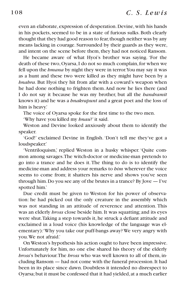even an elaborate, expression of desperation. Devine, with his hands in his pockets, seemed to be in a state of furious sulks. Both clearly thought that they had good reason to fear, though neither was by any means lacking in courage. Surrounded by their guards as they were, and intent on the scene before them, they had not noticed Ransom.

He became aware of what Hyoi's brother was saying. 'For the death of these two, Oyarsa, I do not so much complain, for when we fell upon the *hmana* by night they were in terror. You may say it was as a hunt and these two were killed as they might have been by a *hnahra*. But Hyoi they hit from afar with a coward's weapon when he had done nothing to frighten them. And now he lies there (and I do not say it because he was my brother, but all the *handramit* knows it) and he was a *hnakrapunt* and a great poet and the loss of him is heavy.'

The voice of Oyarsa spoke for the first time to the two men.

'Why have you killed my *hnau*?' it said.

Weston and Devine looked anxiously about them to identify the speaker.

'God!' exclaimed Devine in English. 'Don't tell me they've got a loudspeaker.'

'Ventriloquism,' replied Weston in a husky whisper. 'Quite common among savages. The witch-doctor or medicine-man pretends to go into a trance and he does it. The thing to do is to identify the medicine-man and address your remarks to *him* wherever the voice seems to come from; it shatters his nerve and shows you've seen through him. Do you see any of the brutes in a trance? By Jove — I've spotted him.'

Due credit must be given to Weston for his power of observation: he had picked out the only creature in the assembly which was not standing in an attitude of reverence and attention. This was an elderly *hross* close beside him. It was squatting; and its eyes were shut. Taking a step towards it, he struck a defiant attitude and exclaimed in a loud voice (his knowledge of the language was elementary): 'Why you take our puff-bangs away? We very angry with you. We not afraid.'

On Weston's hypothesis his action ought to have been impressive. Unfortunately for him, no one else shared his theory of the elderly *hross*'s behaviour. The *hross* who was well known to all of them, including Ransom — had not come with the funeral procession. It had been in its place since dawn. Doubtless it intended no disrespect to Oyarsa; but it must be confessed that it had yielded, at a much earlier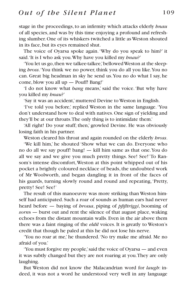stage in the proceedings, to an infirmity which attacks elderly *hnau* of all species, and was by this time enjoying a profound and refreshing slumber. One of its whiskers twitched a little as Weston shouted in its face, but its eyes remained shut.

The voice of Oyarsa spoke again. 'Why do you speak to him?' it said. 'It is I who ask you. Why have you killed my *hnau*?'

'You let us go, then we talkee-talkee,' bellowed Weston at the sleeping *hross*. 'You think we no power, think you do all you like. You no can. Great big headman in sky he send us. You no do what I say, he come, blow you all up — Pouff! Bang!'

'I do not know what *bang* means,' said the voice. 'But why have you killed my *hnau*?'

'Say it was an accident,' muttered Devine to Weston in English.

'I've told you before,' replied Weston in the same language. 'You don't understand how to deal with natives. One sign of yielding and they'll be at our throats. The only thing is to intimidate them.'

'All right! Do your stuff; then,' growled Devine. He was obviously losing faith in his partner.

Weston cleared his throat and again rounded on the elderly *hross*.

'We kill him,' he shouted 'Show what we can do. Everyone who no do all we say pouff! bang! — kill him same as that one. You do all we say and we give you much pretty things. See! See!' To Ransom's intense discomfort, Weston at this point whipped out of his pocket a brightly coloured necklace of beads, the undoubted work of Mr Woolworth, and began dangling it in front of the faces of his guards, turning slowly round and round and repeating, 'Pretty, pretty! See! See!'

The result of this manoeuvre was more striking than Weston himself had anticipated. Such a roar of sounds as human ears had never heard before — baying of *hrossa*, piping of *pfifltriggi*, booming of *sorn*s — burst out and rent the silence of that august place, waking echoes from the distant mountain walls. Even in the air above them there was a faint ringing of the *eldil* voices. It is greatly to Weston's credit that though he paled at this he did not lose his nerve.

'You no roar at me,' he thundered. 'No try make me afraid. Me no afraid of you.'

'You must forgive my people,' said the voice of Oyarsa — and even it was subtly changed but they are not roaring at you. They are only laughing.

But Weston did not know the Malacandrian word for *laugh*: indeed, it was not a word he understood very well in any language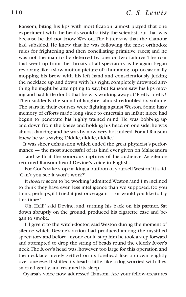Ransom, biting his lips with mortification, almost prayed that one experiment with the beads would satisfy the scientist; but that was because he did not know Weston. The latter saw that the clamour had subsided. He knew that he was following the most orthodox rules for frightening and then conciliating primitive races; and he was not the man to be deterred by one or two failures. The roar that went up from the throats of all spectators as he again began revolving like a slow motion picture of a humming-top, occasionally mopping his brow with his left hand and conscientiously jerking the necklace up and down with his right, completely drowned anything he might be attempting to say; but Ransom saw his lips moving and had little doubt that he was working away at 'Pretty, pretty!' Then suddenly the sound of laughter almost redoubled its volume. The stars in their courses were fighting against Weston. Some hazy memory of efforts made long since to entertain an infant niece had begun to penetrate his highly trained mind. He was bobbing up and down from the knees and holding his head on one side; he was almost dancing; and he was by now very hot indeed. For all Ransom knew he was saying 'Diddle, diddle, diddle.'

It was sheer exhaustion which ended the great physicist's performance — the most successful of its kind ever given on Malacandra — and with it the sonorous raptures of his audience. As silence returned Ransom heard Devine's voice in English:

'For God's sake stop making a buffoon of yourself Weston,' it said. 'Can't you see it won't work?'

'It *doesn't* seem to be working,' admitted Weston, 'and I'm inclined to think they have even less intelligence than we supposed. Do you think, perhaps, if I tried it just once again — or would you like to try this time?'

'Oh, Hell!' said Devine, and, turning his back on his partner, Sat down abruptly on the ground, produced his cigarette case and began to smoke.

'I'll give it to the witch-doctor,' said Weston during the moment of silence which Devine's action had produced among the mystified spectators; and before anyone could stop him he took a step forward and attempted to drop the string of beads round the elderly *hross*'s neck. The *hross*'s head was, however, too large for this operation and the necklace merely settled on its forehead like a crown, slightly over one eye. It shifted its head a little, like a dog worried with flies, snorted gently, and resumed its sleep.

Oyarsa's voice now addressed Ransom. 'Are your fellow-creatures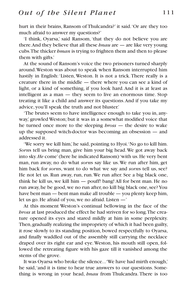hurt in their brains, Ransom of Thulcandra?' it said. 'Or are they too much afraid to answer my questions?'

'I think, Oyarsa,' said Ransom, 'that they do not believe you are there. And they believe that all these *hnau* are — are like very young cubs. The thicker *hman* is trying to frighten them and then to please them with gifts.'

At the sound of Ransom's voice the two prisoners turned sharply around. Weston was about to speak when Ransom interrupted him hastily in English: 'Listen, Weston. It is not a trick. There really is a creature there in the middle — there where you can see a kind of light, or a kind of something, if you look hard. And it is at least as intelligent as a man — they seem to live an enormous time. Stop treating it like a child and answer its questions. And if you take my advice, you'll speak the truth and not bluster.'

'The brutes seem to have intelligence enough to take you in, anyway,' growled Weston; but it was in a somewhat modified voice that he turned once more to the sleeping *hross* — the desire to wake up the supposed witch-doctor was becoming an obsession — and addressed it.

'We sorry we kill him,' he said, pointing to Hyoi. 'No go to kill him. *Sorn*s tell us bring man, give him your big head. We got away back into sky. *He* come' (here he indicated Ransom) 'with us. He very bent man, run away, no do what *sorn*s say like us. We run after him, get him back for *sorn*s, want to do what we say and *sorn*s tell us, see? He not let us. Run away, run, run. We run after. See a big black one, think he kill us, we kill him — pouff! bang! All for bent man. He no run away, he be good, we no run after, no kill big black one, see? You have bent man — bent man make all trouble — you plenty keep him, let us go. He afraid of you, we no afraid. Listen —'

At this moment Weston's continual bellowing in the face of the *hross* at last produced the effect he had striven for so long. The creature opened its eyes and stared mildly at him in some perplexity. Then, gradually realizing the impropriety of which it had been guilty, it rose slowly to its standing position, bowed respectfully to Oyarsa, and finally waddled out of the assembly still carrying the necklace draped over its right ear and eye. Weston, his mouth still open, followed the retreating figure with his gaze till it vanished among the stems of the grove.

It was Oyarsa who broke the silence... 'We have had mirth enough,' he said, 'and it is time to hear true answers to our questions. Something is wrong in your head, *hnau* from Thulcandra. There is too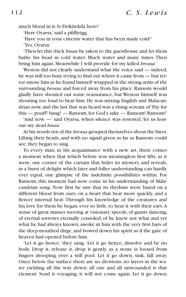much blood in it. Is Firikitekila here?'

'Here Oyarsa,' said a pfifltrigg.

'Have you in your cisterns water that has been made cold?' 'Yes, Oyarsa.'

'Then let this thick *hnau* be taken to the guesthouse and let them bathe his head in cold water. Much water and many times. Then bring him again. Meanwhile I will provide for my killed *hrossa*.'

Weston did not clearly understand what the voice said — indeed, he was still too busy trying to find out where it came from — but terror smote him as he found himself wrapped in the strong arms of the surrounding *hrossa* and forced away from his place. Ransom would gladly have shouted out some reassurance, but Weston himself was shouting too loud to hear him. He was mixing English and Malacandrian now, and the last that was heard was a rising scream of 'Pay for this — pouff! bang! — Ransom, for God's sake — Ransom! Ransom!'

'And now —' said Oyarsa, when silence was restored, 'let us honour my dead *hnau*.'

At his words ten of the *hrossa* grouped themselves about the biers. Lifting their heads, and with no signal given as far as Ransom could see, they began to sing.

To every man, in his acquaintance with a new art, there comes a moment when that which before was meaningless first lifts, as it were, one corner of the curtain that hides its mystery, and reveals, in a burst of delight which later and fuller understanding can hardly ever equal, one glimpse of the indefinite possibilities within. For Ransom, this moment had now come in his understanding of Malacandrian song. Now first he saw that its rhythms were based on a different blood from ours, on a heart that beat more quickly, and a fiercer internal heat. Through his knowledge of the creatures and his love for them he began, ever so little, to hear it with their ears. A sense of great masses moving at visionary speeds, of giants dancing, of eternal sorrows eternally consoled, of he knew not what and yet what he had always known, awoke in him with the very first bars of the deep-mouthed dirge, and bowed down his spirit as if the gate of heaven had opened before him.

'Let it go hence,' they sang. 'Let it go hence, dissolve and be no body. Drop it, release it, drop it gently, as a stone is loosed from fingers drooping over a still pool. Let it go down, sink, fall away. Once below the surface there are no divisions, no layers in the water yielding all the way down; all one and all unwounded is that element. Send it voyaging; it will not come again. Let it go down;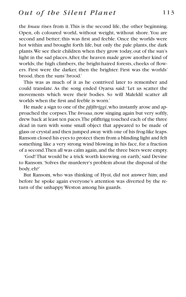the *hnau* rises from it. This is the second life, the other beginning. Open, oh coloured world, without weight, without shore. You are second and better; this was first and feeble. Once the worlds were hot within and brought forth life, but only the pale plants, the dark plants. We see their children when they grow today, out of the sun's light in the sad places. After, the heaven made grow another kind of worlds; the high climbers, the bright-haired forests, cheeks of flowers. First were the darker, then the brighter. First was the worlds' brood, then the suns' brood.'

This was as much of it as he contrived later to remember and could translate. As the song ended Oyarsa said: 'Let us scatter the movements which were their bodies. So will Maleldil scatter all worlds when the first and feeble is worn.'

He made a sign to one of the *pfifltriggi*, who instantly arose and approached the corpses. The *hrossa*, now singing again but very softly, drew back at least ten paces. The pfifltrigg touched each of the three dead in turn with some small object that appeared to be made of glass or crystal and then jumped away with one of his frog-like leaps. Ransom closed his eyes to protect them from a blinding light and felt something like a very strong wind blowing in his face, for a fraction of a second. Then all was calm again, and the three biers were empty.

'God! That would be a trick worth knowing on earth,' said Devine to Ransom. 'Solves the murderer's problem about the disposal of the body, eh?'

But Ransom, who was thinking of Hyoi, did not answer him; and before he spoke again everyone's attention was diverted by the return of the unhappy Weston among his guards.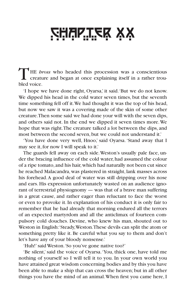# <u>Shaptrek XX</u>

T HE *hross* who headed this procession was a conscientious creature and began at once explaining itself in a rather troubled voice.

'I hope we have done right, Oyarsa,' it said. 'But we do not know. We dipped his head in the cold water seven times, but the seventh time something fell off it. We had thought it was the top of his head, but now we saw it was a covering made of the skin of some other creature. Then some said we had done your will with the seven dips, and others said not. In the end we dipped it seven times more. We hope that was right. The creature talked a lot between the dips, and most between the second seven, but we could not understand it.'

'You have done very well, Hnoo,' said Oyarsa. 'Stand away that I may see it, for now I will speak to it.'

The guards fell away on each side. Weston's usually pale face, under the bracing influence of the cold water, had assumed the colour of a ripe tomato, and his hair, which had naturally not been cut since he reached Malacandra, was plastered in straight, lank masses across his forehead. A good deal of water was still dripping over his nose and ears. His expression unfortunately wasted on an audience ignorant of terrestrial physiognomy — was that of a brave man suffering in a great cause, and rather eager than reluctant to face the worst or even to provoke it. In explanation of his conduct it is only fair to remember that he had already that morning endured all the terrors of an expected martyrdom and all the anticlimax of fourteen compulsory cold douches. Devine, who knew his man, shouted out to Weston in English: 'Steady, Weston. These devils can split the atom or something pretty like it. Be careful what you say to them and don't let's have any of your bloody nonsense.'

'Huh!' said Weston. 'So you've gone native too?'

'Be silent,' said the voice of Oyarsa. 'You, thick one, have told me nothing of yourself so I will tell it to you. In your own world you have attained great wisdom concerning bodies and by this you have been able to make a ship that can cross the heaven; but in all other things you have the mind of an animal. When first you came here, I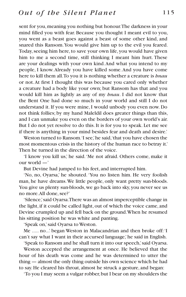sent for you, meaning you nothing but honour. The darkness in your mind filled you with fear. Because you thought I meant evil to you, you went as a beast goes against a beast of some other kind, and snared this Ransom. You would give him up to the evil you feared. Today, seeing him here, to save your own life, you would have given him to me a second time, still thinking I meant him hurt. These are your dealings with your own kind. And what you intend to my people, I know. Already you have killed some. And you have come here to kill them all. To you it is nothing whether a creature is *hnau* or not. At first I thought this was because you cared only whether a creature had a body like your own; but Ransom has that and you would kill him as lightly as any of my *hnau*. I did not know that the Bent One had done so much in your world and still I do not understand it. If you were mine, I would unbody you even now. Do not think follies; by my hand Maleldil does greater things than this, and I can unmake you even on the borders of your own world's air. But I do not yet resolve to do this. It is for you to speak. Let me see if there is anything in your mind besides fear and death and desire.'

Weston turned to Ransom. 'I see,' he said, 'that you have chosen the most momentous crisis in the history of the human race to betray it.' Then he turned in the direction of the voice.

'I know you kill us,' he said. 'Me not afraid. Others come, make it our world —'

But Devine had jumped to his feet, and interrupted him.

'No, no, Oyarsa,' he shouted. 'You no listen him. He very foolish man, he have dreams. We little people, only want pretty sun-bloods. You give us plenty sun-bloods, we go back into sky, you never see us no more. All done, see?'

'Silence,' said Oyarsa. There was an almost imperceptible change in the light, if it could be called light, out of which the voice came, and Devine crumpled up and fell back on the ground. When he resumed his sitting position he was white and panting.

'Speak on,' said Oyarsa to Weston.

Me ..... no...' began Weston in Malacandrian and then broke off: 'I can't say what I want in their accursed language,' he said in English.

'Speak to Ransom and he shall turn it into our speech,' said Oyarsa.

Weston accepted the arrangement at once. He believed that the hour of his death was come and he was determined to utter the thing — almost the only thing outside his own science which he had to say. He cleared his throat, almost he struck a gesture, and began:

'To you I may seem a vulgar robber, but I bear on my shoulders the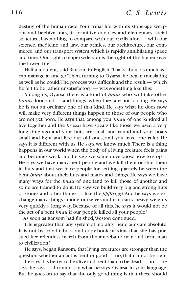destiny of the human race. Your tribal life with its stone-age weapons and beehive huts, its primitive coracles and elementary social structure, has nothing to compare with our civilization — with our science, medicine and law, our armies, our architecture, our commerce, and our transport system which is rapidly annihilating space and time. Our right to supersede you is the right of the higher over the lower. Life —'

'Half a moment,' said Ransom in English. 'That's about as much as I can manage at one go.' Then, turning to Oyarsa, he began translating as well as he could. The process was difficult and the result — which he felt to be rather unsatisfactory — was something like this:

'Among us, Oyarsa, there is a kind of *hnau* who will take other *hnaus*' food and — and things, when they are not looking. He says he is not an ordinary one of that kind. He says what he does now will make very different things happen to those of our people who are not yet born. He says that, among you, *hnau* of one kindred all live together and the *hrossa* have spears like those we used a very long time ago and your huts are small and round and your boats small and light and like our old ones, and you have one ruler. He says it is different with us. He says we know much. There is a thing happens in our world when the body of a living creature feels pains and becomes weak, and he says we sometimes know how to stop it. He says we have many bent people and we kill them or shut them in huts and that we have people for settling quarrels between the bent *hnau* about their huts and mates and things. He says we have many ways for the *hnau* of one land to kill those of another and some are trained to do it. He says we build very big and strong huts of stones and other things — like the *pfifltriggi*. And he says we exchange many things among ourselves and can carry heavy weights very quickly a long way. Because of all this, he says it would not be the act of a bent *hnau* if our people killed all your people.'

As soon as Ransom had finished, Weston continued.

'Life is greater than any system of morality; her claims are absolute. It is not by tribal taboos and copy-book maxims that she has pursued her relentless march from the amoeba to man and from man to civilization.'

'He says,' began Ransom, 'that living creatures are stronger than the question whether an act is bent or good — no, that cannot be right — he says it is better to be alive and bent than to be dead — no — he says, he says — I cannot say what he says, Oyarsa, in your language. But he goes on to say that the only good thing is that there should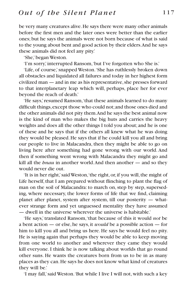be very many creatures alive. He says there were many other animals before the first men and the later ones were better than the earlier ones; but he says the animals were not born because of what is said to the young about bent and good action by their elders. And he says these animals did not feel any pity.'

'She,' began Weston.

'I'm sorry,' interrupted Ransom, 'but I've forgotten who She is.'

'Life, of course,' snapped Weston. 'She has ruthlessly broken down all obstacles and liquidated all failures and today in her highest form civilized man — and in me as his representative, she presses forward to that interplanetary leap which will, perhaps, place her for ever beyond the reach of death.'

'He says,' resumed Ransom, 'that these animals learned to do many difficult things, except those who could not; and those ones died and the other animals did not pity them. And he says the best animal now is the kind of man who makes the big huts and carries the heavy weights and does all the other things I told you about; and he is one of these and he says that if the others all knew what he was doing they would be pleased. He says that if he could kill you all and bring our people to live in Malacandra, then they might be able to go on living here after something had gone wrong with our world. And then if something went wrong with Malacandra they might go and kill all the *hnau* in another world. And then another — and so they would never die out.

'It is in her right,' said Weston, 'the right, or, if you will, the might of Life herself, that I am prepared without flinching to plant the flag of man on the soil of Malacandra: to march on, step by step, superseding, where necessary, the lower forms of life that we find, claiming planet after planet, system after system, till our posterity — whatever strange form and yet unguessed mentality they have assumed — dwell in the universe wherever the universe is habitable.'

'He says,' translated Ransom, 'that because of this it would *not* be a bent action — or else, he says, it *would* be a possible action — for him to kill you all and bring us here. He says he would feel no pity. He is saying again that perhaps they would be able to keep moving from one world to another and wherever they came they would kill everyone. I think he is now talking about worlds that go round other suns. He wants the creatures born from us to be in as many places as they can. He says he does not know what kind of creatures they will be.'

'I may fall,' said Weston. 'But while I live I will not, with such a key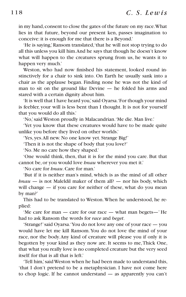118 *C. S. Lewis* 

in my hand, consent to close the gates of the future on my race. What lies in that future, beyond our present ken, passes imagination to conceive: it is enough for me that there is a Beyond.'

'He is saying,' Ransom translated, 'that he will not stop trying to do all this unless you kill him. And he says that though he doesn't know what will happen to the creatures sprung from us, he wants it to happen very much.'

Weston, who had now finished his statement, looked round instinctively for a chair to sink into. On Earth he usually sank into a chair as the applause began. Finding none he was not the kind of man to sit on the ground like Devine — he folded his arms and stared with a certain dignity about him.

'It is well that I have heard you,' said Oyarsa. 'For though your mind is feebler, your will is less bent than I thought. It is not for yourself that you would do all this.'

'No,' said Weston proudly in Malacandrian. 'Me die. Man live.'

'Yet you know that these creatures would have to be made quite unlike you before they lived on other worlds.'

'Yes, yes. All new. No one know yet. Strange Big!'

'Then it is not the shape of body that you love?'

'No. Me no care how they shaped.'

'One would think, then, that it is for the mind you care. But that cannot be, or you would love *hnau* wherever you met it.'

'No care for *hnau*. Care for man.'

'But if it is neither man's mind, which is as the mind of all other *hnau* — is not Maleldil maker of them all? — nor his body, which will change — if you care for neither of these, what do you mean by man?'

This had to be translated to Weston. When he understood, he replied:

'Me care for man — care for our race — what man begets—' He had to ask Ransom the words for *race* and *beget*.

'Strange!' said Oyarsa. 'You do not love any one of your race — you would have let me kill Ransom. You do not love the mind of your race, nor the body. Any kind of creature will please you if only it is begotten by your kind as they now are. It seems to me, Thick One, that what you really love is no completed creature but the very seed itself: for that is all that is left.'

'Tell him,' said Weston when he had been made to understand this, 'that I don't pretend to be a metaphysician. I have not come here to chop logic. If he cannot understand — as apparently you can't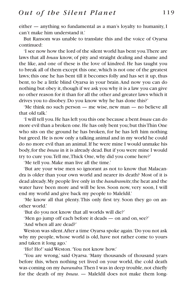either — anything so fundamental as a man's loyalty to humanity, I can't make him understand it.'

But Ransom was unable to translate this and the voice of Oyarsa continued:

'I see now how the lord of the silent world has bent you. There are laws that all *hnau* know, of pity and straight dealing and shame and the like, and one of these is the love of kindred. He has taught you to break all of them except this one, which is not one of the greatest laws; this one he has bent till it becomes folly and has set it up, thus bent, to be a little blind Oyarsa in your brain. And now you can do nothing but obey it, though if we ask you why it is a law you can give no other reason for it than for all the other and greater laws which it drives you to disobey. Do you know why he has done this?'

'Me think no such person — me wise, new man — no believe all that old talk.'

'I will tell you. He has left you this one because a bent *hnau* can do more evil than a broken one. He has only bent you; but this Thin One who sits on the ground he has broken, for he has left him nothing but greed. He is now only a talking animal and in my world he could do no more evil than an animal. If he were mine I would unmake his body, for the *hnau* in it is already dead. But if you were mine I would try to cure you. Tell me, Thick One, why did you come here?'

'Me tell you. Make man live all the time.'

'But are your wise men so ignorant as not to know that Malacandra is older than your own world and nearer its death? Most of it is dead already. My people live only in the *handramits*; the heat and the water have been more and will be less. Soon now, very soon, I will end my world and give back my people to Maleldil.'

'Me know all that plenty. This only first try. Soon they go on another world.'

'But do you not know that all worlds will die?'

'Men go jump off each before it deads — on and on, see?'

'And when all are dead?'

Weston was silent. After a time Oyarsa spoke again. 'Do you not ask why my people, whose world is old, have not rather come to yours and taken it long ago.'

'Ho! Ho!' said Weston. 'You not know how.'

'You are wrong,' said Oyarsa. 'Many thousands of thousand years before this, when nothing yet lived on your world, the cold death was coming on my *harandra*. Then I was in deep trouble, not chiefly for the death of my *hnau*. — Maleldil does not make them long-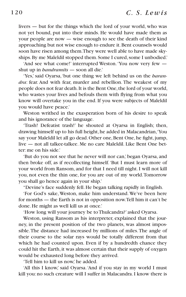livers — but for the things which the lord of your world, who was not yet bound, put into their minds. He would have made them as your people are now — wise enough to see the death of their kind approaching but not wise enough to endure it. Bent counsels would soon have risen among them. They were well able to have made skyships. By me Maleldil stopped them. Some I cured, some I unbodied.'

'And see what come!' interrupted Weston. 'You now very few shut up in *handramits* — soon all die.'

'Yes,' said Oyarsa, 'but one thing we left behind us on the *harandra*: fear. And with fear, murder and rebellion. The weakest of my people does not fear death. It is the Bent One, the lord of your world, who wastes your lives and befouls them with flying from what you know will overtake you in the end. If you were subjects of Maleldil you would have peace.'

Weston writhed in the exasperation born of his desire to speak and his ignorance of the language.

'Trash! Defeatist trash!' he shouted at Oyarsa in English; then, drawing himself up to his full height, he added in Malacandrian, 'You say your Maleldil let all go dead. Other one, Bent One, he fight, jump, live — not all talkee-talkee. Me no care Maleldil. Like Bent One better: me on his side.'

'But do you not see that he never will nor can,' began Oyarsa, and then broke off, as if recollecting himself. 'But I must learn more of your world from Ransom, and for that I need till night. I will not kill you, not even the thin one, for you are out of my world. Tomorrow you shall go hence again in your ship.'

"Devine's face suddenly fell. He began talking rapidly in English.

'For God's sake, Weston, make him understand. We've been here for months — the Earth is not in opposition now. Tell him it can't be done. He might as well kill us at once.'

'How long will your journey be to Thulcandra?' asked Oyarsa.

Weston, using Ransom as his interpreter, explained that the journey, in the present position of the two planets, was almost impossible. The distance had increased by millions of miles. The angle of their course to the solar rays would be totally different from that which he had counted upon. Even if by a hundredth chance they could hit the Earth, it was almost certain that their supply of oxygen would be exhausted long before they arrived.

'Tell him to kill us now,' he added.

'All this I know,' said Oyarsa. 'And if you stay in my world I must kill you: no such creature will I suffer in Malacandra. I know there is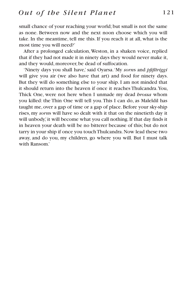small chance of your reaching your world; but small is not the same as none. Between now and the next noon choose which you will take. In the meantime, tell me this. If you reach it at all, what is the most time you will need?'

After a prolonged calculation, Weston, in a shaken voice, replied that if they had not made it in ninety days they would never make it, and they would, moreover, be dead of suffocation.

'Ninety days you shall have,' said Oyarsa. 'My *sorn*s and *pfifltriggi* will give you air (we also have that art) and food for ninety days. But they will do something else to your ship. I am not minded that it should return into the heaven if once it reaches Thulcandra. You, Thick One, were not here when I unmade my dead *hrossa* whom you killed: the Thin One will tell you. This I can do, as Maleldil has taught me, over a gap of time or a gap of place. Before your sky-ship rises, my *sorn*s will have so dealt with it that on the ninetieth day it will unbody,' it will become what you call nothing. If that day finds it in heaven your death will be no bitterer because of this; but do not tarry in your ship if once you touch Thulcandra. Now lead these two away, and do you, my children, go where you will. But I must talk with Ransom.'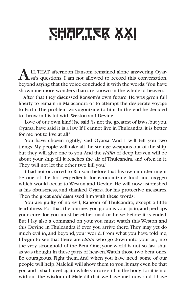## <u>Chaptre</u> XXI

ALL THAT afternoon Ransom remained alone answering Oyar-<br>sa's questions. I am not allowed to record this conversation, beyond saying that the voice concluded it with the words: 'You have shown me more wonders than are known in the whole of heaven.'

After that they discussed Ransom's own future. He was given full liberty to remain in Malacandra or to attempt the desperate voyage to Earth. The problem was agonizing to him. In the end he decided to throw in his lot with Weston and Devine.

'Love of our own kind,' he said, 'is not the greatest of laws, but you, Oyarsa, have said it is a law. If I cannot live in Thulcandra, it is better for me not to live at all.'

'You have chosen rightly,' said Oyarsa. 'And I will tell you two things. My people will take all the strange weapons out of the ship, but they will give one to you. And the *eldila* of deep heaven will be about your ship till it reaches the air of Thulcandra, and often in it. They will not let the other two kill you.'

It had not occurred to Ransom before that his own murder might be one of the first expedients for economizing food and oxygen which would occur to Weston and Devine. He will now astonished at his obtuseness, and thanked Oyarsa for his protective measures. Then the great *eldil* dismissed him with these words:

'You are guilty of no evil, Ransom of Thulcandra, except a little fearfulness. For that, the journey you go on is your pain, and perhaps your cure: for you must be either mad or brave before it is ended. But I lay also a command on you; you must watch this Weston and this Devine in Thulcandra if ever you arrive there. They may yet do much evil in, and beyond, your world. From what you have told me, I begin to see that there are *eldila* who go down into your air, into the very stronghold of the Bent One; your world is not so fast shut as was thought in these parts of heaven. Watch those two bent ones. Be courageous. Fight them. And when you have need, some of our people will help. Maleldil will show them to you. It may even be that you and I shall meet again while you are still in the body; for it is not without the wisdom of Maleldil that we have met now and I have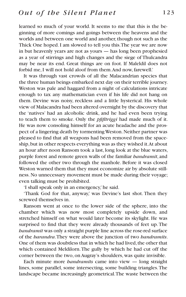learned so much of your world. It seems to me that this is the beginning of more comings and goings between the heavens and the worlds and between one world and another, though not such as the Thick One hoped. I am slowed to tell you this. The year we are now in but heavenly years are not as yours — has long been prophesied as a year of stirrings and high changes and the siege of Thulcandra may be near its end. Great things are on foot. If Maleldil does not forbid me, I will not hold aloof from them. And now, farewell.'

It was through vast crowds of all the Malacandrian species that the three human beings embarked next day on their terrible journey. Weston was pale and haggard from a night of calculations intricate enough to tax any mathematician even if his life did not hang on them. Devine was noisy, reckless and a little hysterical. His whole view of Malacandra had been altered overnight by the discovery that the 'natives' had an alcoholic drink, and he had even been trying to teach them to smoke. Only the *pfifltriggi* had made much of it. He was now consoling himself for an acute headache and the prospect of a lingering death by tormenting Weston. Neither partner was pleased to find that all weapons had been removed from the spaceship, but in other respects everything was as they wished it. At about an hour after noon Ransom took a last, long look at the blue waters, purple forest and remote green walls of the familiar *handramit*, and followed the other two through the manhole. Before it was closed Weston warned them that they must economize air by absolute stillness. No unnecessary movement must be made during their voyage; even talking must be prohibited.

'I shall speak only in an emergency,' he said.

'Thank God for that, anyway,' was Devine's last shot. Then they screwed themselves in.

Ransom went at once to the lower side of the sphere, into the chamber which was now most completely upside down, and stretched himself on what would later become its skylight. He was surprised to find that they were already thousands of feet up. The *handramit* was only a straight purple line across the rose-red surface of the *harandra*. They were above the junction of two *handramits*. One of them was doubtless that in which he had lived, the other that which contained Meldilorn. The gully by which he had cut off the corner between the two, on Augray's shoulders, was quite invisible.

Each minute more *handramits* came into view — long straight lines, some parallel, some intersecting, some building triangles. The landscape became increasingly geometrical. The waste between the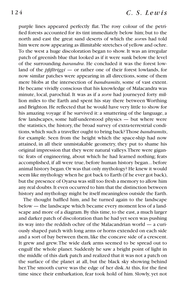purple lines appeared perfectly flat. The rosy colour of the petrified forests accounted for its tint immediately below him; but to the north and east the great sand deserts of which the *sorn*s had told him were now appearing as illimitable stretches of yellow and ochre. To the west a huge discoloration began to show. It was an irregular patch of greenish blue that looked as if it were sunk below the level of the surrounding *harandra*. He concluded it was the forest lowland of the *pfifltriggi* — or rather one of their forest lowlands, for now similar patches were appearing in all directions, some of them mere blobs at the intersection of *handramits*, some of vast extent. He became vividly conscious that his knowledge of Malacandra was minute, local, parochial. It was as if a *sorn* had journeyed forty million miles to the Earth and spent his stay there between Worthing and Brighton. He reflected that he would have very little to show for his amazing voyage if he survived it: a smattering of the language, a few landscapes, some half-understood physics — but where were the statistics, the history, the broad survey of extra-terrestrial conditions, which such a traveller ought to bring back? Those *handramits*, for example. Seen from the height which the space-ship had now attained, in all their unmistakable geometry, they put to shame his original impression that they were natural valleys. There were gigantic feats of engineering, about which he had learned nothing; feats accomplished, if all were true, before human history began... before animal history began. Or was that only mythology? He knew it would seem like mythology when he got back to Earth (if he ever got back), but the presence of Oyarsa was still too fresh a memory to allow him any real doubts. It even occurred to him that the distinction between history and mythology might be itself meaningless outside the Earth.

The thought baffled him, and he turned again to the landscape below — the landscape which became every moment less of a landscape and more of a diagram. By this time, to the east, a much larger and darker patch of discoloration than he had yet seen was pushing its way into the reddish ochre of the Malacandrian world — a curiously shaped patch with long arms or horns extended on each side and a sort of bay between them, like the concave side of a crescent. It grew and grew. The wide dark arms seemed to be spread out to engulf the whole planet. Suddenly he saw a bright point of light in the middle of this dark patch and realized that it was not a patch on the surface of the planet at all, but the black sky showing behind her. The smooth curve was the edge of her disk. At this, for the first time since their embarkation, fear took hold of him. Slowly, yet not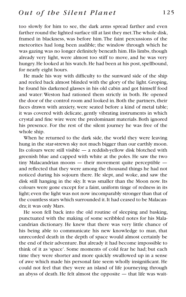too slowly for him to see, the dark arms spread farther and even farther round the lighted surface till at last they met. The whole disk, framed in blackness, was before him. The faint percussions of the meteorites had long been audible; the window through which he was gazing was no longer definitely beneath him. His limbs, though already very light, were almost too stiff to move, and he was very hungry. He looked at his watch. He had been at his post, spellbound, for nearly eight hours.

He made his way with difficulty to the sunward side of the ship and reeled back almost blinded with the glory of the light. Groping, he found his darkened glasses in his old cabin and got himself food and water: Weston had rationed them strictly in both. He opened the door of the control room and looked in. Both the partners, their faces drawn with anxiety, were seated before a kind of metal table; it was covered with delicate, gently vibrating instruments in which crystal and fine wire were the predominant materials. Both ignored his presence. For the rest of the silent journey he was free of the whole ship.

When he returned to the dark side, the world they were leaving hung in the star-strewn sky not much bigger than our earthly moon. Its colours were still visible — a reddish-yellow disk blotched with greenish blue and capped with white at the poles. He saw the two tiny Malacandrian moons — their movement quite perceptible and reflected that they were among the thousand things he had not noticed during his sojourn there. He slept, and woke, and saw the disk still hanging in the sky. It was smaller than the Moon now. Its colours were gone except for a faint, uniform tinge of redness in its light; even the light was not now incomparably stronger than that of the countless stars which surrounded it. It had ceased to be Malacandra; it was only Mars.

He soon fell back into the old routine of sleeping and basking, punctuated with the making of some scribbled notes for his Malacandrian dictionary. He knew that there was very little chance of his being able to communicate his new knowledge to man, that unrecorded death in the depth of space would almost certainly be the end of their adventure. But already it had become impossible to think of it as 'space'. Some moments of cold fear he had; but each time they were shorter and more quickly swallowed up in a sense of awe which made his personal fate seem wholly insignificant. He could not feel that they were an island of life journeying through an abyss of death. He felt almost the opposite — that life was wait-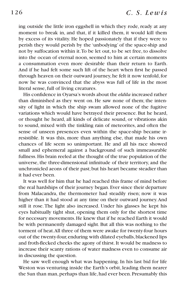ing outside the little iron eggshell in which they rode, ready at any moment to break in, and that, if it killed them, it would kill them by excess of its vitality. He hoped passionately that if they were to perish they would perish by the 'unbodying' of the space-ship and not by suffocation within it. To be let out, to be set free, to dissolve into the ocean of eternal noon, seemed to him at certain moments a consummation even more desirable than their return to Earth. And if he had felt some such lift of the heart when first he passed through heaven on their outward journey, he felt it now tenfold, for now he was convinced that the abyss was full of life in the most literal sense, full of living creatures.

His confidence in Oyarsa's words about the *eldila* increased rather than diminished as they went on. He saw none of them; the intensity of light in which the ship swam allowed none of the fugitive variations which would have betrayed their presence. But he heard, or thought he heard, all kinds of delicate sound, or vibrations akin to sound, mixed with the tinkling rain of meteorites, and often the sense of unseen presences even within the space-ship became irresistible. It was this, more than anything else, that made his own chances of life seem so unimportant. He and all his race showed small and ephemeral against a background of such immeasurable fullness. His brain reeled at the thought of the true population of the universe, the three-dimensional infinitude of their territory, and the unchronicled aeons of their past; but his heart became steadier than it had ever been.

It was well for him that he had reached this frame of mind before the real hardships of their journey began. Ever since their departure from Malacandra, the thermometer had steadily risen; now it was higher than it had stood at any time on their outward journey. And still it rose. The light also increased. Under his glasses he kept his eyes habitually tight shut, opening them only for the shortest time for necessary movements. He knew that if he reached Earth it would be with permanently damaged sight. But all this was nothing to the torment of heat. All three of them were awake for twenty-four hours out of the twenty-four, enduring with dilated eyeballs, blackened lips and froth-flecked cheeks the agony of thirst. It would be madness to increase their scanty rations of water madness even to consume air in discussing the question.

He saw well enough what was happening. In his last bid for life Weston was venturing inside the Earth's orbit, leading them nearer the Sun than man, perhaps than life, had ever been. Presumably this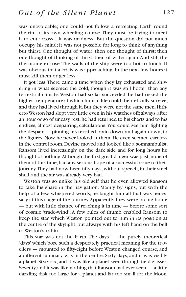was unavoidable; one could not follow a retreating Earth round the rim of its own wheeling course. They must be trying to meet it to cut across... it was madness! But the question did not much occupy his mind; it was not possible for long to think of anything but thirst. One thought of water; then one thought of thirst; then one thought of thinking of thirst; then of water again. And still the thermometer rose. The walls of the ship were too hot to touch. It was obvious that a crisis was approaching. In the next few hours it must kill them or get less.

It got less. There came a time when they lay exhausted and shivering in what seemed the cold, though it was still hotter than any terrestrial climate. Weston had so far succeeded; he had risked the highest temperature at which human life could theoretically survive, and they had lived through it. But they were not the same men. Hitherto Weston had slept very little even in his watches off; always, after an hour or so of uneasy rest, he had returned to his charts and to his endless, almost despairing, calculations. You could see him fighting the despair — pinning his terrified brain down, and again down, to the figures. Now he never looked at them. He even seemed careless in the control room. Devine moved and looked like a somnambulist. Ransom lived increasingly on the dark side and for long hours he thought of nothing. Although the first great danger was past, none of them, at this time, had any serious hope of a successful issue to their journey. They had now been fifty days, without speech, in their steel shell, and the air was already very bad.

Weston was so unlike his old self that he even allowed Ransom to take his share in the navigation. Mainly by signs, but with the help of a few whispered words, he taught him all that was necessary at this stage of the journey. Apparently they were racing home — but with little chance of reaching it in time — before some sort of cosmic 'trade-wind'. A few rules of thumb enabled Ransom to keep the star which Weston pointed out to him in its position at the centre of the skylight, but always with his left hand on the bell to Weston's cabin.

This star was not the Earth. The days — the purely theoretical 'days' which bore such a desperately practical meaning for the travellers — mounted to fifty-eight before Weston changed course, and a different luminary was in the centre. Sixty days, and it was visibly a planet. Sixty-six, and it was like a planet seen through field-glasses. Seventy, and it was like nothing that Ransom had ever seen — a little dazzling disk too large for a planet and far too small for the Moon.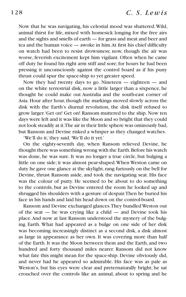Now that he was navigating, his celestial mood was shattered. Wild, animal thirst for life, mixed with homesick longing for the free airs and the sights and smells of earth — for grass and meat and beer and tea and the human voice — awoke in him. At first his chief difficulty on watch had been to resist drowsiness; now, though the air was worse, feverish excitement kept him vigilant. Often when he came off duty he found his right arm stiff and sore; for hours he had been pressing it unconsciously against the control board as if his puny thrust could spur the space-ship to yet greater speed.

Now they had twenty days to go. Nineteen — eighteen — and on the white terrestrial disk, now a little larger than a sixpence, he thought he could make out Australia and the south-east corner of Asia. Hour after hour, though the markings moved slowly across the disk with the Earth's diurnal revolution, the disk itself refused to grow larger. 'Get on! Get on! Ransom muttered to the ship. Now ten days were left and it was like the Moon and so bright that they could not look steadily at it. The air in their little sphere was ominously bad, but Ransom and Devine risked a whisper as they changed watches.

'We'll do it,' they said. 'We'll do it yet.'

On the eighty-seventh day, when Ransom relieved Devine, he thought there was something wrong with the Earth. Before his watch was done, he was sure. It was no longer a true circle, but bulging a little on one side; it was almost pear-shaped. When Weston came on duty he gave one glance at the skylight, rang furiously on the bell for Devine, thrust Ransom aside, and took the navigating seat. His face was the colour of putty. He seemed to be about to do something to the controls, but as Devine entered the room he looked up and shrugged his shoulders with a gesture of despair. Then he buried his face in his hands and laid his head down on the control-board.

Ransom and Devine exchanged glances. They bundled Weston out of the seat  $-$  he was crying like a child  $-$  and Devine took his place. And now at last Ransom understood the mystery of the bulging Earth. What had appeared as a bulge on one side of her disk was becoming increasingly distinct as a second disk, a disk almost as large in appearance as her own. It was covering more than half of the Earth. It was the Moon between them and the Earth, and two hundred and forty thousand miles nearer. Ransom did not know what fate this might mean for the space-ship. Devine obviously did, and never had he appeared so admirable. His face was as pale as Weston's, but his eyes were clear and preternaturally bright; he sat crouched over the controls like an animal, about to spring and he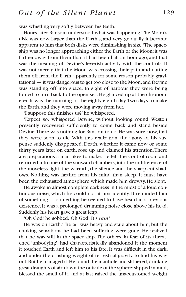was whistling very softly between his teeth.

Hours later Ransom understood what was happening. The Moon's disk was now larger than the Earth's, and very gradually it became apparent to him that both disks were diminishing in size. 'The spaceship was no longer approaching either the Earth or the Moon; it was farther away from them than it had been half an hour ago, and that was the meaning of Devine's feverish activity with the controls. It was not merely that the Moon was crossing their path and cutting them off from the Earth; apparently for some reason probably gravitational — it was dangerous to get too close to the Moon, and Devine was standing off into space. In sight of harbour they were being forced to turn back to the open sea. He glanced up at the chronometer. It was the morning of the eighty-eighth day. Two days to make the Earth, and they were moving away from her.

'I suppose this finishes us?' he whispered.

'Expect so,' whispered Devine, without looking round. Weston presently recovered sufficiently to come back and stand beside Devine. There was nothing for Ransom to do. He was sure, now, that they were soon to die. With this realization, the agony of his suspense suddenly disappeared. Death, whether it came now or some thirty years later on earth, rose up and claimed his attention. There are preparations a man likes to make. He left the control room and returned into one of the sunward chambers, into the indifference of the moveless light, the warmth, the silence and the sharp-cut shadows. Nothing was farther from his mind than sleep. It must have been the exhausted atmosphere which made him drowsy. He slept.

He awoke in almost complete darkness in the midst of a loud continuous noise, which he could not at first identify. It reminded him of something — something he seemed to have heard in a previous existence. It was a prolonged drumming noise close above his head. Suddenly his heart gave a great leap.

'Oh God,' he sobbed. 'Oh God! It's *rain*.'

He was on Earth. The air was heavy and stale about him, but the choking sensations he had been suffering were gone. He realized that he was still in the space-ship. The others, in fear of its threatened 'unbodying', had characteristically abandoned it the moment it touched Earth and left him to his fate. It was difficult in the dark, and under the crushing weight of terrestrial gravity, to find his way out. But he managed it. He found the manhole and slithered, drinking great draughts of air, down the outside of the sphere; slipped in mud, blessed the smell of it, and at last raised the unaccustomed weight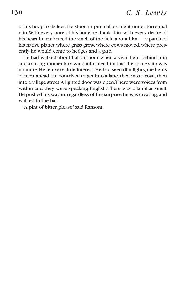of his body to its feet. He stood in pitch-black night under torrential rain. With every pore of his body he drank it in; with every desire of his heart he embraced the smell of the field about him — a patch of his native planet where grass grew, where cows moved, where presently he would come to hedges and a gate.

He had walked about half an hour when a vivid light behind him and a strong, momentary wind informed him that the space-ship was no more. He felt very little interest. He had seen dim lights, the lights of men, ahead. He contrived to get into a lane, then into a road, then into a village street. A lighted door was open. There were voices from within and they were speaking English. There was a familiar smell. He pushed his way in, regardless of the surprise he was creating, and walked to the bar.

'A pint of bitter, please,' said Ransom.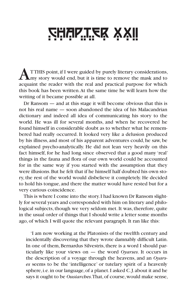# <u>SHAP.T.SK XX</u>

TTHIS point, if I were guided by purely literary considerations, **L**my story would end, but it is time to remove the mask and to acquaint the reader with the real and practical purpose for which this book has been written. At the same time he will learn how the writing of it became possible at all.

Dr Ransom — and at this stage it will become obvious that this is not his real name — soon abandoned the idea of his Malacandrian dictionary and indeed all idea of communicating his story to the world. He was ill for several months, and when he recovered he found himself in considerable doubt as to whether what he remembered had really occurred. It looked very like a delusion produced by his illness, and most of his apparent adventures could, he saw, be explained psycho-analytically. He did not lean very heavily on this fact himself, for he had long since observed that a good many 'real' things in the fauna and flora of our own world could be accounted for in the same way if you started with the assumption that they were illusions. But he felt that if he himself half doubted his own story, the rest of the world would disbelieve it completely. He decided to hold his tongue, and there the matter would have rested but for a very curious coincidence.

This is where I come into the story. I had known Dr Ransom slightly for several years and corresponded with him on literary and philological subjects, though we very seldom met. It was, therefore, quite in the usual order of things that I should write a letter some months ago, of which I will quote the relevant paragraph. It ran like this:

'I am now working at the Platonists of the twelfth century and incidentally discovering that they wrote damnably difficult Latin. In one of them, Bernardus Silvestris, there is a word I should particularly like your views on — the word *Oyarses*. It occurs in the description of a voyage through the heavens, and an *Oyarses* seems to be the 'intelligence' or tutelary spirit of a heavenly sphere, i.e. in our language, of a planet. I asked C. J. about it and he says it ought to be *Ousiarches*. That, of course, would make sense,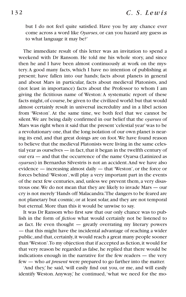but I do not feel quite satisfied. Have you by any chance ever come across a word like *Oyarses*, or can you hazard any guess as to what language it may be?'

The immediate result of this letter was an invitation to spend a weekend with Dr Ransom. He told me his whole story, and since then he and I have been almost continuously at work on the mystery. A good many facts, which I have no intention of publishing at present; have fallen into our hands; facts about planets in general and about Mars in particular, facts about medieval Platonists, and (not least in importance) facts about the Professor to whom I am giving the fictitious name of Weston: A systematic report of these facts might, of course, be given to the civilized world: but that would almost certainly result in universal incredulity and in a libel action from 'Weston'. At the same time, we both feel that we cannot be silent. We are being daily confirmed in our belief that the *oyarses* of Mars was right when it said that the present 'celestial year' was to be a revolutionary one, that the long isolation of our own planet is nearing its end, and that great doings are on foot. We have found reason to believe that the medieval Platonists were living in the same celestial year as ourselves — in fact, that it began in the twelfth century of our era — and that the occurrence of the name Oyarsa (Latinized as *oyarses*) in Bernardus Silvestris is not an accident. And we have also evidence — increasing almost daily — that 'Weston', or the force or forces behind 'Weston', will play a very important part in the events of the next few centuries, and, unless we prevent them, a very disastrous one. We do not mean that they are likely to invade Mars — our cry is not merely 'Hands off Malacandra.' The dangers to be feared are not planetary but cosmic, or at least solar, and they are not temporal but eternal. More than this it would be unwise to say.

It was Dr Ransom who first saw that our only chance was to publish in the form of *fiction* what would certainly not be listened to as fact. He even thought — greatly overrating my literary powers — that this might have the incidental advantage of reaching a wider public, and that, certainly, it would reach a great many people sooner than 'Weston'. To my objection that if accepted as fiction, it would for that very reason be regarded as false, he replied that there would be indications enough in the narrative for the few readers — the very few — who *at present* were prepared to go farther into the matter.

'And they,' he said, 'will easily find out you, or me, and will easily identify Weston. Anyway,' he continued, 'what we need for the mo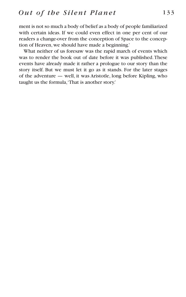ment is not so much a body of belief as a body of people familiarized with certain ideas. If we could even effect in one per cent of our readers a change-over from the conception of Space to the conception of Heaven, we should have made a beginning.'

What neither of us foresaw was the rapid march of events which was to render the book out of date before it was published. These events have already made it rather a prologue to our story than the story itself. But we must let it go as it stands. For the later stages of the adventure — well, it was Aristotle, long before Kipling, who taught us the formula, 'That is another story.'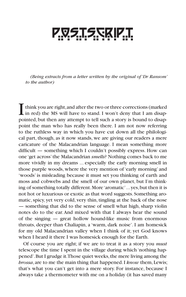#### **Postscript**

*(Being extracts from a letter written by the original of 'Dr Ransom' to the author)*

I think you are right, and after the two or three corrections (marked<br>in red) the MS will have to stand. I won't deny that I am disappointed, but then any attempt to tell such a story is bound to disappoint the man who has really been there. I am not now referring to the ruthless way in which you have cut down all the philological part, though, as it now stands, we are giving our readers a mere caricature of the Malacandrian language. I mean something more difficult — something which I couldn't possibly express. How can one 'get across' the Malacandrian *smells*? Nothing comes back to me more vividly in my dreams ... especially the early morning smell in those purple woods, where the very mention of 'early morning' and 'woods' is misleading because it must set you thinking of earth and moss and cobwebs and the smell of our own planet, but I'm thinking of something totally different. More 'aromatic' ... yes, but then it is not hot or luxurious or exotic as that word suggests. Something aromatic, spicy, yet very cold, very thin, tingling at the back of the nose — something that did to the sense of smell what high, sharp violin notes do to the ear. And mixed with that I always hear the sound of the singing — great hollow hound-like music from enormous throats, deeper than Chaliapin, a 'warm, dark noise'. I am homesick for my old Malacandrian valley when I think of it; yet God knows when I heard it there I was homesick enough for the Earth.

Of course you are right; if we are to treat it as a story you *must* telescope the time I spent in the village during which 'nothing happened'. But I grudge it. Those quiet weeks, the mere living among the *hrossa*, are to me the main thing that happened. I *know* them, Lewis; that's what you can't get into a mere story. For instance, because I always take a thermometer with me on a holiday (it has saved many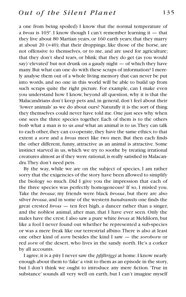a one from being spoiled) I know that the normal temperature of a *hross* is 103º. I know though I can't remember learning it — that they live about 80 Martian years, or 160 earth years; that they marry at about 20  $(=40)$ ; that their droppings, like those of the horse, are not offensive to themselves, or to me, and are used for agriculture; that they don't shed tears, or blink; that they do get (as you would say) 'elevated' but not drunk on a gaudy night — of which they have many. But what can one do with these scraps of information? I merely analyse them out of a whole living memory that can never be put into words, and no one in this world will be able to build up from such scraps quite the right picture. For example, can I make even you understand how I know, beyond all question, why it is that the Malacandrians don't keep pets and, in general, don't feel about their 'lower animals' as we do about ours? Naturally it is the sort of thing they themselves could never have told me. One just sees why when one sees the three species together. Each of them is to the others *both* what a man is to us *and* what an animal is to us. They can talk to each other, they can co-operate, they have the same ethics; to that extent a *sorn* and a *hross* meet like two men. But then each finds the other different, funny, attractive as an animal is attractive. Some instinct starved in us, which we try to soothe by treating irrational creatures almost as if they were rational, is really satisfied in Malacandra. They don't need pets.

By the way, while we are on the subject of species, I am rather sorry that the exigencies of the story have been allowed to simplify the biology so much. Did I give you the impression that each of the three species was perfectly homogeneous? If so, I misled you. Take the *hrossa*; my friends were black *hrossa*, but there are also silver *hrossa*, and in some of the western *handramits* one finds the great crested *hross* — ten feet high, a dancer rather than a singer, and the noblest animal, after man, that I have ever seen. Only the males have the crest. I also saw a pure white *hross* at Meldilorn, but like a fool I never found out whether he represented a sub-species or was a mere freak like our terrestrial albino. There is also at least one other kind of *sorn* besides the kind I saw — the *soroborn* or red *sorn* of the desert, who lives in the sandy north. He's a corker by all accounts.

I agree, it is a pity I never saw the *pfifltriggi* at home. I know nearly enough about them to 'fake' a visit to them as an episode in the story, but I don't think we ought to introduce any mere fiction. 'True in substance' sounds all very well on earth, but I can't imagine myself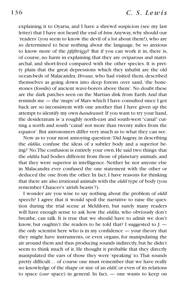explaining it to Oyarsa, and I have a shrewd suspicion (see my last letter) that I have not heard the end of *him*. Anyway, why should our 'readers' (you seem to know the devil of a lot about them!), who are so determined to hear nothing about the language, be so anxious to know more of the *pfifltriggi*? But if you can work it in, there is, of course, no harm in explaining that they are oviparous and matriarchal, and short-lived compared with the other species. It is pretty plain that the great depressions which they inhabit are the old ocean-beds of Malacandra. *Hrossa*, who had visited them, described themselves as going down into deep forests over sand, 'the bonestones (fossils) of ancient wave-borers above them'. No doubt these are the dark patches seen on the Martian disk from Earth. And that reminds me — the 'maps' of Mars which I have consulted since I got back are so inconsistent with one another that I have given up the attempt to identify my own *handramit*. If you want to try your hand, the desideratum is 'a roughly north-east and south-west "canal" cutting a north and south "canal' not more than twenty miles from the equator'. But astronomers differ very much as to what they can see.

Now as to your most annoying question: 'Did Augray, in describing the *eldila*, confuse the ideas of a subtler body and a superior being?' No. The confusion is entirely your own. He said two things: that the *eldila* had bodies different from those of planetary animals, and that they were superior in intelligence. Neither he nor anyone else in Malacandra ever confused the one statement with the other or deduced the one from the other. In fact, I have reasons for thinking that there are also irrational animals with the *eldil* type of body (you remember Chaucer's 'airish beasts'?).

I wonder are you wise to say nothing about the problem of *eldil* speech? I agree that it would spoil the narrative to raise the question during the trial scene at Meldilorn, but surely many readers will have enough sense to ask how the *eldila*, who obviously don't breathe, can talk. It is true that we should have to admit we don't know, but oughtn't the readers to be told that? I suggested to J. the only scientist here who is in my confidence — your theory that they might have instruments, or even organs, for manipulating the air around them and thus producing sounds indirectly, but he didn't seem to think much of it. He thought it probable that they directly manipulated the ears of those they were 'speaking' to. That sounds pretty difficult… of course one must remember that we have really no knowledge of the shape or size of an *eldil*, or even of its relations to space (*our* space) in general. In fact, — one wants to keep on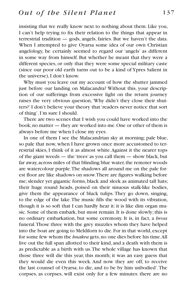insisting that we really know next to nothing about them. Like you, I can't help trying to fix their relation to the things that appear in terrestrial tradition — gods, angels, fairies. But we haven't the data. When I attempted to give Oyarsa some idea of our own Christian angelology, he certainly seemed to regard our 'angels' as different in some way from himself. But whether he meant that they were a different species, or only that they were some special military caste (since our poor old earth turns out to be a kind of Ypres Salient in the universe), I don't know.

Why must you leave out my account of how the shutter jammed just before our landing on Malacandra? Without this, your description of our sufferings from excessive light on the return journey raises the very obvious question, 'Why didn't they close their shutters?' I don't believe your theory that 'readers never notice that sort of thing'. I'm sure I should.

There are two scenes that I wish you could have worked into the book; no matter — they are worked into me. One or other of them is always before me when I close my eyes.

In one of them I see the Malacandrian sky at morning; pale blue, so pale that now, when I have grown once more accustomed to terrestrial skies, I think of it as almost white. Against it the nearer tops of the giant weeds — the 'trees' as you call them — show black, but far away, across miles of that blinding blue water, the remoter woods are watercolour purple. The shadows all around me on the pale forest floor are like shadows on snow. There are figures walking before me; slender yet gigantic forms, black and sleek as animated tall hats; their huge round heads, poised on their sinuous stalk-like bodies, give them the appearance of black tulips. They go down, singing, to the edge of the lake. The music fills the wood with its vibration, though it is so soft that I can hardly hear it: it is like dim organ music. Some of them embark, but most remain. It is done slowly; this is no ordinary embarkation, but some ceremony. It is, in fact, a *hross* funeral. Those three with the grey muzzles whom they have helped into the boat are going to Meldilorn to die. For in that world, except for some few whom the *hnakra* gets, no one dies before his time. All live out the full span allotted to their kind, and a death with them is as predictable as a birth with us. The whole village has known that those three will die this year, this month; it was an easy guess that they would die even this week. And now they are off, to receive the last counsel of Oyarsa, to die, and to be by him unbodied'. The corpses, as corpses, will exist only for a few minutes: there are no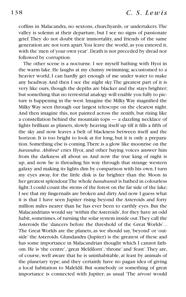coffins in Malacandra, no sextons, churchyards, or undertakers. The valley is solemn at their departure, but I see no signs of passionate grief. They do not doubt their immortality, and friends of the same generation are not torn apart. You leave the world, as you entered it, with the 'men of your own year'. Death is not preceded by dread nor followed by corruption.

The other scene is a nocturne. I see myself bathing with Hyoi in the warm lake. He laughs at my clumsy swimming; accustomed to a heavier world, I can hardly get enough of me under water to make any headway. And then I see the night sky. The greatest part of it is very like ours, though the depths are blacker and the stays brighter; but something that no terrestrial analogy will enable you fully to picture is happening in the west. Imagine the Milky Way magnified the Milky Way seen through our largest telescope on the clearest night. And then imagine this, not painted across the zenith, but rising like a constellation behind the mountain tops — a dazzling necklace of lights brilliant as planets, slowly heaving itself up till it fills a fifth of the sky and now leaves a belt of blackness between itself and the horizon. It is too bright to look at for long, but it is only a preparation. Something else is coming. There is a glow like moonrise on the *harandra*. *Ahihra!* cries Hyoi, and other baying voices answer him from the darkness all about us. And now the true king of night is up, and now he is threading his way through that strange western galaxy and making its lights dim by comparison with his own. I turn my eyes away, for the little disk is far brighter than the Moon in her greatest splendour. The whole *handramit* is bathed in colourless light; I could count the stems of the forest on the far side of the lake; I see that my fingernails are broken and dirty. And now I guess what it is that I have seen Jupiter rising beyond the Asteroids and forty million miles nearer than he has ever been to earthly eyes. But the Malacandrians would say 'within the Asteroids', for they have an odd habit, sometimes, of turning the solar system inside out. They call the Asteroids the 'dancers before the threshold of the Great Worlds'... The Great Worlds are the planets, as we should say, 'beyond' or 'outside' the Asteroids. Glundandra (Jupiter) is the greatest of these and has some importance in Malacandrian thought which I cannot fathom. He is 'the centre', 'great Meldilorn', 'throne' and 'feast'. They are, of course, well aware that he is uninhabitable, at least by animals of the planetary type; and they certainly have no pagan idea of giving a local habitation to Maleldil. But somebody or something of great importance is connected with Jupiter; as usual 'The *séroni* would